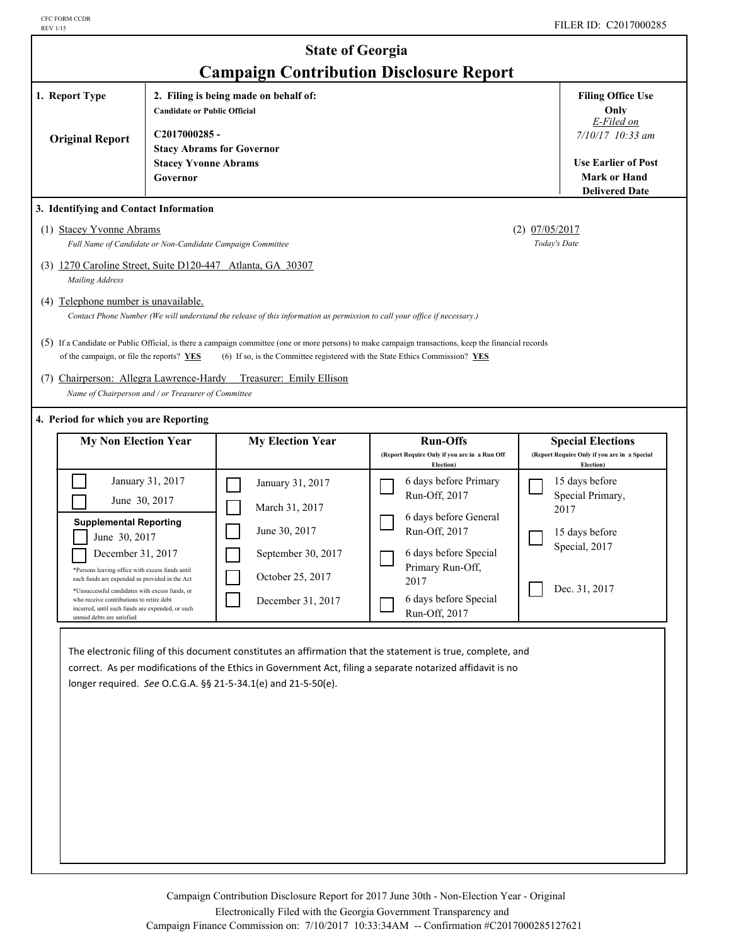|                                                                                                                                                                                                                                                                                                                                                                           |                                                      | <b>State of Georgia</b><br><b>Campaign Contribution Disclosure Report</b>                                                                                                                                                                                                                                                                                                                                                               |                                                                                                                                                                                                                                              |                                  |                                                                                                                                                             |
|---------------------------------------------------------------------------------------------------------------------------------------------------------------------------------------------------------------------------------------------------------------------------------------------------------------------------------------------------------------------------|------------------------------------------------------|-----------------------------------------------------------------------------------------------------------------------------------------------------------------------------------------------------------------------------------------------------------------------------------------------------------------------------------------------------------------------------------------------------------------------------------------|----------------------------------------------------------------------------------------------------------------------------------------------------------------------------------------------------------------------------------------------|----------------------------------|-------------------------------------------------------------------------------------------------------------------------------------------------------------|
| 1. Report Type<br><b>Original Report</b>                                                                                                                                                                                                                                                                                                                                  | <b>Candidate or Public Official</b><br>C2017000285 - | 2. Filing is being made on behalf of:<br><b>Stacy Abrams for Governor</b>                                                                                                                                                                                                                                                                                                                                                               |                                                                                                                                                                                                                                              |                                  | <b>Filing Office Use</b><br>Only<br>E-Filed on<br>7/10/17 10:33 am                                                                                          |
|                                                                                                                                                                                                                                                                                                                                                                           | <b>Stacey Yvonne Abrams</b><br>Governor              |                                                                                                                                                                                                                                                                                                                                                                                                                                         |                                                                                                                                                                                                                                              |                                  | <b>Use Earlier of Post</b><br><b>Mark or Hand</b><br><b>Delivered Date</b>                                                                                  |
| 3. Identifying and Contact Information<br>(1) Stacey Yvonne Abrams<br>Full Name of Candidate or Non-Candidate Campaign Committee<br>(3) 1270 Caroline Street, Suite D120-447 Atlanta, GA 30307<br>Mailing Address<br>(4) Telephone number is unavailable.<br>of the campaign, or file the reports? YES<br>Name of Chairperson and / or Treasurer of Committee             |                                                      | Contact Phone Number (We will understand the release of this information as permission to call your office if necessary.)<br>(5) If a Candidate or Public Official, is there a campaign committee (one or more persons) to make campaign transactions, keep the financial records<br>(6) If so, is the Committee registered with the State Ethics Commission? $YES$<br>(7) Chairperson: Allegra Lawrence-Hardy Treasurer: Emily Ellison |                                                                                                                                                                                                                                              | $(2)$ 07/05/2017<br>Today's Date |                                                                                                                                                             |
| 4. Period for which you are Reporting<br><b>My Non Election Year</b>                                                                                                                                                                                                                                                                                                      |                                                      | <b>My Election Year</b>                                                                                                                                                                                                                                                                                                                                                                                                                 | <b>Run-Offs</b>                                                                                                                                                                                                                              |                                  | <b>Special Elections</b>                                                                                                                                    |
| June 30, 2017<br><b>Supplemental Reporting</b><br>June 30, 2017<br>December 31, 2017<br>*Persons leaving office with excess funds until<br>such funds are expended as provided in the Act<br>*Unsuccessful candidates with excess funds, or<br>who receive contributions to retire debt<br>incurred, until such funds are expended, or such<br>unnaid dehts are satisfied | January 31, 2017                                     | January 31, 2017<br>March 31, 2017<br>June 30, 2017<br>September 30, 2017<br>October 25, 2017<br>December 31, 2017                                                                                                                                                                                                                                                                                                                      | (Report Require Only if you are in a Run Off<br>Election)<br>6 days before Primary<br>Run-Off, 2017<br>6 days before General<br>Run-Off, 2017<br>6 days before Special<br>Primary Run-Off,<br>2017<br>6 days before Special<br>Run-Off, 2017 |                                  | (Report Require Only if you are in a Special<br>Election)<br>15 days before<br>Special Primary,<br>2017<br>15 days before<br>Special, 2017<br>Dec. 31, 2017 |
|                                                                                                                                                                                                                                                                                                                                                                           |                                                      | The electronic filing of this document constitutes an affirmation that the statement is true, complete, and<br>correct. As per modifications of the Ethics in Government Act, filing a separate notarized affidavit is no<br>longer required. See O.C.G.A. §§ 21-5-34.1(e) and 21-5-50(e).                                                                                                                                              |                                                                                                                                                                                                                                              |                                  |                                                                                                                                                             |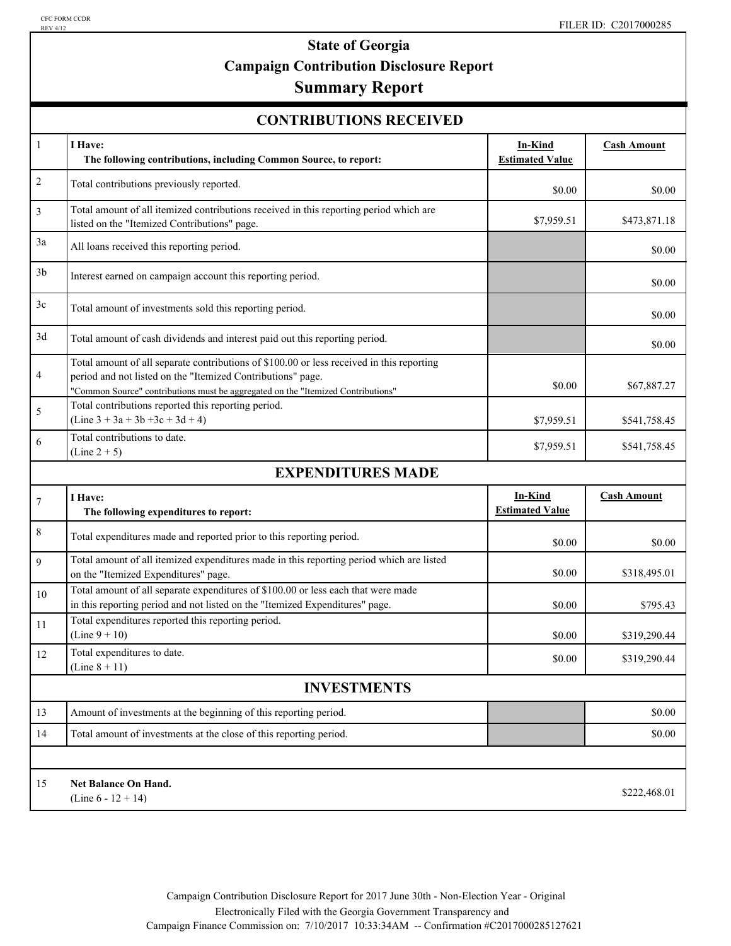## **State of Georgia Campaign Contribution Disclosure Report Summary Report**

#### **CONTRIBUTIONS RECEIVED**

|                | CUNTRIDU HUNS RECEIVED                                                                                                                                                                                                                       |                                          |                    |
|----------------|----------------------------------------------------------------------------------------------------------------------------------------------------------------------------------------------------------------------------------------------|------------------------------------------|--------------------|
| $\mathbf{1}$   | I Have:<br>The following contributions, including Common Source, to report:                                                                                                                                                                  | In-Kind<br><b>Estimated Value</b>        | <b>Cash Amount</b> |
| $\overline{2}$ | Total contributions previously reported.                                                                                                                                                                                                     | \$0.00                                   | \$0.00             |
| $\mathfrak{Z}$ | Total amount of all itemized contributions received in this reporting period which are<br>listed on the "Itemized Contributions" page.                                                                                                       | \$7,959.51                               | \$473,871.18       |
| 3a             | All loans received this reporting period.                                                                                                                                                                                                    |                                          | \$0.00             |
| 3 <sub>b</sub> | Interest earned on campaign account this reporting period.                                                                                                                                                                                   |                                          | \$0.00             |
| 3c             | Total amount of investments sold this reporting period.                                                                                                                                                                                      |                                          | \$0.00             |
| 3d             | Total amount of cash dividends and interest paid out this reporting period.                                                                                                                                                                  |                                          | \$0.00             |
| $\overline{4}$ | Total amount of all separate contributions of \$100.00 or less received in this reporting<br>period and not listed on the "Itemized Contributions" page.<br>"Common Source" contributions must be aggregated on the "Itemized Contributions" | \$0.00                                   | \$67,887.27        |
| 5              | Total contributions reported this reporting period.<br>$(Line 3 + 3a + 3b + 3c + 3d + 4)$                                                                                                                                                    | \$7,959.51                               | \$541,758.45       |
| 6              | Total contributions to date.<br>$(Line 2 + 5)$                                                                                                                                                                                               | \$7,959.51                               | \$541,758.45       |
|                | <b>EXPENDITURES MADE</b>                                                                                                                                                                                                                     |                                          |                    |
| $\overline{7}$ | I Have:<br>The following expenditures to report:                                                                                                                                                                                             | <b>In-Kind</b><br><b>Estimated Value</b> | <b>Cash Amount</b> |
| $\,$ 8 $\,$    | Total expenditures made and reported prior to this reporting period.                                                                                                                                                                         | \$0.00                                   | \$0.00             |
| 9              | Total amount of all itemized expenditures made in this reporting period which are listed<br>on the "Itemized Expenditures" page.                                                                                                             | \$0.00                                   | \$318,495.01       |
| 10             | Total amount of all separate expenditures of \$100.00 or less each that were made<br>in this reporting period and not listed on the "Itemized Expenditures" page.                                                                            | \$0.00                                   | \$795.43           |
| 11             | Total expenditures reported this reporting period.<br>$(Line 9 + 10)$                                                                                                                                                                        | \$0.00                                   | \$319,290.44       |
| 12             | Total expenditures to date.<br>(Line $8 + 11$ )                                                                                                                                                                                              | \$0.00                                   | \$319,290.44       |
|                | <b>INVESTMENTS</b>                                                                                                                                                                                                                           |                                          |                    |
| 13             | Amount of investments at the beginning of this reporting period.                                                                                                                                                                             |                                          | \$0.00             |
| 14             | Total amount of investments at the close of this reporting period.                                                                                                                                                                           |                                          | \$0.00             |
|                |                                                                                                                                                                                                                                              |                                          |                    |
| 15             | <b>Net Balance On Hand.</b><br>(Line $6 - 12 + 14$ )                                                                                                                                                                                         |                                          | \$222,468.01       |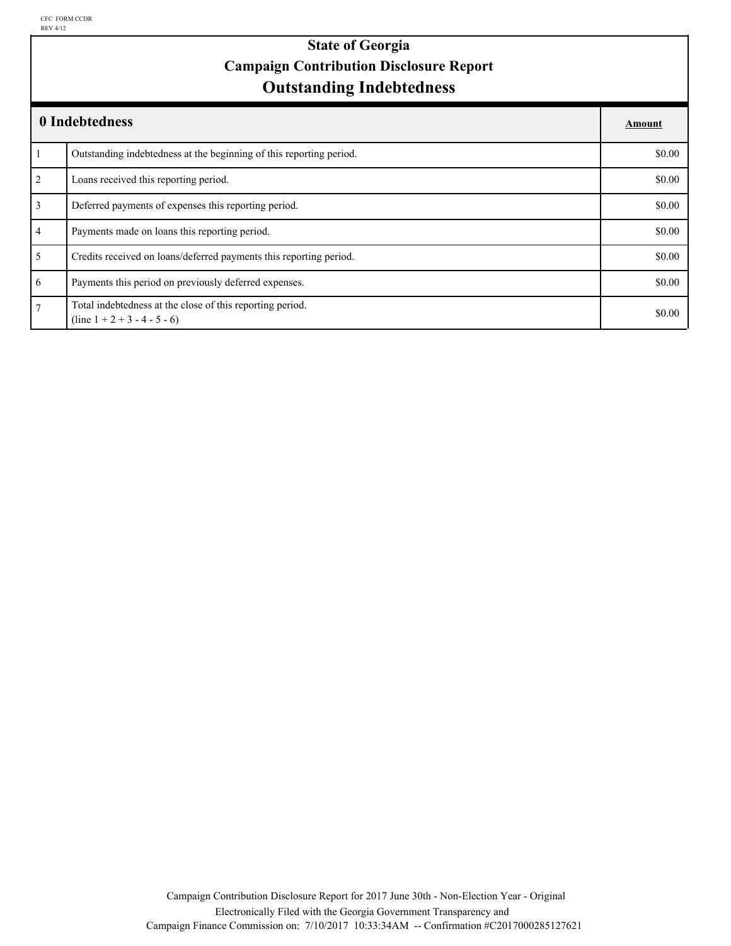# **Outstanding Indebtedness State of Georgia Campaign Contribution Disclosure Report**

|                | 0 Indebtedness                                                                              | Amount |
|----------------|---------------------------------------------------------------------------------------------|--------|
|                | Outstanding indebtedness at the beginning of this reporting period.                         | \$0.00 |
| $\overline{2}$ | Loans received this reporting period.                                                       | \$0.00 |
| 3              | Deferred payments of expenses this reporting period.                                        | \$0.00 |
| $\overline{4}$ | Payments made on loans this reporting period.                                               | \$0.00 |
| 5              | Credits received on loans/deferred payments this reporting period.                          | \$0.00 |
| 6              | Payments this period on previously deferred expenses.                                       | \$0.00 |
| $\overline{7}$ | Total indebtedness at the close of this reporting period.<br>$(line 1 + 2 + 3 - 4 - 5 - 6)$ | \$0.00 |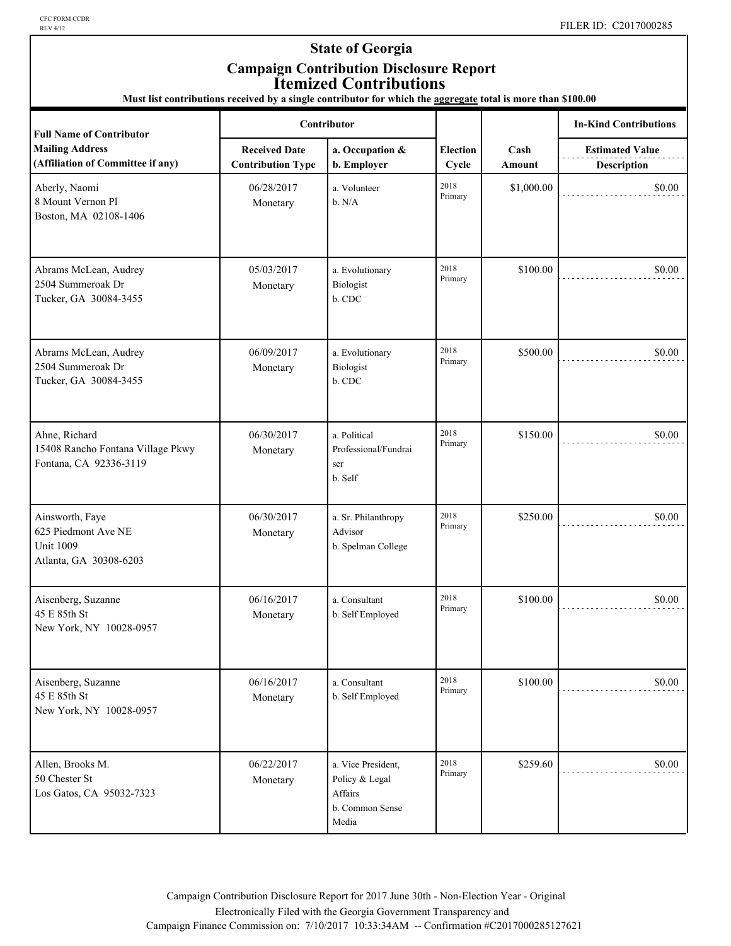CFC FORM CCDR<br>REV 4/12

### **State of Georgia Campaign Contribution Disclosure Report Itemized Contributions**

**Must list contributions received by a single contributor for which the aggregate total is more than \$100.00**

| <b>Full Name of Contributor</b>                                                      | <b>Contributor</b>                               |                                                                             |                          |                | <b>In-Kind Contributions</b>                 |
|--------------------------------------------------------------------------------------|--------------------------------------------------|-----------------------------------------------------------------------------|--------------------------|----------------|----------------------------------------------|
| <b>Mailing Address</b><br>(Affiliation of Committee if any)                          | <b>Received Date</b><br><b>Contribution Type</b> | a. Occupation &<br>b. Employer                                              | <b>Election</b><br>Cycle | Cash<br>Amount | <b>Estimated Value</b><br><b>Description</b> |
| Aberly, Naomi<br>8 Mount Vernon Pl<br>Boston, MA 02108-1406                          | 06/28/2017<br>Monetary                           | a. Volunteer<br>b. N/A                                                      | 2018<br>Primary          | \$1,000.00     | \$0.00                                       |
| Abrams McLean, Audrey<br>2504 Summeroak Dr<br>Tucker, GA 30084-3455                  | 05/03/2017<br>Monetary                           | a. Evolutionary<br>Biologist<br>b. CDC                                      | 2018<br>Primary          | \$100.00       | \$0.00                                       |
| Abrams McLean, Audrey<br>2504 Summeroak Dr<br>Tucker, GA 30084-3455                  | 06/09/2017<br>Monetary                           | a. Evolutionary<br>Biologist<br>b. CDC                                      | 2018<br>Primary          | \$500.00       | \$0.00                                       |
| Ahne, Richard<br>15408 Rancho Fontana Village Pkwy<br>Fontana, CA 92336-3119         | 06/30/2017<br>Monetary                           | a. Political<br>Professional/Fundrai<br>ser<br>b. Self                      | 2018<br>Primary          | \$150.00       | \$0.00                                       |
| Ainsworth, Faye<br>625 Piedmont Ave NE<br><b>Unit 1009</b><br>Atlanta, GA 30308-6203 | 06/30/2017<br>Monetary                           | a. Sr. Philanthropy<br>Advisor<br>b. Spelman College                        | 2018<br>Primary          | \$250.00       | \$0.00                                       |
| Aisenberg, Suzanne<br>45 E 85th St<br>New York, NY 10028-0957                        | 06/16/2017<br>Monetary                           | a. Consultant<br>b. Self Employed                                           | 2018<br>Primary          | \$100.00       | \$0.00                                       |
| Aisenberg, Suzanne<br>45 E 85th St<br>New York, NY 10028-0957                        | 06/16/2017<br>Monetary                           | a. Consultant<br>b. Self Employed                                           | 2018<br>Primary          | \$100.00       | \$0.00                                       |
| Allen, Brooks M.<br>50 Chester St<br>Los Gatos, CA 95032-7323                        | 06/22/2017<br>Monetary                           | a. Vice President,<br>Policy & Legal<br>Affairs<br>b. Common Sense<br>Media | 2018<br>Primary          | \$259.60       | \$0.00                                       |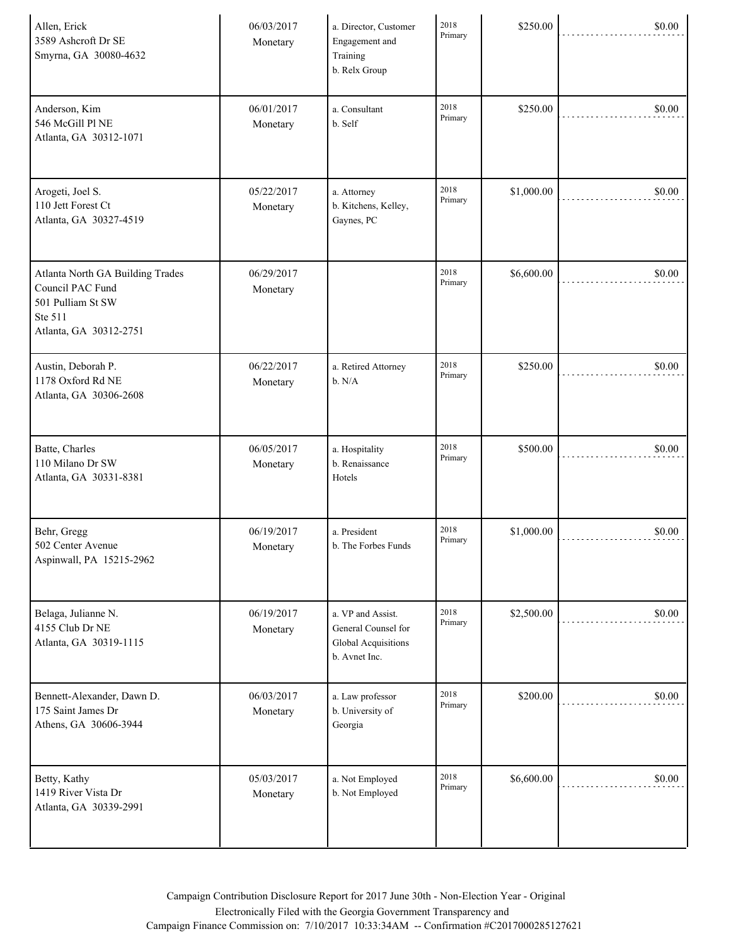| Allen, Erick<br>3589 Ashcroft Dr SE<br>Smyrna, GA 30080-4632                                                   | 06/03/2017<br>Monetary | a. Director, Customer<br>Engagement and<br>Training<br>b. Relx Group             | 2018<br>Primary | \$250.00   | \$0.00 |
|----------------------------------------------------------------------------------------------------------------|------------------------|----------------------------------------------------------------------------------|-----------------|------------|--------|
| Anderson, Kim<br>546 McGill Pl NE<br>Atlanta, GA 30312-1071                                                    | 06/01/2017<br>Monetary | a. Consultant<br>b. Self                                                         | 2018<br>Primary | \$250.00   | \$0.00 |
| Arogeti, Joel S.<br>110 Jett Forest Ct<br>Atlanta, GA 30327-4519                                               | 05/22/2017<br>Monetary | a. Attorney<br>b. Kitchens, Kelley,<br>Gaynes, PC                                | 2018<br>Primary | \$1,000.00 | \$0.00 |
| Atlanta North GA Building Trades<br>Council PAC Fund<br>501 Pulliam St SW<br>Ste 511<br>Atlanta, GA 30312-2751 | 06/29/2017<br>Monetary |                                                                                  | 2018<br>Primary | \$6,600.00 | \$0.00 |
| Austin, Deborah P.<br>1178 Oxford Rd NE<br>Atlanta, GA 30306-2608                                              | 06/22/2017<br>Monetary | a. Retired Attorney<br>b. N/A                                                    | 2018<br>Primary | \$250.00   | \$0.00 |
| Batte, Charles<br>110 Milano Dr SW<br>Atlanta, GA 30331-8381                                                   | 06/05/2017<br>Monetary | a. Hospitality<br>b. Renaissance<br>Hotels                                       | 2018<br>Primary | \$500.00   | \$0.00 |
| Behr, Gregg<br>502 Center Avenue<br>Aspinwall, PA 15215-2962                                                   | 06/19/2017<br>Monetary | a. President<br>b. The Forbes Funds                                              | 2018<br>Primary | \$1,000.00 | \$0.00 |
| Belaga, Julianne N.<br>4155 Club Dr NE<br>Atlanta, GA 30319-1115                                               | 06/19/2017<br>Monetary | a. VP and Assist.<br>General Counsel for<br>Global Acquisitions<br>b. Avnet Inc. | 2018<br>Primary | \$2,500.00 | \$0.00 |
| Bennett-Alexander, Dawn D.<br>175 Saint James Dr<br>Athens, GA 30606-3944                                      | 06/03/2017<br>Monetary | a. Law professor<br>b. University of<br>Georgia                                  | 2018<br>Primary | \$200.00   | \$0.00 |
| Betty, Kathy<br>1419 River Vista Dr<br>Atlanta, GA 30339-2991                                                  | 05/03/2017<br>Monetary | a. Not Employed<br>b. Not Employed                                               | 2018<br>Primary | \$6,600.00 | \$0.00 |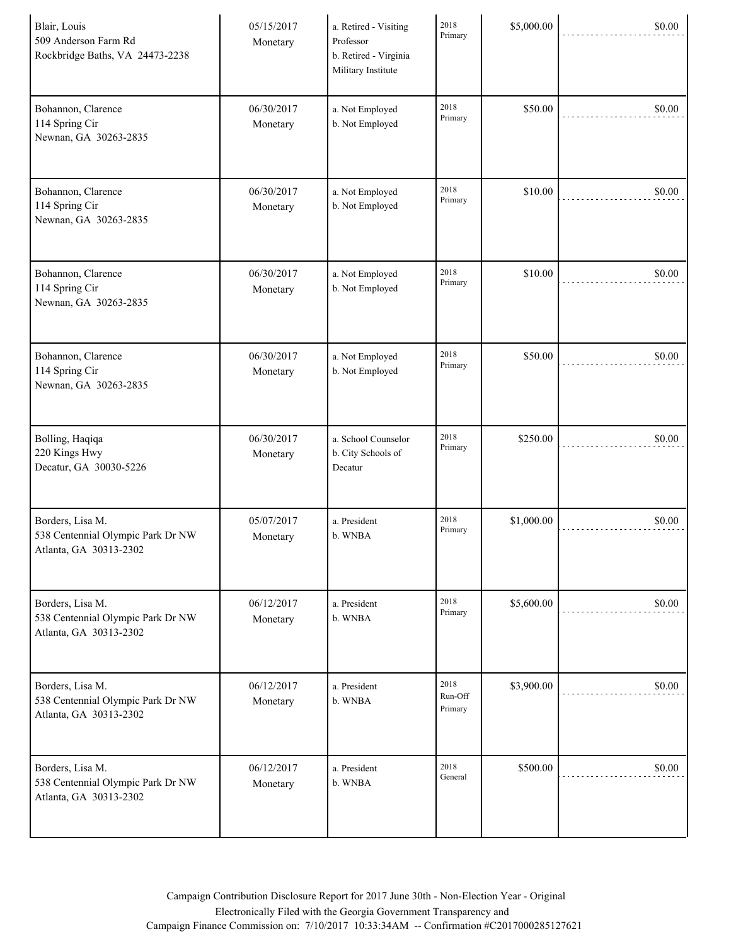| Blair, Louis<br>509 Anderson Farm Rd<br>Rockbridge Baths, VA 24473-2238         | 05/15/2017<br>Monetary | a. Retired - Visiting<br>Professor<br>b. Retired - Virginia<br>Military Institute | 2018<br>Primary            | \$5,000.00 | \$0.00 |
|---------------------------------------------------------------------------------|------------------------|-----------------------------------------------------------------------------------|----------------------------|------------|--------|
| Bohannon, Clarence<br>114 Spring Cir<br>Newnan, GA 30263-2835                   | 06/30/2017<br>Monetary | a. Not Employed<br>b. Not Employed                                                | 2018<br>Primary            | \$50.00    | \$0.00 |
| Bohannon, Clarence<br>114 Spring Cir<br>Newnan, GA 30263-2835                   | 06/30/2017<br>Monetary | a. Not Employed<br>b. Not Employed                                                | 2018<br>Primary            | \$10.00    | \$0.00 |
| Bohannon, Clarence<br>114 Spring Cir<br>Newnan, GA 30263-2835                   | 06/30/2017<br>Monetary | a. Not Employed<br>b. Not Employed                                                | 2018<br>Primary            | \$10.00    | \$0.00 |
| Bohannon, Clarence<br>114 Spring Cir<br>Newnan, GA 30263-2835                   | 06/30/2017<br>Monetary | a. Not Employed<br>b. Not Employed                                                | 2018<br>Primary            | \$50.00    | \$0.00 |
| Bolling, Haqiqa<br>220 Kings Hwy<br>Decatur, GA 30030-5226                      | 06/30/2017<br>Monetary | a. School Counselor<br>b. City Schools of<br>Decatur                              | 2018<br>Primary            | \$250.00   | \$0.00 |
| Borders, Lisa M.<br>538 Centennial Olympic Park Dr NW<br>Atlanta, GA 30313-2302 | 05/07/2017<br>Monetary | a. President<br>b. WNBA                                                           | 2018<br>Primary            | \$1,000.00 | \$0.00 |
| Borders, Lisa M.<br>538 Centennial Olympic Park Dr NW<br>Atlanta, GA 30313-2302 | 06/12/2017<br>Monetary | a. President<br>b. WNBA                                                           | 2018<br>Primary            | \$5,600.00 | \$0.00 |
| Borders, Lisa M.<br>538 Centennial Olympic Park Dr NW<br>Atlanta, GA 30313-2302 | 06/12/2017<br>Monetary | a. President<br>b. WNBA                                                           | 2018<br>Run-Off<br>Primary | \$3,900.00 | \$0.00 |
| Borders, Lisa M.<br>538 Centennial Olympic Park Dr NW<br>Atlanta, GA 30313-2302 | 06/12/2017<br>Monetary | a. President<br>b. WNBA                                                           | 2018<br>General            | \$500.00   | \$0.00 |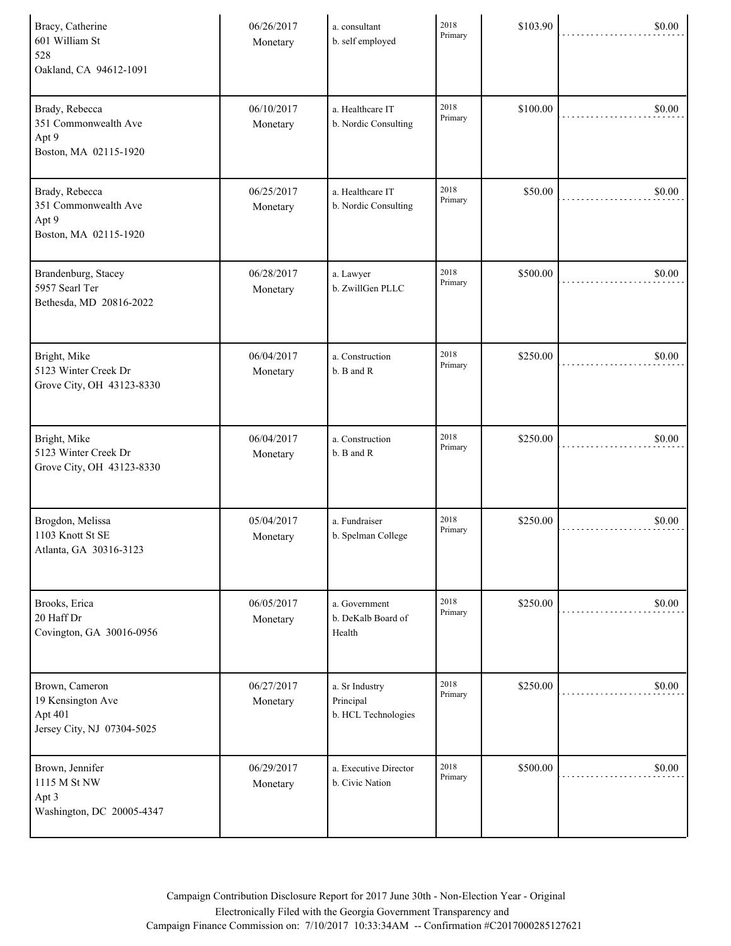| Bracy, Catherine<br>601 William St<br>528<br>Oakland, CA 94612-1091          | 06/26/2017<br>Monetary | a. consultant<br>b. self employed                  | 2018<br>Primary | \$103.90 | \$0.00 |
|------------------------------------------------------------------------------|------------------------|----------------------------------------------------|-----------------|----------|--------|
| Brady, Rebecca<br>351 Commonwealth Ave<br>Apt 9<br>Boston, MA 02115-1920     | 06/10/2017<br>Monetary | a. Healthcare IT<br>b. Nordic Consulting           | 2018<br>Primary | \$100.00 | \$0.00 |
| Brady, Rebecca<br>351 Commonwealth Ave<br>Apt 9<br>Boston, MA 02115-1920     | 06/25/2017<br>Monetary | a. Healthcare IT<br>b. Nordic Consulting           | 2018<br>Primary | \$50.00  | \$0.00 |
| Brandenburg, Stacey<br>5957 Searl Ter<br>Bethesda, MD 20816-2022             | 06/28/2017<br>Monetary | a. Lawyer<br>b. ZwillGen PLLC                      | 2018<br>Primary | \$500.00 | \$0.00 |
| Bright, Mike<br>5123 Winter Creek Dr<br>Grove City, OH 43123-8330            | 06/04/2017<br>Monetary | a. Construction<br>b. B and R                      | 2018<br>Primary | \$250.00 | \$0.00 |
| Bright, Mike<br>5123 Winter Creek Dr<br>Grove City, OH 43123-8330            | 06/04/2017<br>Monetary | a. Construction<br>b. B and R                      | 2018<br>Primary | \$250.00 | \$0.00 |
| Brogdon, Melissa<br>1103 Knott St SE<br>Atlanta, GA 30316-3123               | 05/04/2017<br>Monetary | a. Fundraiser<br>b. Spelman College                | 2018<br>Primary | \$250.00 | \$0.00 |
| Brooks, Erica<br>20 Haff Dr<br>Covington, GA 30016-0956                      | 06/05/2017<br>Monetary | a. Government<br>b. DeKalb Board of<br>Health      | 2018<br>Primary | \$250.00 | \$0.00 |
| Brown, Cameron<br>19 Kensington Ave<br>Apt 401<br>Jersey City, NJ 07304-5025 | 06/27/2017<br>Monetary | a. Sr Industry<br>Principal<br>b. HCL Technologies | 2018<br>Primary | \$250.00 | \$0.00 |
| Brown, Jennifer<br>1115 M St NW<br>Apt 3<br>Washington, DC 20005-4347        | 06/29/2017<br>Monetary | a. Executive Director<br>b. Civic Nation           | 2018<br>Primary | \$500.00 | \$0.00 |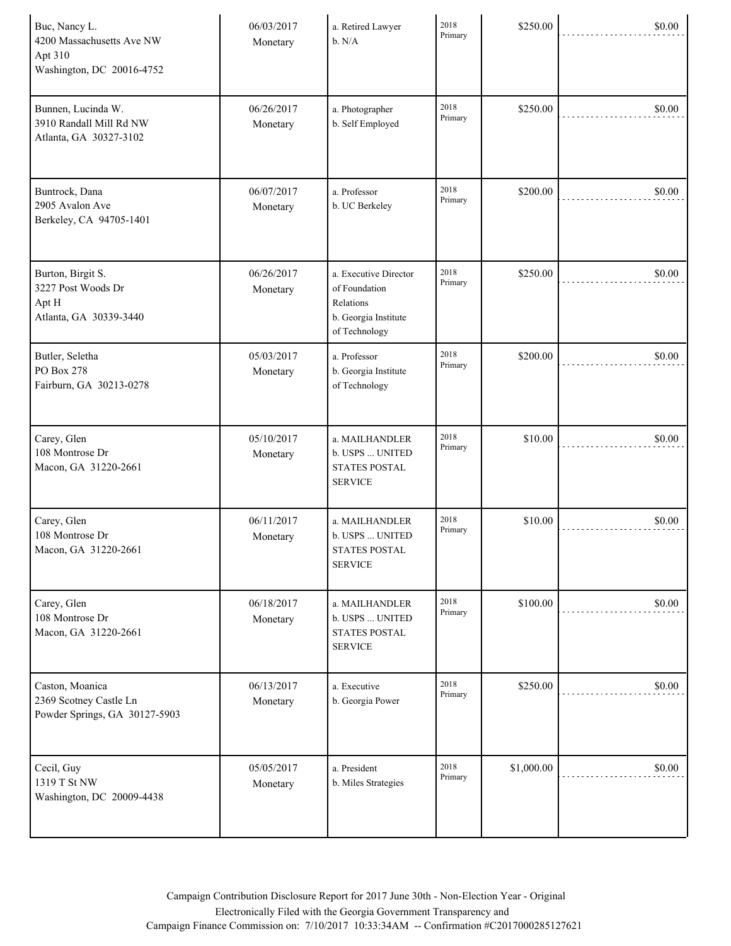| Buc, Nancy L.<br>4200 Massachusetts Ave NW<br>Apt 310<br>Washington, DC 20016-4752 | 06/03/2017<br>Monetary | a. Retired Lawyer<br>b. N/A                                                                  | 2018<br>Primary | \$250.00   | \$0.00 |
|------------------------------------------------------------------------------------|------------------------|----------------------------------------------------------------------------------------------|-----------------|------------|--------|
| Bunnen, Lucinda W.<br>3910 Randall Mill Rd NW<br>Atlanta, GA 30327-3102            | 06/26/2017<br>Monetary | a. Photographer<br>b. Self Employed                                                          | 2018<br>Primary | \$250.00   | \$0.00 |
| Buntrock, Dana<br>2905 Avalon Ave<br>Berkeley, CA 94705-1401                       | 06/07/2017<br>Monetary | a. Professor<br>b. UC Berkeley                                                               | 2018<br>Primary | \$200.00   | \$0.00 |
| Burton, Birgit S.<br>3227 Post Woods Dr<br>Apt H<br>Atlanta, GA 30339-3440         | 06/26/2017<br>Monetary | a. Executive Director<br>of Foundation<br>Relations<br>b. Georgia Institute<br>of Technology | 2018<br>Primary | \$250.00   | \$0.00 |
| Butler, Seletha<br>PO Box 278<br>Fairburn, GA 30213-0278                           | 05/03/2017<br>Monetary | a. Professor<br>b. Georgia Institute<br>of Technology                                        | 2018<br>Primary | \$200.00   | \$0.00 |
| Carey, Glen<br>108 Montrose Dr<br>Macon, GA 31220-2661                             | 05/10/2017<br>Monetary | a. MAILHANDLER<br>b. USPS  UNITED<br><b>STATES POSTAL</b><br><b>SERVICE</b>                  | 2018<br>Primary | \$10.00    | \$0.00 |
| Carey, Glen<br>108 Montrose Dr<br>Macon, GA 31220-2661                             | 06/11/2017<br>Monetary | a. MAILHANDLER<br>b. USPS  UNITED<br><b>STATES POSTAL</b><br><b>SERVICE</b>                  | 2018<br>Primary | \$10.00    | \$0.00 |
| Carey, Glen<br>108 Montrose Dr<br>Macon, GA 31220-2661                             | 06/18/2017<br>Monetary | a. MAILHANDLER<br>b. USPS  UNITED<br><b>STATES POSTAL</b><br><b>SERVICE</b>                  | 2018<br>Primary | \$100.00   | \$0.00 |
| Caston, Moanica<br>2369 Scotney Castle Ln<br>Powder Springs, GA 30127-5903         | 06/13/2017<br>Monetary | a. Executive<br>b. Georgia Power                                                             | 2018<br>Primary | \$250.00   | \$0.00 |
| Cecil, Guy<br>1319 T St NW<br>Washington, DC 20009-4438                            | 05/05/2017<br>Monetary | a. President<br>b. Miles Strategies                                                          | 2018<br>Primary | \$1,000.00 | \$0.00 |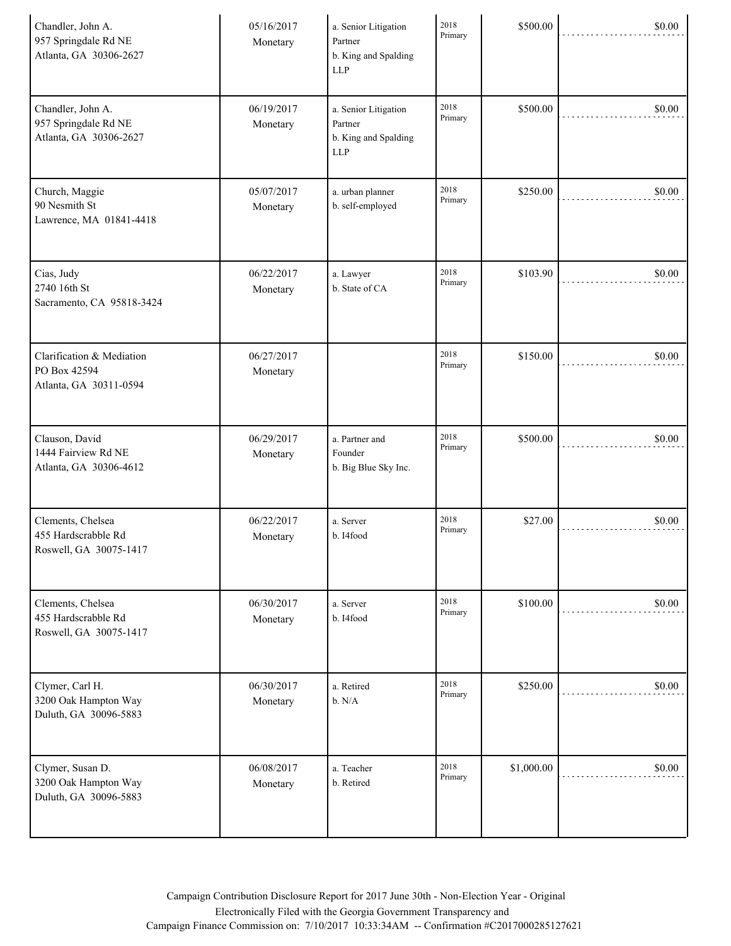| Chandler, John A.<br>957 Springdale Rd NE<br>Atlanta, GA 30306-2627 | 05/16/2017<br>Monetary | a. Senior Litigation<br>Partner<br>b. King and Spalding<br><b>LLP</b> | 2018<br>Primary | \$500.00   | \$0.00 |
|---------------------------------------------------------------------|------------------------|-----------------------------------------------------------------------|-----------------|------------|--------|
| Chandler, John A.<br>957 Springdale Rd NE<br>Atlanta, GA 30306-2627 | 06/19/2017<br>Monetary | a. Senior Litigation<br>Partner<br>b. King and Spalding<br><b>LLP</b> | 2018<br>Primary | \$500.00   | \$0.00 |
| Church, Maggie<br>90 Nesmith St<br>Lawrence, MA 01841-4418          | 05/07/2017<br>Monetary | a. urban planner<br>b. self-employed                                  | 2018<br>Primary | \$250.00   | \$0.00 |
| Cias, Judy<br>2740 16th St<br>Sacramento, CA 95818-3424             | 06/22/2017<br>Monetary | a. Lawyer<br>b. State of CA                                           | 2018<br>Primary | \$103.90   | \$0.00 |
| Clarification & Mediation<br>PO Box 42594<br>Atlanta, GA 30311-0594 | 06/27/2017<br>Monetary |                                                                       | 2018<br>Primary | \$150.00   | \$0.00 |
| Clauson, David<br>1444 Fairview Rd NE<br>Atlanta, GA 30306-4612     | 06/29/2017<br>Monetary | a. Partner and<br>Founder<br>b. Big Blue Sky Inc.                     | 2018<br>Primary | \$500.00   | \$0.00 |
| Clements, Chelsea<br>455 Hardscrabble Rd<br>Roswell, GA 30075-1417  | 06/22/2017<br>Monetary | a. Server<br>b. I4food                                                | 2018<br>Primary | \$27.00    | \$0.00 |
| Clements, Chelsea<br>455 Hardscrabble Rd<br>Roswell, GA 30075-1417  | 06/30/2017<br>Monetary | a. Server<br>b. I4food                                                | 2018<br>Primary | \$100.00   | \$0.00 |
| Clymer, Carl H.<br>3200 Oak Hampton Way<br>Duluth, GA 30096-5883    | 06/30/2017<br>Monetary | a. Retired<br>b. N/A                                                  | 2018<br>Primary | \$250.00   | \$0.00 |
| Clymer, Susan D.<br>3200 Oak Hampton Way<br>Duluth, GA 30096-5883   | 06/08/2017<br>Monetary | a. Teacher<br>b. Retired                                              | 2018<br>Primary | \$1,000.00 | \$0.00 |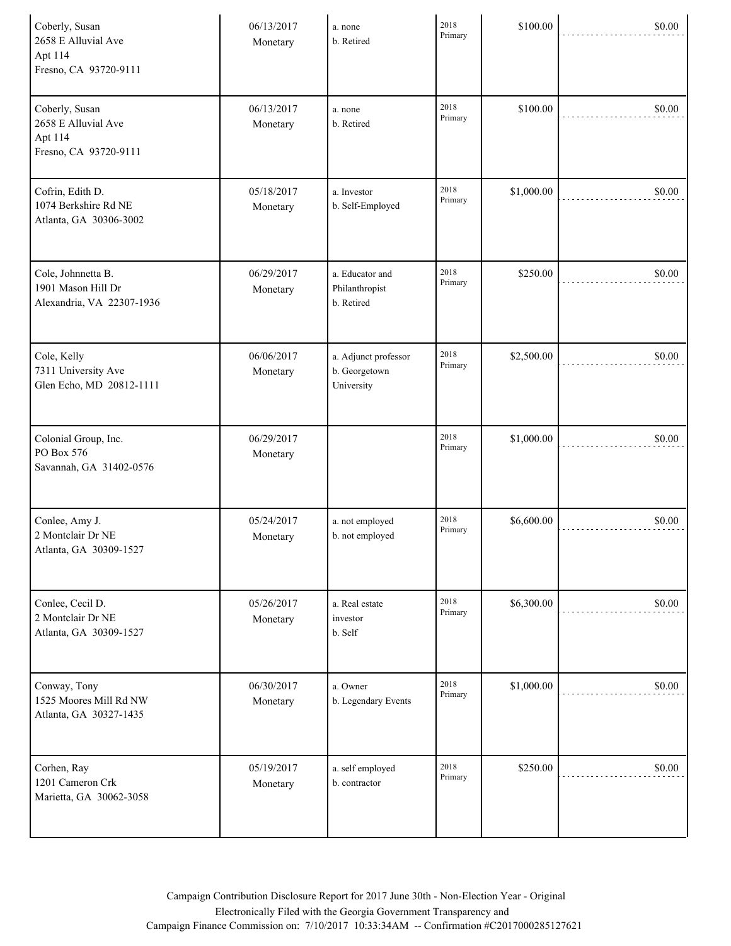| Coberly, Susan<br>2658 E Alluvial Ave<br>Apt 114<br>Fresno, CA 93720-9111 | 06/13/2017<br>Monetary | a. none<br>b. Retired                               | 2018<br>Primary | \$100.00   | \$0.00 |
|---------------------------------------------------------------------------|------------------------|-----------------------------------------------------|-----------------|------------|--------|
| Coberly, Susan<br>2658 E Alluvial Ave<br>Apt 114<br>Fresno, CA 93720-9111 | 06/13/2017<br>Monetary | a. none<br>b. Retired                               | 2018<br>Primary | \$100.00   | \$0.00 |
| Cofrin, Edith D.<br>1074 Berkshire Rd NE<br>Atlanta, GA 30306-3002        | 05/18/2017<br>Monetary | a. Investor<br>b. Self-Employed                     | 2018<br>Primary | \$1,000.00 | \$0.00 |
| Cole, Johnnetta B.<br>1901 Mason Hill Dr<br>Alexandria, VA 22307-1936     | 06/29/2017<br>Monetary | a. Educator and<br>Philanthropist<br>b. Retired     | 2018<br>Primary | \$250.00   | \$0.00 |
| Cole, Kelly<br>7311 University Ave<br>Glen Echo, MD 20812-1111            | 06/06/2017<br>Monetary | a. Adjunct professor<br>b. Georgetown<br>University | 2018<br>Primary | \$2,500.00 | \$0.00 |
| Colonial Group, Inc.<br>PO Box 576<br>Savannah, GA 31402-0576             | 06/29/2017<br>Monetary |                                                     | 2018<br>Primary | \$1,000.00 | \$0.00 |
| Conlee, Amy J.<br>2 Montclair Dr NE<br>Atlanta, GA 30309-1527             | 05/24/2017<br>Monetary | a. not employed<br>b. not employed                  | 2018<br>Primary | \$6,600.00 | \$0.00 |
| Conlee, Cecil D.<br>2 Montclair Dr NE<br>Atlanta, GA 30309-1527           | 05/26/2017<br>Monetary | a. Real estate<br>investor<br>b. Self               | 2018<br>Primary | \$6,300.00 | \$0.00 |
| Conway, Tony<br>1525 Moores Mill Rd NW<br>Atlanta, GA 30327-1435          | 06/30/2017<br>Monetary | a. Owner<br>b. Legendary Events                     | 2018<br>Primary | \$1,000.00 | \$0.00 |
| Corhen, Ray<br>1201 Cameron Crk<br>Marietta, GA 30062-3058                | 05/19/2017<br>Monetary | a. self employed<br>b. contractor                   | 2018<br>Primary | \$250.00   | \$0.00 |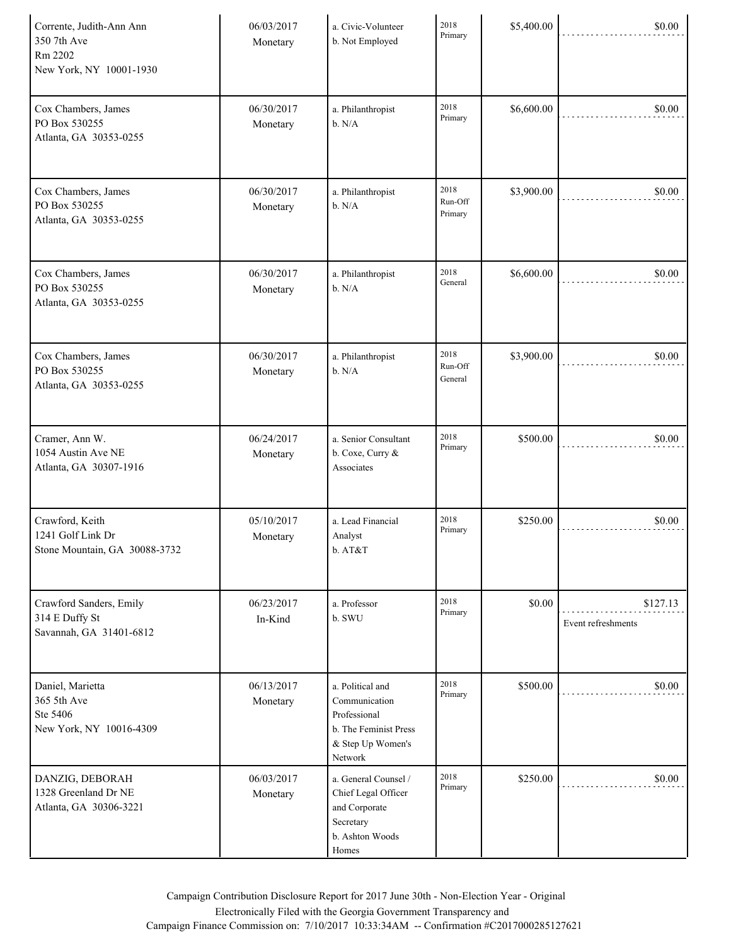| Corrente, Judith-Ann Ann<br>350 7th Ave<br>Rm 2202<br>New York, NY 10001-1930 | 06/03/2017<br>Monetary | a. Civic-Volunteer<br>b. Not Employed                                                                      | 2018<br>Primary            | \$5,400.00 | \$0.00                         |
|-------------------------------------------------------------------------------|------------------------|------------------------------------------------------------------------------------------------------------|----------------------------|------------|--------------------------------|
| Cox Chambers, James<br>PO Box 530255<br>Atlanta, GA 30353-0255                | 06/30/2017<br>Monetary | a. Philanthropist<br>b. N/A                                                                                | 2018<br>Primary            | \$6,600.00 | \$0.00                         |
| Cox Chambers, James<br>PO Box 530255<br>Atlanta, GA 30353-0255                | 06/30/2017<br>Monetary | a. Philanthropist<br>b. N/A                                                                                | 2018<br>Run-Off<br>Primary | \$3,900.00 | \$0.00                         |
| Cox Chambers, James<br>PO Box 530255<br>Atlanta, GA 30353-0255                | 06/30/2017<br>Monetary | a. Philanthropist<br>b. N/A                                                                                | 2018<br>General            | \$6,600.00 | \$0.00                         |
| Cox Chambers, James<br>PO Box 530255<br>Atlanta, GA 30353-0255                | 06/30/2017<br>Monetary | a. Philanthropist<br>b. N/A                                                                                | 2018<br>Run-Off<br>General | \$3,900.00 | \$0.00                         |
| Cramer, Ann W.<br>1054 Austin Ave NE<br>Atlanta, GA 30307-1916                | 06/24/2017<br>Monetary | a. Senior Consultant<br>b. Coxe, Curry &<br>Associates                                                     | 2018<br>Primary            | \$500.00   | \$0.00                         |
| Crawford, Keith<br>1241 Golf Link Dr<br>Stone Mountain, GA 30088-3732         | 05/10/2017<br>Monetary | a. Lead Financial<br>Analyst<br>b. AT&T                                                                    | 2018<br>Primary            | \$250.00   | \$0.00                         |
| Crawford Sanders, Emily<br>314 E Duffy St<br>Savannah, GA 31401-6812          | 06/23/2017<br>In-Kind  | a. Professor<br>b. SWU                                                                                     | 2018<br>Primary            | \$0.00     | \$127.13<br>Event refreshments |
| Daniel, Marietta<br>365 5th Ave<br>Ste 5406<br>New York, NY 10016-4309        | 06/13/2017<br>Monetary | a. Political and<br>Communication<br>Professional<br>b. The Feminist Press<br>& Step Up Women's<br>Network | 2018<br>Primary            | \$500.00   | \$0.00                         |
| DANZIG, DEBORAH<br>1328 Greenland Dr NE<br>Atlanta, GA 30306-3221             | 06/03/2017<br>Monetary | a. General Counsel /<br>Chief Legal Officer<br>and Corporate<br>Secretary<br>b. Ashton Woods<br>Homes      | 2018<br>Primary            | \$250.00   | \$0.00                         |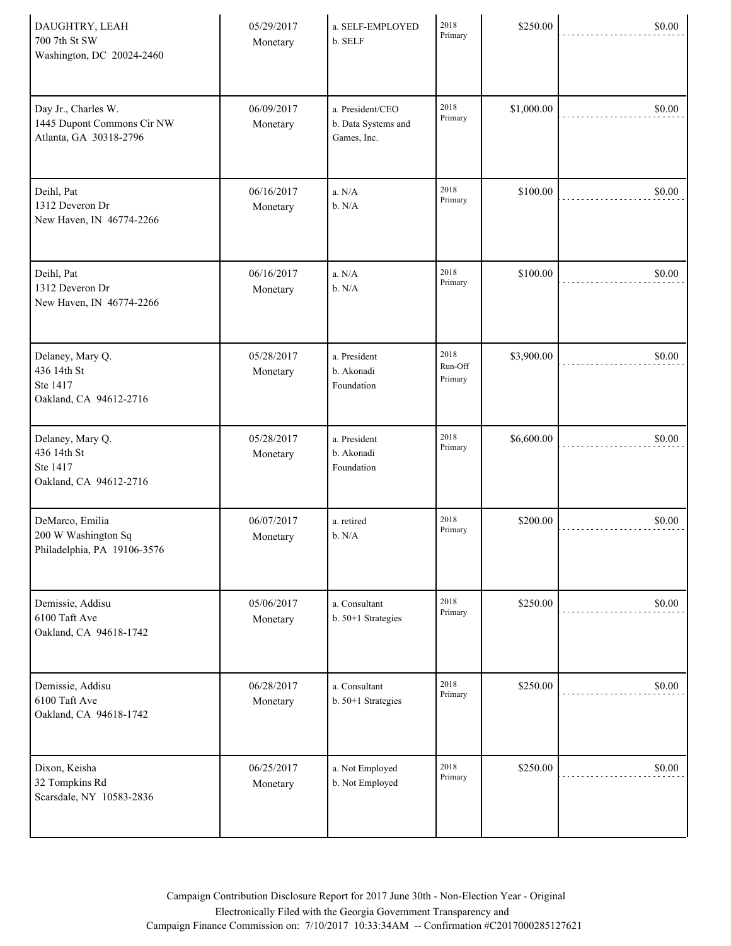| DAUGHTRY, LEAH<br>700 7th St SW<br>Washington, DC 20024-2460                | 05/29/2017<br>Monetary | a. SELF-EMPLOYED<br>b. SELF                            | 2018<br>Primary            | \$250.00   | \$0.00 |
|-----------------------------------------------------------------------------|------------------------|--------------------------------------------------------|----------------------------|------------|--------|
| Day Jr., Charles W.<br>1445 Dupont Commons Cir NW<br>Atlanta, GA 30318-2796 | 06/09/2017<br>Monetary | a. President/CEO<br>b. Data Systems and<br>Games, Inc. | 2018<br>Primary            | \$1,000.00 | \$0.00 |
| Deihl, Pat<br>1312 Deveron Dr<br>New Haven, IN 46774-2266                   | 06/16/2017<br>Monetary | a. N/A<br>b. N/A                                       | 2018<br>Primary            | \$100.00   | \$0.00 |
| Deihl, Pat<br>1312 Deveron Dr<br>New Haven, IN 46774-2266                   | 06/16/2017<br>Monetary | a. N/A<br>b. N/A                                       | 2018<br>Primary            | \$100.00   | \$0.00 |
| Delaney, Mary Q.<br>436 14th St<br>Ste 1417<br>Oakland, CA 94612-2716       | 05/28/2017<br>Monetary | a. President<br>b. Akonadi<br>Foundation               | 2018<br>Run-Off<br>Primary | \$3,900.00 | \$0.00 |
| Delaney, Mary Q.<br>436 14th St<br>Ste 1417<br>Oakland, CA 94612-2716       | 05/28/2017<br>Monetary | a. President<br>b. Akonadi<br>Foundation               | 2018<br>Primary            | \$6,600.00 | \$0.00 |
| DeMarco, Emilia<br>200 W Washington Sq<br>Philadelphia, PA 19106-3576       | 06/07/2017<br>Monetary | a. retired<br>b. N/A                                   | 2018<br>Primary            | \$200.00   | \$0.00 |
| Demissie, Addisu<br>6100 Taft Ave<br>Oakland, CA 94618-1742                 | 05/06/2017<br>Monetary | a. Consultant<br>b. 50+1 Strategies                    | 2018<br>Primary            | \$250.00   | \$0.00 |
| Demissie, Addisu<br>6100 Taft Ave<br>Oakland, CA 94618-1742                 | 06/28/2017<br>Monetary | a. Consultant<br>b. 50+1 Strategies                    | 2018<br>Primary            | \$250.00   | \$0.00 |
| Dixon, Keisha<br>32 Tompkins Rd<br>Scarsdale, NY 10583-2836                 | 06/25/2017<br>Monetary | a. Not Employed<br>b. Not Employed                     | 2018<br>Primary            | \$250.00   | \$0.00 |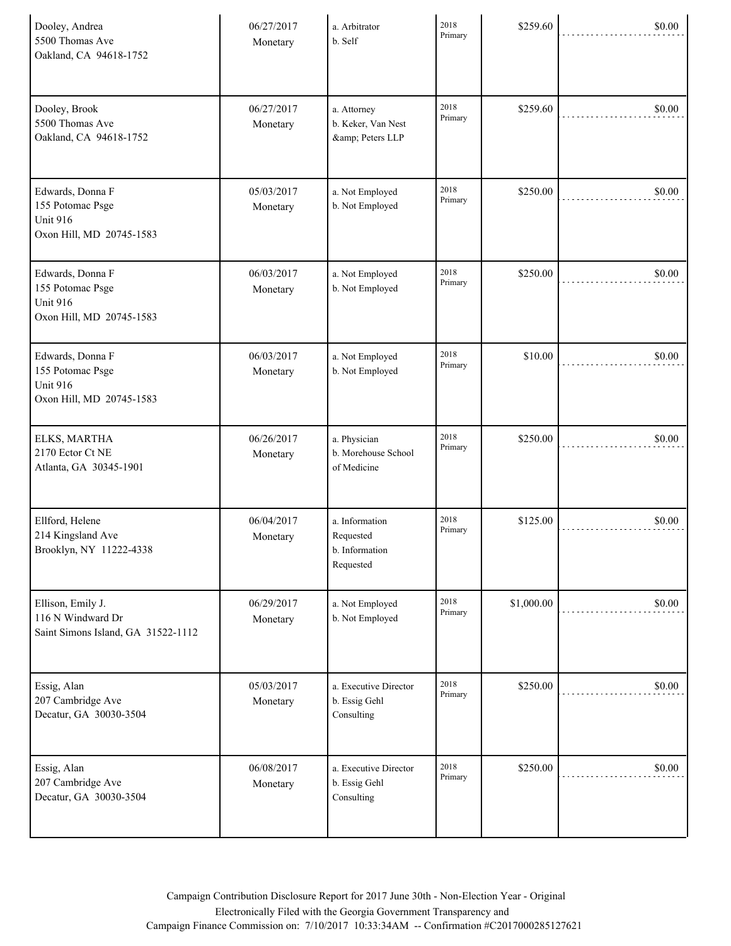| Dooley, Andrea<br>5500 Thomas Ave<br>Oakland, CA 94618-1752                         | 06/27/2017<br>Monetary | a. Arbitrator<br>b. Self                                   | 2018<br>Primary | \$259.60   | \$0.00 |
|-------------------------------------------------------------------------------------|------------------------|------------------------------------------------------------|-----------------|------------|--------|
| Dooley, Brook<br>5500 Thomas Ave<br>Oakland, CA 94618-1752                          | 06/27/2017<br>Monetary | a. Attorney<br>b. Keker, Van Nest<br>& Peters LLP          | 2018<br>Primary | \$259.60   | \$0.00 |
| Edwards, Donna F<br>155 Potomac Psge<br><b>Unit 916</b><br>Oxon Hill, MD 20745-1583 | 05/03/2017<br>Monetary | a. Not Employed<br>b. Not Employed                         | 2018<br>Primary | \$250.00   | \$0.00 |
| Edwards, Donna F<br>155 Potomac Psge<br><b>Unit 916</b><br>Oxon Hill, MD 20745-1583 | 06/03/2017<br>Monetary | a. Not Employed<br>b. Not Employed                         | 2018<br>Primary | \$250.00   | \$0.00 |
| Edwards, Donna F<br>155 Potomac Psge<br><b>Unit 916</b><br>Oxon Hill, MD 20745-1583 | 06/03/2017<br>Monetary | a. Not Employed<br>b. Not Employed                         | 2018<br>Primary | \$10.00    | \$0.00 |
| ELKS, MARTHA<br>2170 Ector Ct NE<br>Atlanta, GA 30345-1901                          | 06/26/2017<br>Monetary | a. Physician<br>b. Morehouse School<br>of Medicine         | 2018<br>Primary | \$250.00   | \$0.00 |
| Ellford, Helene<br>214 Kingsland Ave<br>Brooklyn, NY 11222-4338                     | 06/04/2017<br>Monetary | a. Information<br>Requested<br>b. Information<br>Requested | 2018<br>Primary | \$125.00   | \$0.00 |
| Ellison, Emily J.<br>116 N Windward Dr<br>Saint Simons Island, GA 31522-1112        | 06/29/2017<br>Monetary | a. Not Employed<br>b. Not Employed                         | 2018<br>Primary | \$1,000.00 | \$0.00 |
| Essig, Alan<br>207 Cambridge Ave<br>Decatur, GA 30030-3504                          | 05/03/2017<br>Monetary | a. Executive Director<br>b. Essig Gehl<br>Consulting       | 2018<br>Primary | \$250.00   | \$0.00 |
| Essig, Alan<br>207 Cambridge Ave<br>Decatur, GA 30030-3504                          | 06/08/2017<br>Monetary | a. Executive Director<br>b. Essig Gehl<br>Consulting       | 2018<br>Primary | \$250.00   | \$0.00 |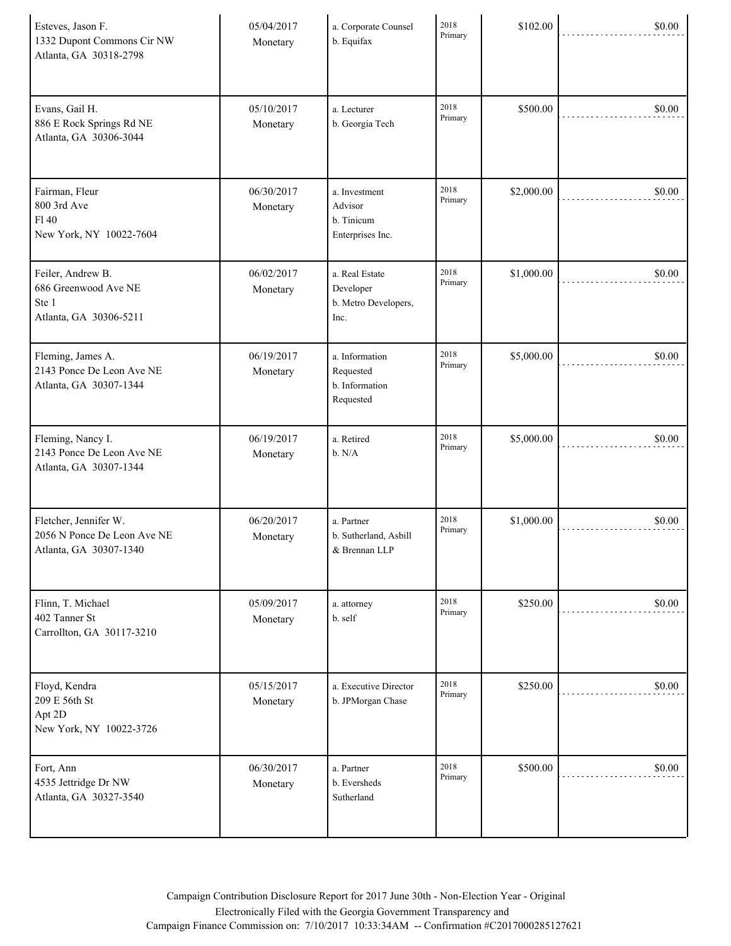| Esteves, Jason F.<br>1332 Dupont Commons Cir NW<br>Atlanta, GA 30318-2798      | 05/04/2017<br>Monetary | a. Corporate Counsel<br>b. Equifax                          | 2018<br>Primary | \$102.00   | \$0.00 |
|--------------------------------------------------------------------------------|------------------------|-------------------------------------------------------------|-----------------|------------|--------|
| Evans, Gail H.<br>886 E Rock Springs Rd NE<br>Atlanta, GA 30306-3044           | 05/10/2017<br>Monetary | a. Lecturer<br>b. Georgia Tech                              | 2018<br>Primary | \$500.00   | \$0.00 |
| Fairman, Fleur<br>800 3rd Ave<br>F140<br>New York, NY 10022-7604               | 06/30/2017<br>Monetary | a. Investment<br>Advisor<br>b. Tinicum<br>Enterprises Inc.  | 2018<br>Primary | \$2,000.00 | \$0.00 |
| Feiler, Andrew B.<br>686 Greenwood Ave NE<br>Ste 1<br>Atlanta, GA 30306-5211   | 06/02/2017<br>Monetary | a. Real Estate<br>Developer<br>b. Metro Developers,<br>Inc. | 2018<br>Primary | \$1,000.00 | \$0.00 |
| Fleming, James A.<br>2143 Ponce De Leon Ave NE<br>Atlanta, GA 30307-1344       | 06/19/2017<br>Monetary | a. Information<br>Requested<br>b. Information<br>Requested  | 2018<br>Primary | \$5,000.00 | \$0.00 |
| Fleming, Nancy I.<br>2143 Ponce De Leon Ave NE<br>Atlanta, GA 30307-1344       | 06/19/2017<br>Monetary | a. Retired<br>b. N/A                                        | 2018<br>Primary | \$5,000.00 | \$0.00 |
| Fletcher, Jennifer W.<br>2056 N Ponce De Leon Ave NE<br>Atlanta, GA 30307-1340 | 06/20/2017<br>Monetary | a. Partner<br>b. Sutherland, Asbill<br>& Brennan LLP        | 2018<br>Primary | \$1,000.00 | \$0.00 |
| Flinn, T. Michael<br>402 Tanner St<br>Carrollton, GA 30117-3210                | 05/09/2017<br>Monetary | a. attorney<br>b. self                                      | 2018<br>Primary | \$250.00   | \$0.00 |
| Floyd, Kendra<br>209 E 56th St<br>Apt 2D<br>New York, NY 10022-3726            | 05/15/2017<br>Monetary | a. Executive Director<br>b. JPMorgan Chase                  | 2018<br>Primary | \$250.00   | \$0.00 |
| Fort, Ann<br>4535 Jettridge Dr NW<br>Atlanta, GA 30327-3540                    | 06/30/2017<br>Monetary | a. Partner<br>b. Eversheds<br>Sutherland                    | 2018<br>Primary | \$500.00   | \$0.00 |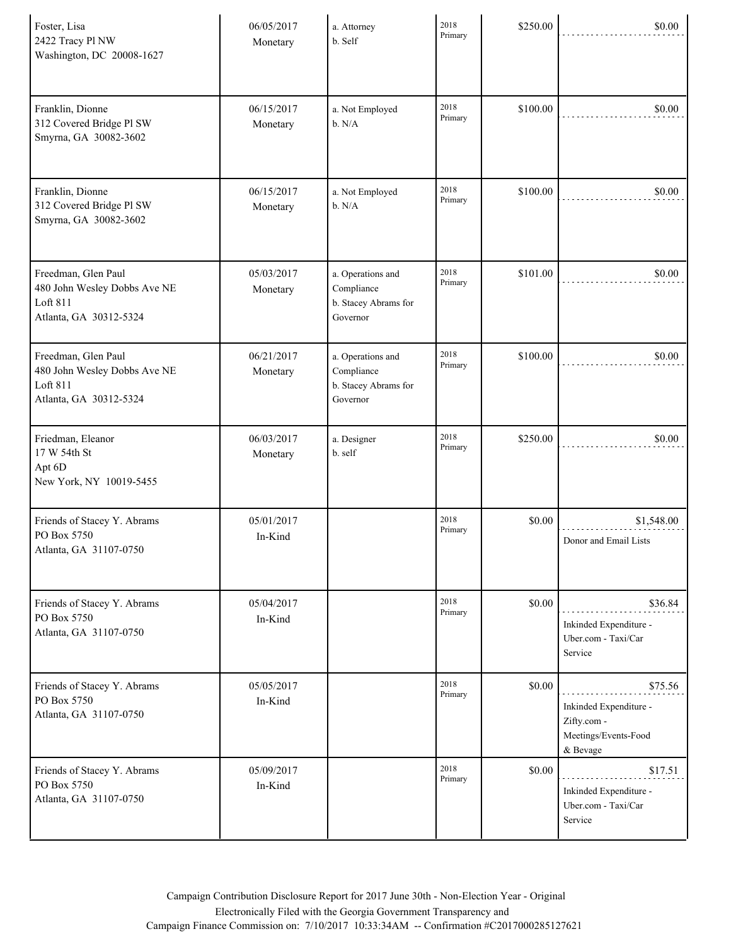| Foster, Lisa<br>2422 Tracy Pl NW<br>Washington, DC 20008-1627                             | 06/05/2017<br>Monetary | a. Attorney<br>b. Self                                              | 2018<br>Primary | \$250.00 | \$0.00                                                                               |
|-------------------------------------------------------------------------------------------|------------------------|---------------------------------------------------------------------|-----------------|----------|--------------------------------------------------------------------------------------|
| Franklin, Dionne<br>312 Covered Bridge Pl SW<br>Smyrna, GA 30082-3602                     | 06/15/2017<br>Monetary | a. Not Employed<br>b. N/A                                           | 2018<br>Primary | \$100.00 | \$0.00                                                                               |
| Franklin, Dionne<br>312 Covered Bridge Pl SW<br>Smyrna, GA 30082-3602                     | 06/15/2017<br>Monetary | a. Not Employed<br>b. N/A                                           | 2018<br>Primary | \$100.00 | \$0.00                                                                               |
| Freedman, Glen Paul<br>480 John Wesley Dobbs Ave NE<br>Loft 811<br>Atlanta, GA 30312-5324 | 05/03/2017<br>Monetary | a. Operations and<br>Compliance<br>b. Stacey Abrams for<br>Governor | 2018<br>Primary | \$101.00 | \$0.00                                                                               |
| Freedman, Glen Paul<br>480 John Wesley Dobbs Ave NE<br>Loft 811<br>Atlanta, GA 30312-5324 | 06/21/2017<br>Monetary | a. Operations and<br>Compliance<br>b. Stacey Abrams for<br>Governor | 2018<br>Primary | \$100.00 | \$0.00                                                                               |
| Friedman, Eleanor<br>17 W 54th St<br>Apt 6D<br>New York, NY 10019-5455                    | 06/03/2017<br>Monetary | a. Designer<br>b. self                                              | 2018<br>Primary | \$250.00 | \$0.00                                                                               |
| Friends of Stacey Y. Abrams<br>PO Box 5750<br>Atlanta, GA 31107-0750                      | 05/01/2017<br>In-Kind  |                                                                     | 2018<br>Primary | \$0.00   | \$1,548.00<br>Donor and Email Lists                                                  |
| Friends of Stacey Y. Abrams<br>PO Box 5750<br>Atlanta, GA 31107-0750                      | 05/04/2017<br>In-Kind  |                                                                     | 2018<br>Primary | \$0.00   | \$36.84<br>Inkinded Expenditure -<br>Uber.com - Taxi/Car<br>Service                  |
| Friends of Stacey Y. Abrams<br>PO Box 5750<br>Atlanta, GA 31107-0750                      | 05/05/2017<br>In-Kind  |                                                                     | 2018<br>Primary | \$0.00   | \$75.56<br>Inkinded Expenditure -<br>Zifty.com -<br>Meetings/Events-Food<br>& Bevage |
| Friends of Stacey Y. Abrams<br>PO Box 5750<br>Atlanta, GA 31107-0750                      | 05/09/2017<br>In-Kind  |                                                                     | 2018<br>Primary | \$0.00   | \$17.51<br>Inkinded Expenditure -<br>Uber.com - Taxi/Car<br>Service                  |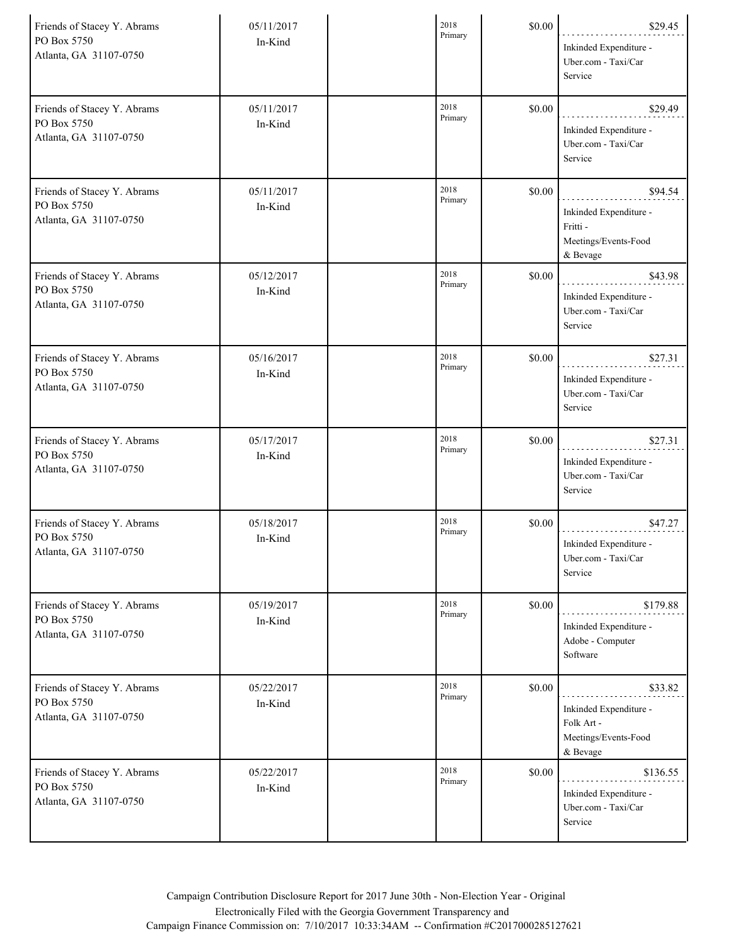| Friends of Stacey Y. Abrams<br>PO Box 5750<br>Atlanta, GA 31107-0750 | 05/11/2017<br>In-Kind | 2018<br>Primary | \$0.00 | \$29.45<br>Inkinded Expenditure -<br>Uber.com - Taxi/Car<br>Service                 |
|----------------------------------------------------------------------|-----------------------|-----------------|--------|-------------------------------------------------------------------------------------|
| Friends of Stacey Y. Abrams<br>PO Box 5750<br>Atlanta, GA 31107-0750 | 05/11/2017<br>In-Kind | 2018<br>Primary | \$0.00 | \$29.49<br>Inkinded Expenditure -<br>Uber.com - Taxi/Car<br>Service                 |
| Friends of Stacey Y. Abrams<br>PO Box 5750<br>Atlanta, GA 31107-0750 | 05/11/2017<br>In-Kind | 2018<br>Primary | \$0.00 | \$94.54<br>Inkinded Expenditure -<br>Fritti -<br>Meetings/Events-Food<br>& Bevage   |
| Friends of Stacey Y. Abrams<br>PO Box 5750<br>Atlanta, GA 31107-0750 | 05/12/2017<br>In-Kind | 2018<br>Primary | \$0.00 | \$43.98<br>Inkinded Expenditure -<br>Uber.com - Taxi/Car<br>Service                 |
| Friends of Stacey Y. Abrams<br>PO Box 5750<br>Atlanta, GA 31107-0750 | 05/16/2017<br>In-Kind | 2018<br>Primary | \$0.00 | \$27.31<br>Inkinded Expenditure -<br>Uber.com - Taxi/Car<br>Service                 |
| Friends of Stacey Y. Abrams<br>PO Box 5750<br>Atlanta, GA 31107-0750 | 05/17/2017<br>In-Kind | 2018<br>Primary | \$0.00 | \$27.31<br>Inkinded Expenditure -<br>Uber.com - Taxi/Car<br>Service                 |
| Friends of Stacey Y. Abrams<br>PO Box 5750<br>Atlanta, GA 31107-0750 | 05/18/2017<br>In-Kind | 2018<br>Primary | \$0.00 | \$47.27<br>Inkinded Expenditure -<br>Uber.com - Taxi/Car<br>Service                 |
| Friends of Stacey Y. Abrams<br>PO Box 5750<br>Atlanta, GA 31107-0750 | 05/19/2017<br>In-Kind | 2018<br>Primary | \$0.00 | \$179.88<br>Inkinded Expenditure -<br>Adobe - Computer<br>Software                  |
| Friends of Stacey Y. Abrams<br>PO Box 5750<br>Atlanta, GA 31107-0750 | 05/22/2017<br>In-Kind | 2018<br>Primary | \$0.00 | \$33.82<br>Inkinded Expenditure -<br>Folk Art -<br>Meetings/Events-Food<br>& Bevage |
| Friends of Stacey Y. Abrams<br>PO Box 5750<br>Atlanta, GA 31107-0750 | 05/22/2017<br>In-Kind | 2018<br>Primary | \$0.00 | \$136.55<br>Inkinded Expenditure -<br>Uber.com - Taxi/Car<br>Service                |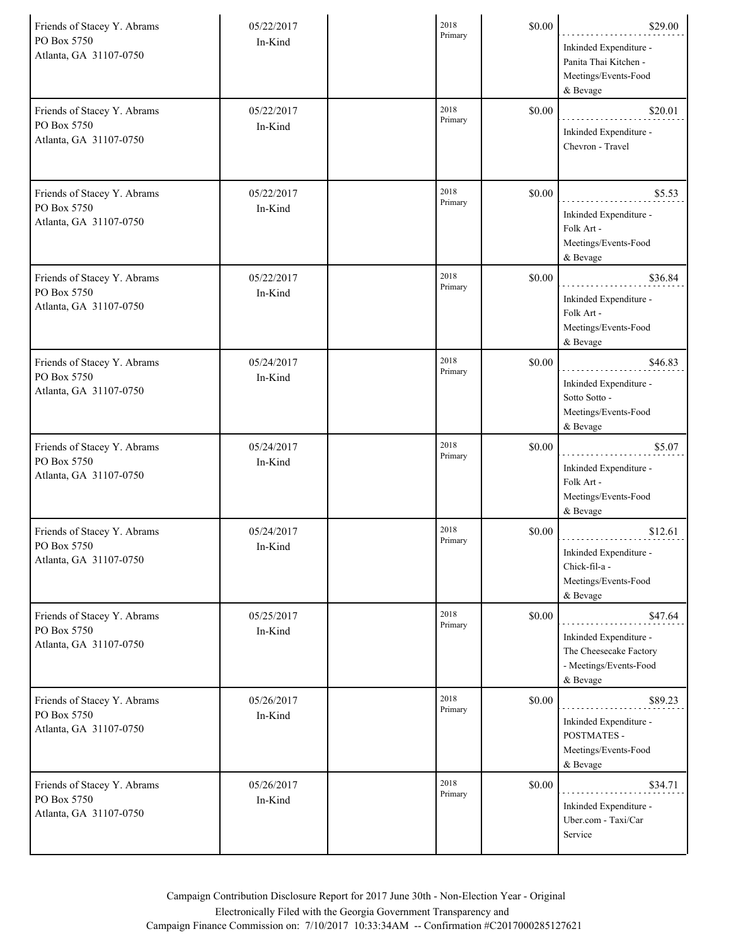| Friends of Stacey Y. Abrams<br>PO Box 5750<br>Atlanta, GA 31107-0750 | 05/22/2017<br>In-Kind | 2018<br>Primary | \$0.00 | \$29.00<br>Inkinded Expenditure -<br>Panita Thai Kitchen -<br>Meetings/Events-Food<br>& Bevage    |
|----------------------------------------------------------------------|-----------------------|-----------------|--------|---------------------------------------------------------------------------------------------------|
| Friends of Stacey Y. Abrams<br>PO Box 5750<br>Atlanta, GA 31107-0750 | 05/22/2017<br>In-Kind | 2018<br>Primary | \$0.00 | \$20.01<br>Inkinded Expenditure -<br>Chevron - Travel                                             |
| Friends of Stacey Y. Abrams<br>PO Box 5750<br>Atlanta, GA 31107-0750 | 05/22/2017<br>In-Kind | 2018<br>Primary | \$0.00 | \$5.53<br>Inkinded Expenditure -<br>Folk Art -<br>Meetings/Events-Food<br>& Bevage                |
| Friends of Stacey Y. Abrams<br>PO Box 5750<br>Atlanta, GA 31107-0750 | 05/22/2017<br>In-Kind | 2018<br>Primary | \$0.00 | \$36.84<br>Inkinded Expenditure -<br>Folk Art -<br>Meetings/Events-Food<br>& Bevage               |
| Friends of Stacey Y. Abrams<br>PO Box 5750<br>Atlanta, GA 31107-0750 | 05/24/2017<br>In-Kind | 2018<br>Primary | \$0.00 | \$46.83<br>Inkinded Expenditure -<br>Sotto Sotto -<br>Meetings/Events-Food<br>& Bevage            |
| Friends of Stacey Y. Abrams<br>PO Box 5750<br>Atlanta, GA 31107-0750 | 05/24/2017<br>In-Kind | 2018<br>Primary | \$0.00 | \$5.07<br>Inkinded Expenditure -<br>Folk Art -<br>Meetings/Events-Food<br>& Bevage                |
| Friends of Stacey Y. Abrams<br>PO Box 5750<br>Atlanta, GA 31107-0750 | 05/24/2017<br>In-Kind | 2018<br>Primary | \$0.00 | \$12.61<br>Inkinded Expenditure -<br>Chick-fil-a -<br>Meetings/Events-Food<br>& Bevage            |
| Friends of Stacey Y. Abrams<br>PO Box 5750<br>Atlanta, GA 31107-0750 | 05/25/2017<br>In-Kind | 2018<br>Primary | \$0.00 | \$47.64<br>Inkinded Expenditure -<br>The Cheesecake Factory<br>- Meetings/Events-Food<br>& Bevage |
| Friends of Stacey Y. Abrams<br>PO Box 5750<br>Atlanta, GA 31107-0750 | 05/26/2017<br>In-Kind | 2018<br>Primary | \$0.00 | \$89.23<br>Inkinded Expenditure -<br>POSTMATES -<br>Meetings/Events-Food<br>& Bevage              |
| Friends of Stacey Y. Abrams<br>PO Box 5750<br>Atlanta, GA 31107-0750 | 05/26/2017<br>In-Kind | 2018<br>Primary | \$0.00 | \$34.71<br>Inkinded Expenditure -<br>Uber.com - Taxi/Car<br>Service                               |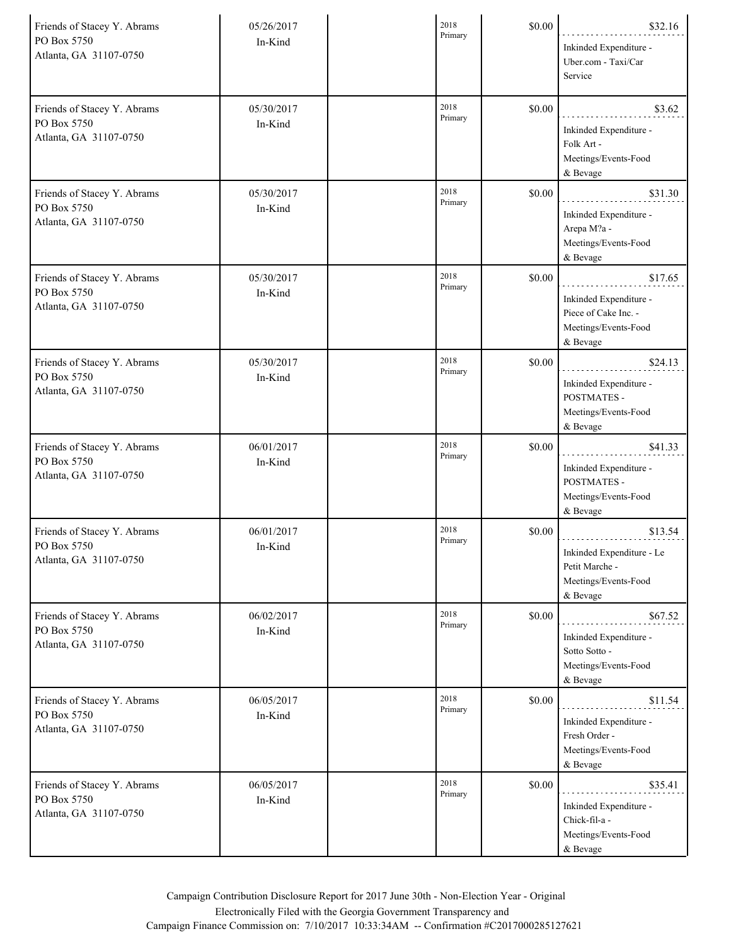| Friends of Stacey Y. Abrams<br>PO Box 5750<br>Atlanta, GA 31107-0750 | 05/26/2017<br>In-Kind | 2018<br>Primary | \$0.00 | \$32.16<br>Inkinded Expenditure -<br>Uber.com - Taxi/Car<br>Service                           |
|----------------------------------------------------------------------|-----------------------|-----------------|--------|-----------------------------------------------------------------------------------------------|
| Friends of Stacey Y. Abrams<br>PO Box 5750<br>Atlanta, GA 31107-0750 | 05/30/2017<br>In-Kind | 2018<br>Primary | \$0.00 | \$3.62<br>Inkinded Expenditure -<br>Folk Art -<br>Meetings/Events-Food<br>& Bevage            |
| Friends of Stacey Y. Abrams<br>PO Box 5750<br>Atlanta, GA 31107-0750 | 05/30/2017<br>In-Kind | 2018<br>Primary | \$0.00 | \$31.30<br>Inkinded Expenditure -<br>Arepa M?a -<br>Meetings/Events-Food<br>& Bevage          |
| Friends of Stacey Y. Abrams<br>PO Box 5750<br>Atlanta, GA 31107-0750 | 05/30/2017<br>In-Kind | 2018<br>Primary | \$0.00 | \$17.65<br>Inkinded Expenditure -<br>Piece of Cake Inc. -<br>Meetings/Events-Food<br>& Bevage |
| Friends of Stacey Y. Abrams<br>PO Box 5750<br>Atlanta, GA 31107-0750 | 05/30/2017<br>In-Kind | 2018<br>Primary | \$0.00 | \$24.13<br>Inkinded Expenditure -<br>POSTMATES -<br>Meetings/Events-Food<br>& Bevage          |
| Friends of Stacey Y. Abrams<br>PO Box 5750<br>Atlanta, GA 31107-0750 | 06/01/2017<br>In-Kind | 2018<br>Primary | \$0.00 | \$41.33<br>Inkinded Expenditure -<br>POSTMATES -<br>Meetings/Events-Food<br>& Bevage          |
| Friends of Stacey Y. Abrams<br>PO Box 5750<br>Atlanta, GA 31107-0750 | 06/01/2017<br>In-Kind | 2018<br>Primary | \$0.00 | \$13.54<br>Inkinded Expenditure - Le<br>Petit Marche -<br>Meetings/Events-Food<br>& Bevage    |
| Friends of Stacey Y. Abrams<br>PO Box 5750<br>Atlanta, GA 31107-0750 | 06/02/2017<br>In-Kind | 2018<br>Primary | \$0.00 | \$67.52<br>Inkinded Expenditure -<br>Sotto Sotto -<br>Meetings/Events-Food<br>& Bevage        |
| Friends of Stacey Y. Abrams<br>PO Box 5750<br>Atlanta, GA 31107-0750 | 06/05/2017<br>In-Kind | 2018<br>Primary | \$0.00 | \$11.54<br>Inkinded Expenditure -<br>Fresh Order -<br>Meetings/Events-Food<br>& Bevage        |
| Friends of Stacey Y. Abrams<br>PO Box 5750<br>Atlanta, GA 31107-0750 | 06/05/2017<br>In-Kind | 2018<br>Primary | \$0.00 | \$35.41<br>Inkinded Expenditure -<br>Chick-fil-a -<br>Meetings/Events-Food<br>& Bevage        |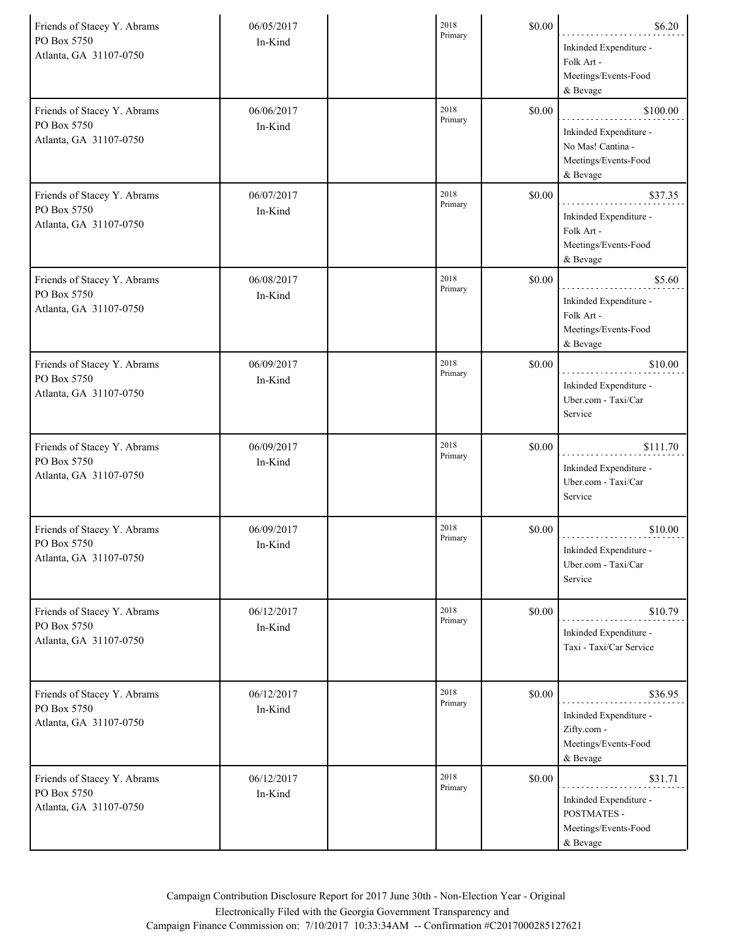| Friends of Stacey Y. Abrams<br>PO Box 5750<br>Atlanta, GA 31107-0750 | 06/05/2017<br>In-Kind | 2018<br>Primary | \$0.00 | \$6.20<br>Inkinded Expenditure -<br>Folk Art -<br>Meetings/Events-Food<br>& Bevage          |
|----------------------------------------------------------------------|-----------------------|-----------------|--------|---------------------------------------------------------------------------------------------|
| Friends of Stacey Y. Abrams<br>PO Box 5750<br>Atlanta, GA 31107-0750 | 06/06/2017<br>In-Kind | 2018<br>Primary | \$0.00 | \$100.00<br>Inkinded Expenditure -<br>No Mas! Cantina -<br>Meetings/Events-Food<br>& Bevage |
| Friends of Stacey Y. Abrams<br>PO Box 5750<br>Atlanta, GA 31107-0750 | 06/07/2017<br>In-Kind | 2018<br>Primary | \$0.00 | \$37.35<br>Inkinded Expenditure -<br>Folk Art -<br>Meetings/Events-Food<br>& Bevage         |
| Friends of Stacey Y. Abrams<br>PO Box 5750<br>Atlanta, GA 31107-0750 | 06/08/2017<br>In-Kind | 2018<br>Primary | \$0.00 | \$5.60<br>Inkinded Expenditure -<br>Folk Art -<br>Meetings/Events-Food<br>& Bevage          |
| Friends of Stacey Y. Abrams<br>PO Box 5750<br>Atlanta, GA 31107-0750 | 06/09/2017<br>In-Kind | 2018<br>Primary | \$0.00 | \$10.00<br>Inkinded Expenditure -<br>Uber.com - Taxi/Car<br>Service                         |
| Friends of Stacey Y. Abrams<br>PO Box 5750<br>Atlanta, GA 31107-0750 | 06/09/2017<br>In-Kind | 2018<br>Primary | \$0.00 | \$111.70<br>Inkinded Expenditure -<br>Uber.com - Taxi/Car<br>Service                        |
| Friends of Stacey Y. Abrams<br>PO Box 5750<br>Atlanta, GA 31107-0750 | 06/09/2017<br>In-Kind | 2018<br>Primary | \$0.00 | \$10.00<br>Inkinded Expenditure -<br>Uber.com - Taxi/Car<br>Service                         |
| Friends of Stacey Y. Abrams<br>PO Box 5750<br>Atlanta, GA 31107-0750 | 06/12/2017<br>In-Kind | 2018<br>Primary | \$0.00 | \$10.79<br>Inkinded Expenditure -<br>Taxi - Taxi/Car Service                                |
| Friends of Stacey Y. Abrams<br>PO Box 5750<br>Atlanta, GA 31107-0750 | 06/12/2017<br>In-Kind | 2018<br>Primary | \$0.00 | \$36.95<br>Inkinded Expenditure -<br>Zifty.com -<br>Meetings/Events-Food<br>& Bevage        |
| Friends of Stacey Y. Abrams<br>PO Box 5750<br>Atlanta, GA 31107-0750 | 06/12/2017<br>In-Kind | 2018<br>Primary | \$0.00 | \$31.71<br>Inkinded Expenditure -<br>POSTMATES -<br>Meetings/Events-Food<br>& Bevage        |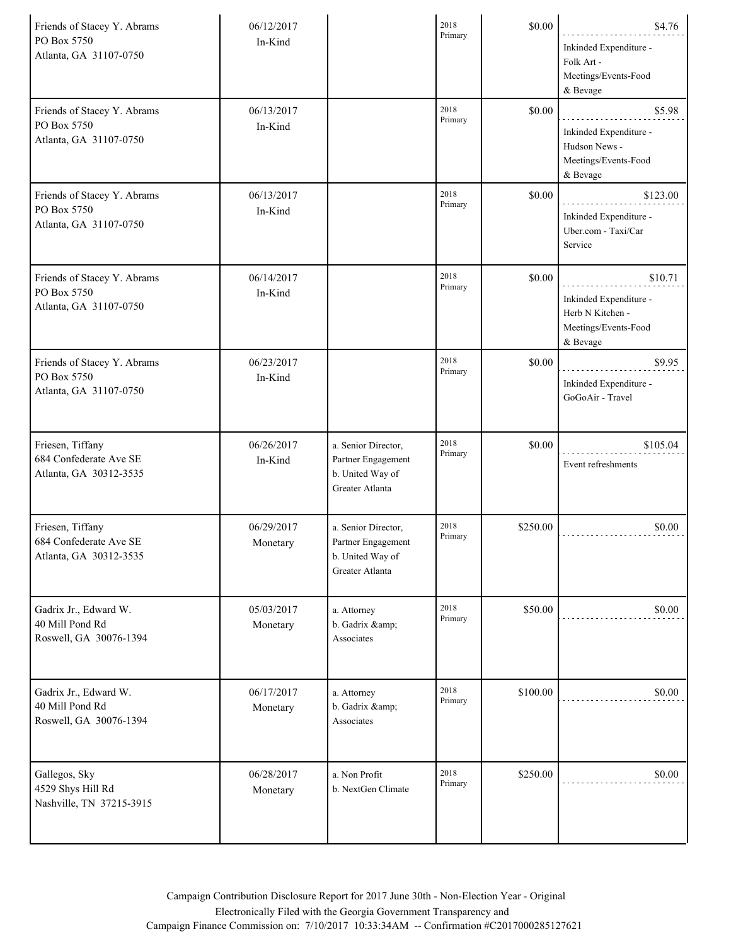| Friends of Stacey Y. Abrams<br>PO Box 5750<br>Atlanta, GA 31107-0750 | 06/12/2017<br>In-Kind  |                                                                                  | 2018<br>Primary | \$0.00   | \$4.76<br>Inkinded Expenditure -<br>Folk Art -<br>Meetings/Events-Food<br>& Bevage        |
|----------------------------------------------------------------------|------------------------|----------------------------------------------------------------------------------|-----------------|----------|-------------------------------------------------------------------------------------------|
| Friends of Stacey Y. Abrams<br>PO Box 5750<br>Atlanta, GA 31107-0750 | 06/13/2017<br>In-Kind  |                                                                                  | 2018<br>Primary | \$0.00   | \$5.98<br>Inkinded Expenditure -<br>Hudson News -<br>Meetings/Events-Food<br>& Bevage     |
| Friends of Stacey Y. Abrams<br>PO Box 5750<br>Atlanta, GA 31107-0750 | 06/13/2017<br>In-Kind  |                                                                                  | 2018<br>Primary | \$0.00   | \$123.00<br>Inkinded Expenditure -<br>Uber.com - Taxi/Car<br>Service                      |
| Friends of Stacey Y. Abrams<br>PO Box 5750<br>Atlanta, GA 31107-0750 | 06/14/2017<br>In-Kind  |                                                                                  | 2018<br>Primary | \$0.00   | \$10.71<br>Inkinded Expenditure -<br>Herb N Kitchen -<br>Meetings/Events-Food<br>& Bevage |
| Friends of Stacey Y. Abrams<br>PO Box 5750<br>Atlanta, GA 31107-0750 | 06/23/2017<br>In-Kind  |                                                                                  | 2018<br>Primary | \$0.00   | \$9.95<br>Inkinded Expenditure -<br>GoGoAir - Travel                                      |
| Friesen, Tiffany<br>684 Confederate Ave SE<br>Atlanta, GA 30312-3535 | 06/26/2017<br>In-Kind  | a. Senior Director,<br>Partner Engagement<br>b. United Way of<br>Greater Atlanta | 2018<br>Primary | \$0.00   | \$105.04<br>Event refreshments                                                            |
| Friesen, Tiffany<br>684 Confederate Ave SE<br>Atlanta, GA 30312-3535 | 06/29/2017<br>Monetary | a. Senior Director,<br>Partner Engagement<br>b. United Way of<br>Greater Atlanta | 2018<br>Primary | \$250.00 | \$0.00                                                                                    |
| Gadrix Jr., Edward W.<br>40 Mill Pond Rd<br>Roswell, GA 30076-1394   | 05/03/2017<br>Monetary | a. Attorney<br>b. Gadrix &<br>Associates                                         | 2018<br>Primary | \$50.00  | \$0.00                                                                                    |
| Gadrix Jr., Edward W.<br>40 Mill Pond Rd<br>Roswell, GA 30076-1394   | 06/17/2017<br>Monetary | a. Attorney<br>b. Gadrix &<br>Associates                                         | 2018<br>Primary | \$100.00 | \$0.00                                                                                    |
| Gallegos, Sky<br>4529 Shys Hill Rd<br>Nashville, TN 37215-3915       | 06/28/2017<br>Monetary | a. Non Profit<br>b. NextGen Climate                                              | 2018<br>Primary | \$250.00 | \$0.00                                                                                    |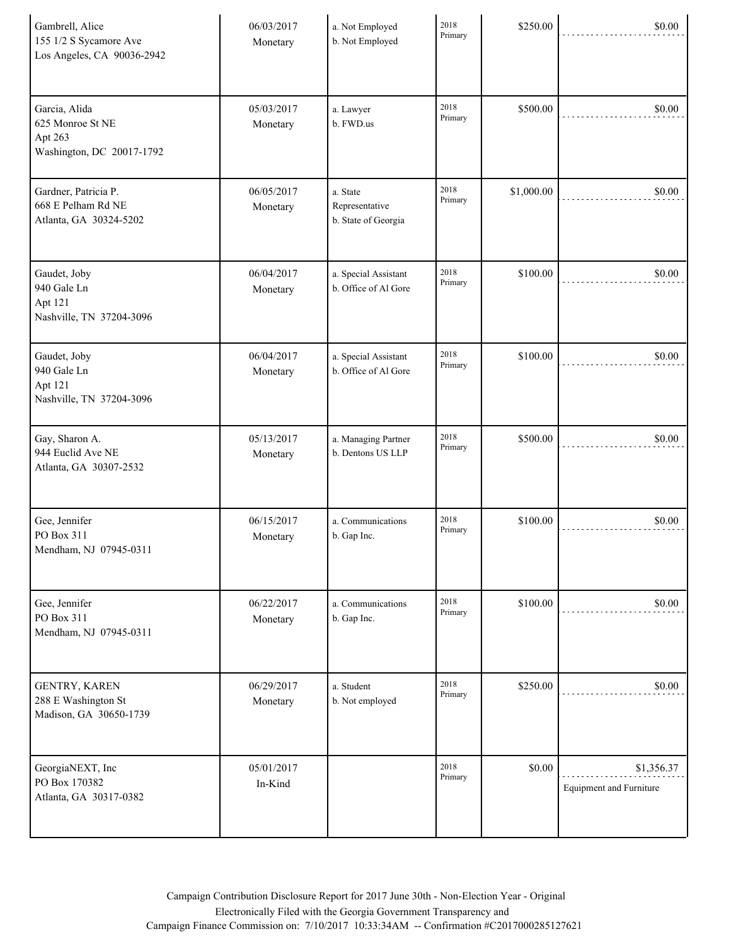| Gambrell, Alice<br>155 1/2 S Sycamore Ave<br>Los Angeles, CA 90036-2942   | 06/03/2017<br>Monetary | a. Not Employed<br>b. Not Employed                | 2018<br>Primary | \$250.00   | \$0.00                                       |
|---------------------------------------------------------------------------|------------------------|---------------------------------------------------|-----------------|------------|----------------------------------------------|
| Garcia, Alida<br>625 Monroe St NE<br>Apt 263<br>Washington, DC 20017-1792 | 05/03/2017<br>Monetary | a. Lawyer<br>b. FWD.us                            | 2018<br>Primary | \$500.00   | \$0.00                                       |
| Gardner, Patricia P.<br>668 E Pelham Rd NE<br>Atlanta, GA 30324-5202      | 06/05/2017<br>Monetary | a. State<br>Representative<br>b. State of Georgia | 2018<br>Primary | \$1,000.00 | \$0.00                                       |
| Gaudet, Joby<br>940 Gale Ln<br>Apt 121<br>Nashville, TN 37204-3096        | 06/04/2017<br>Monetary | a. Special Assistant<br>b. Office of Al Gore      | 2018<br>Primary | \$100.00   | \$0.00                                       |
| Gaudet, Joby<br>940 Gale Ln<br>Apt 121<br>Nashville, TN 37204-3096        | 06/04/2017<br>Monetary | a. Special Assistant<br>b. Office of Al Gore      | 2018<br>Primary | \$100.00   | \$0.00                                       |
| Gay, Sharon A.<br>944 Euclid Ave NE<br>Atlanta, GA 30307-2532             | 05/13/2017<br>Monetary | a. Managing Partner<br>b. Dentons US LLP          | 2018<br>Primary | \$500.00   | \$0.00                                       |
| Gee, Jennifer<br>PO Box 311<br>Mendham, NJ 07945-0311                     | 06/15/2017<br>Monetary | a. Communications<br>b. Gap Inc.                  | 2018<br>Primary | \$100.00   | \$0.00                                       |
| Gee, Jennifer<br>PO Box 311<br>Mendham, NJ 07945-0311                     | 06/22/2017<br>Monetary | a. Communications<br>b. Gap Inc.                  | 2018<br>Primary | \$100.00   | \$0.00                                       |
| <b>GENTRY, KAREN</b><br>288 E Washington St<br>Madison, GA 30650-1739     | 06/29/2017<br>Monetary | a. Student<br>b. Not employed                     | 2018<br>Primary | \$250.00   | \$0.00                                       |
| GeorgiaNEXT, Inc<br>PO Box 170382<br>Atlanta, GA 30317-0382               | 05/01/2017<br>In-Kind  |                                                   | 2018<br>Primary | \$0.00     | \$1,356.37<br><b>Equipment and Furniture</b> |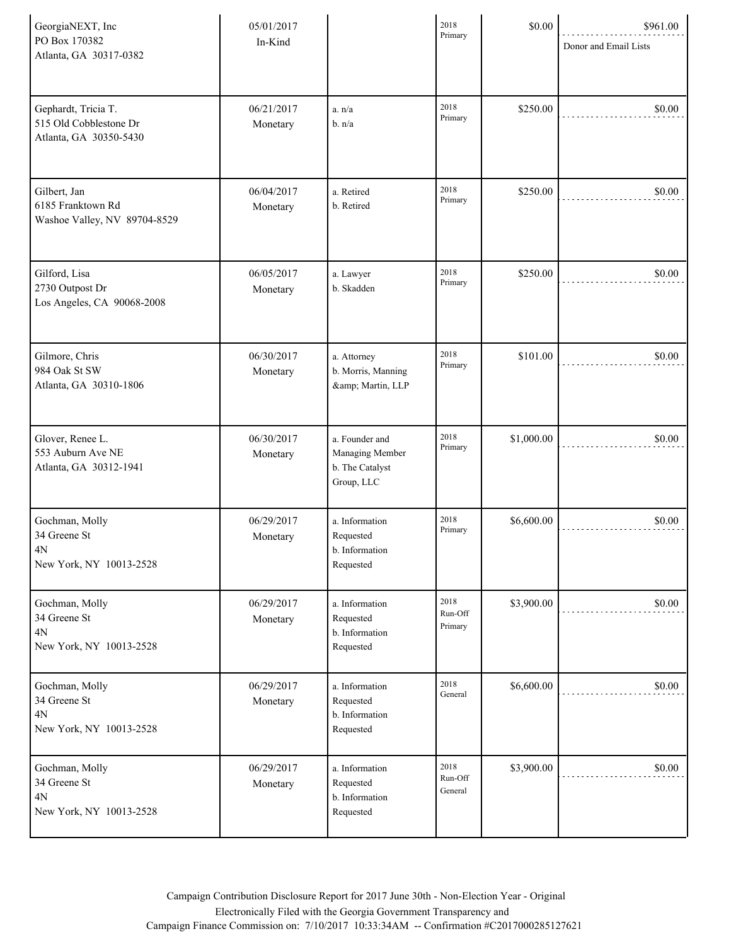| GeorgiaNEXT, Inc<br>PO Box 170382<br>Atlanta, GA 30317-0382             | 05/01/2017<br>In-Kind  |                                                                    | 2018<br>Primary            | \$0.00     | \$961.00<br>Donor and Email Lists |
|-------------------------------------------------------------------------|------------------------|--------------------------------------------------------------------|----------------------------|------------|-----------------------------------|
| Gephardt, Tricia T.<br>515 Old Cobblestone Dr<br>Atlanta, GA 30350-5430 | 06/21/2017<br>Monetary | a. n/a<br>b. n/a                                                   | 2018<br>Primary            | \$250.00   | \$0.00                            |
| Gilbert, Jan<br>6185 Franktown Rd<br>Washoe Valley, NV 89704-8529       | 06/04/2017<br>Monetary | a. Retired<br>b. Retired                                           | 2018<br>Primary            | \$250.00   | \$0.00                            |
| Gilford, Lisa<br>2730 Outpost Dr<br>Los Angeles, CA 90068-2008          | 06/05/2017<br>Monetary | a. Lawyer<br>b. Skadden                                            | 2018<br>Primary            | \$250.00   | \$0.00                            |
| Gilmore, Chris<br>984 Oak St SW<br>Atlanta, GA 30310-1806               | 06/30/2017<br>Monetary | a. Attorney<br>b. Morris, Manning<br>& Martin, LLP                 | 2018<br>Primary            | \$101.00   | \$0.00                            |
| Glover, Renee L.<br>553 Auburn Ave NE<br>Atlanta, GA 30312-1941         | 06/30/2017<br>Monetary | a. Founder and<br>Managing Member<br>b. The Catalyst<br>Group, LLC | 2018<br>Primary            | \$1,000.00 | \$0.00                            |
| Gochman, Molly<br>34 Greene St<br>$4N$<br>New York, NY 10013-2528       | 06/29/2017<br>Monetary | a. Information<br>Requested<br>b. Information<br>Requested         | 2018<br>Primary            | \$6,600.00 | \$0.00                            |
| Gochman, Molly<br>34 Greene St<br>4N<br>New York, NY 10013-2528         | 06/29/2017<br>Monetary | a. Information<br>Requested<br>b. Information<br>Requested         | 2018<br>Run-Off<br>Primary | \$3,900.00 | \$0.00                            |
| Gochman, Molly<br>34 Greene St<br>4N<br>New York, NY 10013-2528         | 06/29/2017<br>Monetary | a. Information<br>Requested<br>b. Information<br>Requested         | 2018<br>General            | \$6,600.00 | \$0.00                            |
| Gochman, Molly<br>34 Greene St<br>4N<br>New York, NY 10013-2528         | 06/29/2017<br>Monetary | a. Information<br>Requested<br>b. Information<br>Requested         | 2018<br>Run-Off<br>General | \$3,900.00 | \$0.00                            |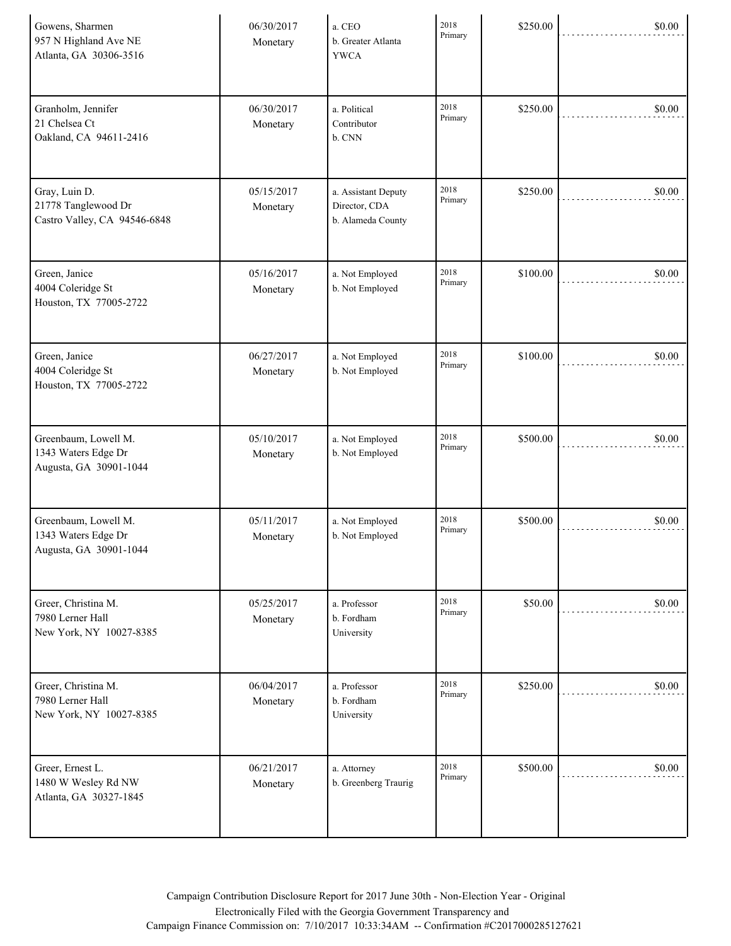| Gowens, Sharmen<br>957 N Highland Ave NE<br>Atlanta, GA 30306-3516    | 06/30/2017<br>Monetary | a. CEO<br>b. Greater Atlanta<br><b>YWCA</b>               | 2018<br>Primary | \$250.00 | \$0.00 |
|-----------------------------------------------------------------------|------------------------|-----------------------------------------------------------|-----------------|----------|--------|
| Granholm, Jennifer<br>21 Chelsea Ct<br>Oakland, CA 94611-2416         | 06/30/2017<br>Monetary | a. Political<br>Contributor<br>b. CNN                     | 2018<br>Primary | \$250.00 | \$0.00 |
| Gray, Luin D.<br>21778 Tanglewood Dr<br>Castro Valley, CA 94546-6848  | 05/15/2017<br>Monetary | a. Assistant Deputy<br>Director, CDA<br>b. Alameda County | 2018<br>Primary | \$250.00 | \$0.00 |
| Green, Janice<br>4004 Coleridge St<br>Houston, TX 77005-2722          | 05/16/2017<br>Monetary | a. Not Employed<br>b. Not Employed                        | 2018<br>Primary | \$100.00 | \$0.00 |
| Green, Janice<br>4004 Coleridge St<br>Houston, TX 77005-2722          | 06/27/2017<br>Monetary | a. Not Employed<br>b. Not Employed                        | 2018<br>Primary | \$100.00 | \$0.00 |
| Greenbaum, Lowell M.<br>1343 Waters Edge Dr<br>Augusta, GA 30901-1044 | 05/10/2017<br>Monetary | a. Not Employed<br>b. Not Employed                        | 2018<br>Primary | \$500.00 | \$0.00 |
| Greenbaum, Lowell M.<br>1343 Waters Edge Dr<br>Augusta, GA 30901-1044 | 05/11/2017<br>Monetary | a. Not Employed<br>b. Not Employed                        | 2018<br>Primary | \$500.00 | \$0.00 |
| Greer, Christina M.<br>7980 Lerner Hall<br>New York, NY 10027-8385    | 05/25/2017<br>Monetary | a. Professor<br>b. Fordham<br>University                  | 2018<br>Primary | \$50.00  | \$0.00 |
| Greer, Christina M.<br>7980 Lerner Hall<br>New York, NY 10027-8385    | 06/04/2017<br>Monetary | a. Professor<br>b. Fordham<br>University                  | 2018<br>Primary | \$250.00 | \$0.00 |
| Greer, Ernest L.<br>1480 W Wesley Rd NW<br>Atlanta, GA 30327-1845     | 06/21/2017<br>Monetary | a. Attorney<br>b. Greenberg Traurig                       | 2018<br>Primary | \$500.00 | \$0.00 |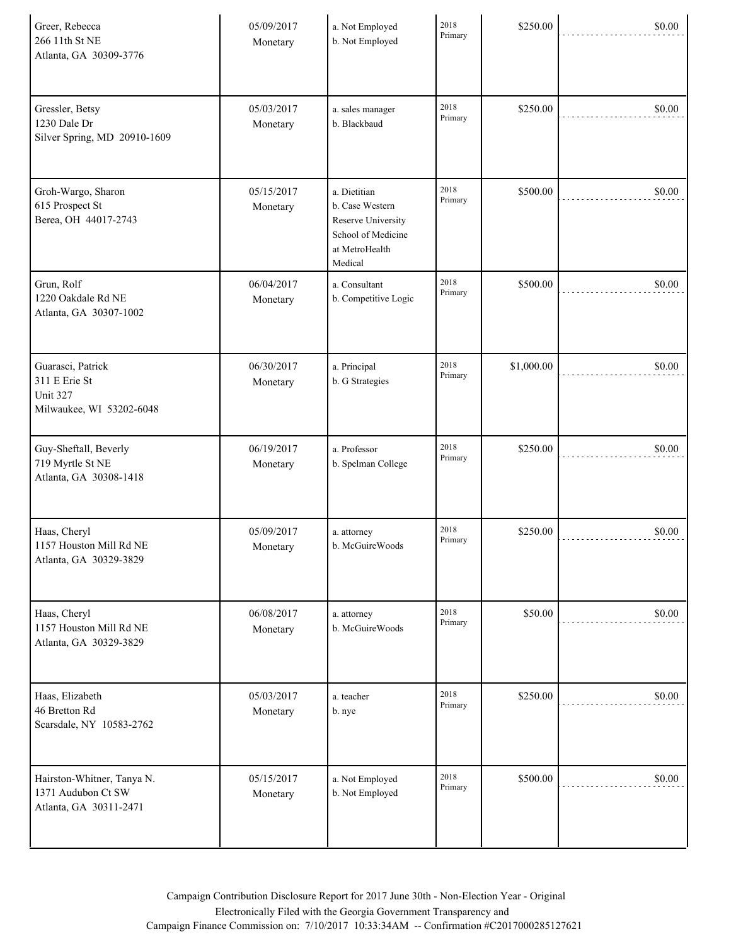| Greer, Rebecca<br>266 11th St NE<br>Atlanta, GA 30309-3776                 | 05/09/2017<br>Monetary | a. Not Employed<br>b. Not Employed                                                                       | 2018<br>Primary | \$250.00   | \$0.00 |
|----------------------------------------------------------------------------|------------------------|----------------------------------------------------------------------------------------------------------|-----------------|------------|--------|
| Gressler, Betsy<br>1230 Dale Dr<br>Silver Spring, MD 20910-1609            | 05/03/2017<br>Monetary | a. sales manager<br>b. Blackbaud                                                                         | 2018<br>Primary | \$250.00   | \$0.00 |
| Groh-Wargo, Sharon<br>615 Prospect St<br>Berea, OH 44017-2743              | 05/15/2017<br>Monetary | a. Dietitian<br>b. Case Western<br>Reserve University<br>School of Medicine<br>at MetroHealth<br>Medical | 2018<br>Primary | \$500.00   | \$0.00 |
| Grun, Rolf<br>1220 Oakdale Rd NE<br>Atlanta, GA 30307-1002                 | 06/04/2017<br>Monetary | a. Consultant<br>b. Competitive Logic                                                                    | 2018<br>Primary | \$500.00   | \$0.00 |
| Guarasci, Patrick<br>311 E Erie St<br>Unit 327<br>Milwaukee, WI 53202-6048 | 06/30/2017<br>Monetary | a. Principal<br>b. G Strategies                                                                          | 2018<br>Primary | \$1,000.00 | \$0.00 |
| Guy-Sheftall, Beverly<br>719 Myrtle St NE<br>Atlanta, GA 30308-1418        | 06/19/2017<br>Monetary | a. Professor<br>b. Spelman College                                                                       | 2018<br>Primary | \$250.00   | \$0.00 |
| Haas, Cheryl<br>1157 Houston Mill Rd NE<br>Atlanta, GA 30329-3829          | 05/09/2017<br>Monetary | a. attorney<br>b. McGuireWoods                                                                           | 2018<br>Primary | \$250.00   | \$0.00 |
| Haas, Cheryl<br>1157 Houston Mill Rd NE<br>Atlanta, GA 30329-3829          | 06/08/2017<br>Monetary | a. attorney<br>b. McGuireWoods                                                                           | 2018<br>Primary | \$50.00    | \$0.00 |
| Haas, Elizabeth<br>46 Bretton Rd<br>Scarsdale, NY 10583-2762               | 05/03/2017<br>Monetary | a. teacher<br>b. nye                                                                                     | 2018<br>Primary | \$250.00   | \$0.00 |
| Hairston-Whitner, Tanya N.<br>1371 Audubon Ct SW<br>Atlanta, GA 30311-2471 | 05/15/2017<br>Monetary | a. Not Employed<br>b. Not Employed                                                                       | 2018<br>Primary | \$500.00   | \$0.00 |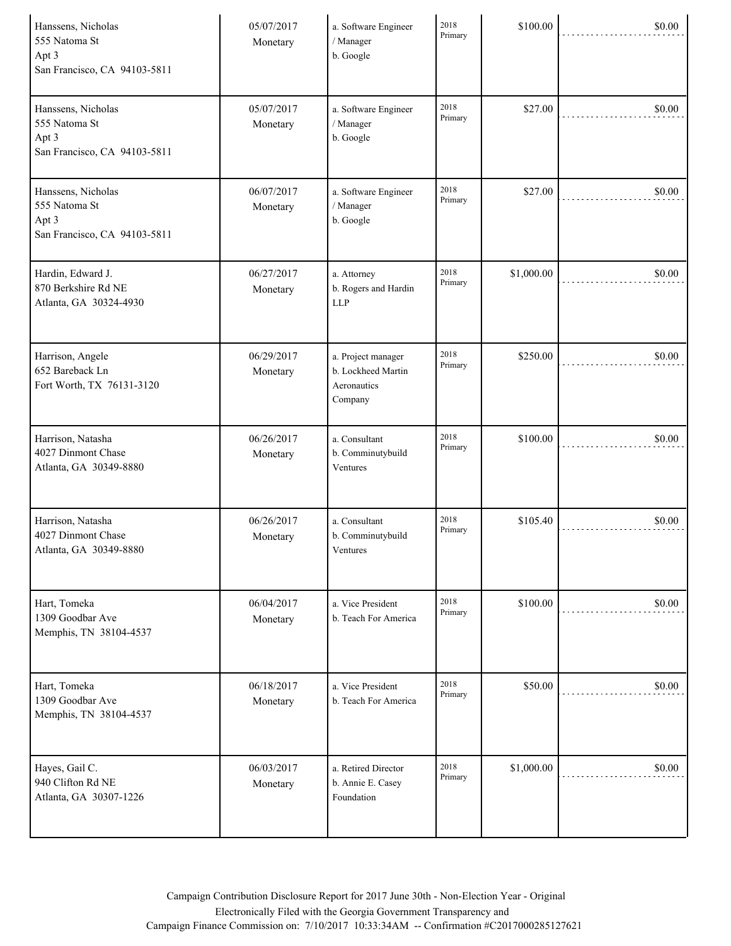| Hanssens, Nicholas<br>555 Natoma St<br>Apt 3<br>San Francisco, CA 94103-5811 | 05/07/2017<br>Monetary | a. Software Engineer<br>/ Manager<br>b. Google                     | 2018<br>Primary | \$100.00   | \$0.00 |
|------------------------------------------------------------------------------|------------------------|--------------------------------------------------------------------|-----------------|------------|--------|
| Hanssens, Nicholas<br>555 Natoma St<br>Apt 3<br>San Francisco, CA 94103-5811 | 05/07/2017<br>Monetary | a. Software Engineer<br>/ Manager<br>b. Google                     | 2018<br>Primary | \$27.00    | \$0.00 |
| Hanssens, Nicholas<br>555 Natoma St<br>Apt 3<br>San Francisco, CA 94103-5811 | 06/07/2017<br>Monetary | a. Software Engineer<br>/ Manager<br>b. Google                     | 2018<br>Primary | \$27.00    | \$0.00 |
| Hardin, Edward J.<br>870 Berkshire Rd NE<br>Atlanta, GA 30324-4930           | 06/27/2017<br>Monetary | a. Attorney<br>b. Rogers and Hardin<br><b>LLP</b>                  | 2018<br>Primary | \$1,000.00 | \$0.00 |
| Harrison, Angele<br>652 Bareback Ln<br>Fort Worth, TX 76131-3120             | 06/29/2017<br>Monetary | a. Project manager<br>b. Lockheed Martin<br>Aeronautics<br>Company | 2018<br>Primary | \$250.00   | \$0.00 |
| Harrison, Natasha<br>4027 Dinmont Chase<br>Atlanta, GA 30349-8880            | 06/26/2017<br>Monetary | a. Consultant<br>b. Comminutybuild<br>Ventures                     | 2018<br>Primary | \$100.00   | \$0.00 |
| Harrison, Natasha<br>4027 Dinmont Chase<br>Atlanta, GA 30349-8880            | 06/26/2017<br>Monetary | a. Consultant<br>b. Comminutybuild<br>Ventures                     | 2018<br>Primary | \$105.40   | \$0.00 |
| Hart, Tomeka<br>1309 Goodbar Ave<br>Memphis, TN 38104-4537                   | 06/04/2017<br>Monetary | a. Vice President<br>b. Teach For America                          | 2018<br>Primary | \$100.00   | \$0.00 |
| Hart, Tomeka<br>1309 Goodbar Ave<br>Memphis, TN 38104-4537                   | 06/18/2017<br>Monetary | a. Vice President<br>b. Teach For America                          | 2018<br>Primary | \$50.00    | \$0.00 |
| Hayes, Gail C.<br>940 Clifton Rd NE<br>Atlanta, GA 30307-1226                | 06/03/2017<br>Monetary | a. Retired Director<br>b. Annie E. Casey<br>Foundation             | 2018<br>Primary | \$1,000.00 | \$0.00 |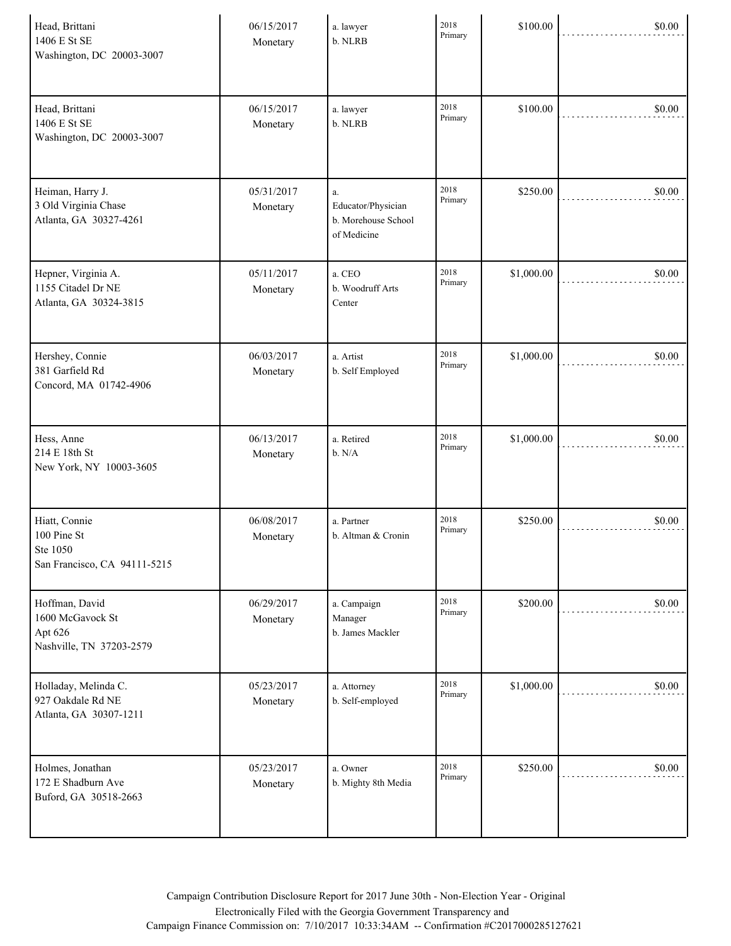| Head, Brittani<br>1406 E St SE<br>Washington, DC 20003-3007               | 06/15/2017<br>Monetary | a. lawyer<br>b. NLRB                                              | 2018<br>Primary | \$100.00   | \$0.00 |
|---------------------------------------------------------------------------|------------------------|-------------------------------------------------------------------|-----------------|------------|--------|
| Head, Brittani<br>1406 E St SE<br>Washington, DC 20003-3007               | 06/15/2017<br>Monetary | a. lawyer<br>b. NLRB                                              | 2018<br>Primary | \$100.00   | \$0.00 |
| Heiman, Harry J.<br>3 Old Virginia Chase<br>Atlanta, GA 30327-4261        | 05/31/2017<br>Monetary | $a$ .<br>Educator/Physician<br>b. Morehouse School<br>of Medicine | 2018<br>Primary | \$250.00   | \$0.00 |
| Hepner, Virginia A.<br>1155 Citadel Dr NE<br>Atlanta, GA 30324-3815       | 05/11/2017<br>Monetary | a. CEO<br>b. Woodruff Arts<br>Center                              | 2018<br>Primary | \$1,000.00 | \$0.00 |
| Hershey, Connie<br>381 Garfield Rd<br>Concord, MA 01742-4906              | 06/03/2017<br>Monetary | a. Artist<br>b. Self Employed                                     | 2018<br>Primary | \$1,000.00 | \$0.00 |
| Hess, Anne<br>214 E 18th St<br>New York, NY 10003-3605                    | 06/13/2017<br>Monetary | a. Retired<br>b. N/A                                              | 2018<br>Primary | \$1,000.00 | \$0.00 |
| Hiatt, Connie<br>100 Pine St<br>Ste 1050<br>San Francisco, CA 94111-5215  | 06/08/2017<br>Monetary | a. Partner<br>b. Altman & Cronin                                  | 2018<br>Primary | \$250.00   | \$0.00 |
| Hoffman, David<br>1600 McGavock St<br>Apt 626<br>Nashville, TN 37203-2579 | 06/29/2017<br>Monetary | a. Campaign<br>Manager<br>b. James Mackler                        | 2018<br>Primary | \$200.00   | \$0.00 |
| Holladay, Melinda C.<br>927 Oakdale Rd NE<br>Atlanta, GA 30307-1211       | 05/23/2017<br>Monetary | a. Attorney<br>b. Self-employed                                   | 2018<br>Primary | \$1,000.00 | \$0.00 |
| Holmes, Jonathan<br>172 E Shadburn Ave<br>Buford, GA 30518-2663           | 05/23/2017<br>Monetary | a. Owner<br>b. Mighty 8th Media                                   | 2018<br>Primary | \$250.00   | \$0.00 |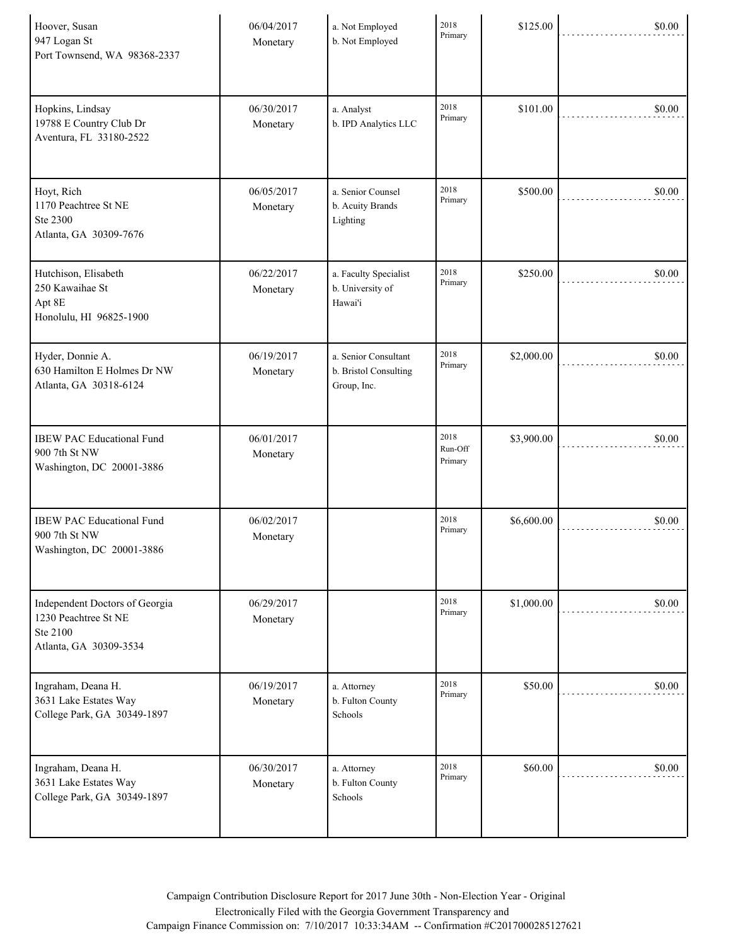| Hoover, Susan<br>947 Logan St<br>Port Townsend, WA 98368-2337                                | 06/04/2017<br>Monetary | a. Not Employed<br>b. Not Employed                           | 2018<br>Primary            | \$125.00   | \$0.00 |
|----------------------------------------------------------------------------------------------|------------------------|--------------------------------------------------------------|----------------------------|------------|--------|
| Hopkins, Lindsay<br>19788 E Country Club Dr<br>Aventura, FL 33180-2522                       | 06/30/2017<br>Monetary | a. Analyst<br>b. IPD Analytics LLC                           | 2018<br>Primary            | \$101.00   | \$0.00 |
| Hoyt, Rich<br>1170 Peachtree St NE<br>Ste 2300<br>Atlanta, GA 30309-7676                     | 06/05/2017<br>Monetary | a. Senior Counsel<br>b. Acuity Brands<br>Lighting            | 2018<br>Primary            | \$500.00   | \$0.00 |
| Hutchison, Elisabeth<br>250 Kawaihae St<br>Apt 8E<br>Honolulu, HI 96825-1900                 | 06/22/2017<br>Monetary | a. Faculty Specialist<br>b. University of<br>Hawai'i         | 2018<br>Primary            | \$250.00   | \$0.00 |
| Hyder, Donnie A.<br>630 Hamilton E Holmes Dr NW<br>Atlanta, GA 30318-6124                    | 06/19/2017<br>Monetary | a. Senior Consultant<br>b. Bristol Consulting<br>Group, Inc. | 2018<br>Primary            | \$2,000.00 | \$0.00 |
| <b>IBEW PAC Educational Fund</b><br>900 7th St NW<br>Washington, DC 20001-3886               | 06/01/2017<br>Monetary |                                                              | 2018<br>Run-Off<br>Primary | \$3,900.00 | \$0.00 |
| <b>IBEW PAC Educational Fund</b><br>900 7th St NW<br>Washington, DC 20001-3886               | 06/02/2017<br>Monetary |                                                              | 2018<br>Primary            | \$6,600.00 | \$0.00 |
| Independent Doctors of Georgia<br>1230 Peachtree St NE<br>Ste 2100<br>Atlanta, GA 30309-3534 | 06/29/2017<br>Monetary |                                                              | 2018<br>Primary            | \$1,000.00 | \$0.00 |
| Ingraham, Deana H.<br>3631 Lake Estates Way<br>College Park, GA 30349-1897                   | 06/19/2017<br>Monetary | a. Attorney<br>b. Fulton County<br>Schools                   | 2018<br>Primary            | \$50.00    | \$0.00 |
| Ingraham, Deana H.<br>3631 Lake Estates Way<br>College Park, GA 30349-1897                   | 06/30/2017<br>Monetary | a. Attorney<br>b. Fulton County<br>Schools                   | 2018<br>Primary            | \$60.00    | \$0.00 |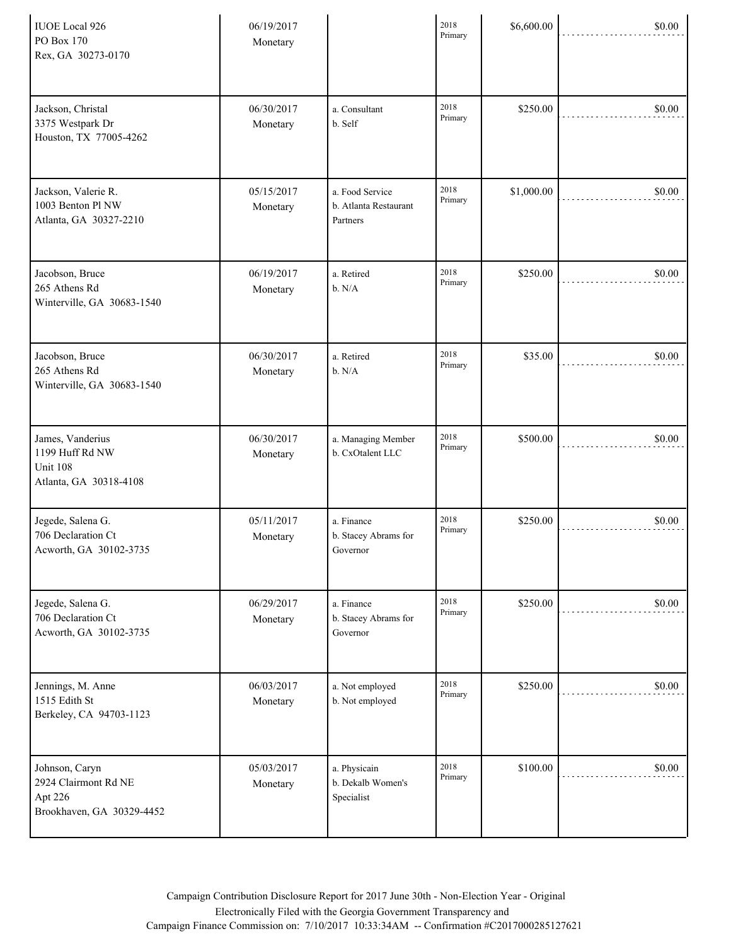| <b>IUOE</b> Local 926<br>PO Box 170<br>Rex, GA 30273-0170                      | 06/19/2017<br>Monetary |                                                      | 2018<br>Primary | \$6,600.00 | \$0.00 |
|--------------------------------------------------------------------------------|------------------------|------------------------------------------------------|-----------------|------------|--------|
| Jackson, Christal<br>3375 Westpark Dr<br>Houston, TX 77005-4262                | 06/30/2017<br>Monetary | a. Consultant<br>b. Self                             | 2018<br>Primary | \$250.00   | \$0.00 |
| Jackson, Valerie R.<br>1003 Benton Pl NW<br>Atlanta, GA 30327-2210             | 05/15/2017<br>Monetary | a. Food Service<br>b. Atlanta Restaurant<br>Partners | 2018<br>Primary | \$1,000.00 | \$0.00 |
| Jacobson, Bruce<br>265 Athens Rd<br>Winterville, GA 30683-1540                 | 06/19/2017<br>Monetary | a. Retired<br>b. N/A                                 | 2018<br>Primary | \$250.00   | \$0.00 |
| Jacobson, Bruce<br>265 Athens Rd<br>Winterville, GA 30683-1540                 | 06/30/2017<br>Monetary | a. Retired<br>b. N/A                                 | 2018<br>Primary | \$35.00    | \$0.00 |
| James, Vanderius<br>1199 Huff Rd NW<br>Unit 108<br>Atlanta, GA 30318-4108      | 06/30/2017<br>Monetary | a. Managing Member<br>b. CxOtalent LLC               | 2018<br>Primary | \$500.00   | \$0.00 |
| Jegede, Salena G.<br>706 Declaration Ct<br>Acworth, GA 30102-3735              | 05/11/2017<br>Monetary | a. Finance<br>b. Stacey Abrams for<br>Governor       | 2018<br>Primary | \$250.00   | \$0.00 |
| Jegede, Salena G.<br>706 Declaration Ct<br>Acworth, GA 30102-3735              | 06/29/2017<br>Monetary | a. Finance<br>b. Stacey Abrams for<br>Governor       | 2018<br>Primary | \$250.00   | \$0.00 |
| Jennings, M. Anne<br>1515 Edith St<br>Berkeley, CA 94703-1123                  | 06/03/2017<br>Monetary | a. Not employed<br>b. Not employed                   | 2018<br>Primary | \$250.00   | \$0.00 |
| Johnson, Caryn<br>2924 Clairmont Rd NE<br>Apt 226<br>Brookhaven, GA 30329-4452 | 05/03/2017<br>Monetary | a. Physicain<br>b. Dekalb Women's<br>Specialist      | 2018<br>Primary | \$100.00   | \$0.00 |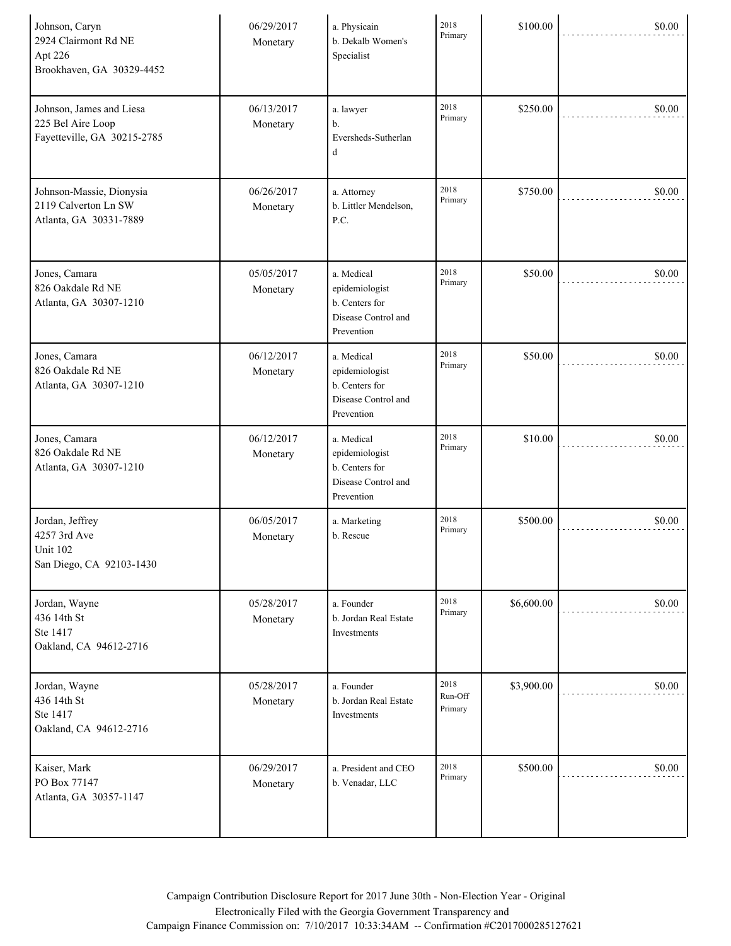| Johnson, Caryn<br>2924 Clairmont Rd NE<br>Apt 226<br>Brookhaven, GA 30329-4452 | 06/29/2017<br>Monetary | a. Physicain<br>b. Dekalb Women's<br>Specialist                                     | 2018<br>Primary            | \$100.00   | \$0.00 |
|--------------------------------------------------------------------------------|------------------------|-------------------------------------------------------------------------------------|----------------------------|------------|--------|
| Johnson, James and Liesa<br>225 Bel Aire Loop<br>Fayetteville, GA 30215-2785   | 06/13/2017<br>Monetary | a. lawyer<br>b.<br>Eversheds-Sutherlan<br>d                                         | 2018<br>Primary            | \$250.00   | \$0.00 |
| Johnson-Massie, Dionysia<br>2119 Calverton Ln SW<br>Atlanta, GA 30331-7889     | 06/26/2017<br>Monetary | a. Attorney<br>b. Littler Mendelson,<br>P.C.                                        | 2018<br>Primary            | \$750.00   | \$0.00 |
| Jones, Camara<br>826 Oakdale Rd NE<br>Atlanta, GA 30307-1210                   | 05/05/2017<br>Monetary | a. Medical<br>epidemiologist<br>b. Centers for<br>Disease Control and<br>Prevention | 2018<br>Primary            | \$50.00    | \$0.00 |
| Jones, Camara<br>826 Oakdale Rd NE<br>Atlanta, GA 30307-1210                   | 06/12/2017<br>Monetary | a. Medical<br>epidemiologist<br>b. Centers for<br>Disease Control and<br>Prevention | 2018<br>Primary            | \$50.00    | \$0.00 |
| Jones, Camara<br>826 Oakdale Rd NE<br>Atlanta, GA 30307-1210                   | 06/12/2017<br>Monetary | a. Medical<br>epidemiologist<br>b. Centers for<br>Disease Control and<br>Prevention | 2018<br>Primary            | \$10.00    | \$0.00 |
| Jordan, Jeffrey<br>4257 3rd Ave<br><b>Unit 102</b><br>San Diego, CA 92103-1430 | 06/05/2017<br>Monetary | a. Marketing<br>b. Rescue                                                           | 2018<br>Primary            | \$500.00   | \$0.00 |
| Jordan, Wayne<br>436 14th St<br>Ste 1417<br>Oakland, CA 94612-2716             | 05/28/2017<br>Monetary | a. Founder<br>b. Jordan Real Estate<br>Investments                                  | 2018<br>Primary            | \$6,600.00 | \$0.00 |
| Jordan, Wayne<br>436 14th St<br>Ste 1417<br>Oakland, CA 94612-2716             | 05/28/2017<br>Monetary | a. Founder<br>b. Jordan Real Estate<br>Investments                                  | 2018<br>Run-Off<br>Primary | \$3,900.00 | \$0.00 |
| Kaiser, Mark<br>PO Box 77147<br>Atlanta, GA 30357-1147                         | 06/29/2017<br>Monetary | a. President and CEO<br>b. Venadar, LLC                                             | 2018<br>Primary            | \$500.00   | \$0.00 |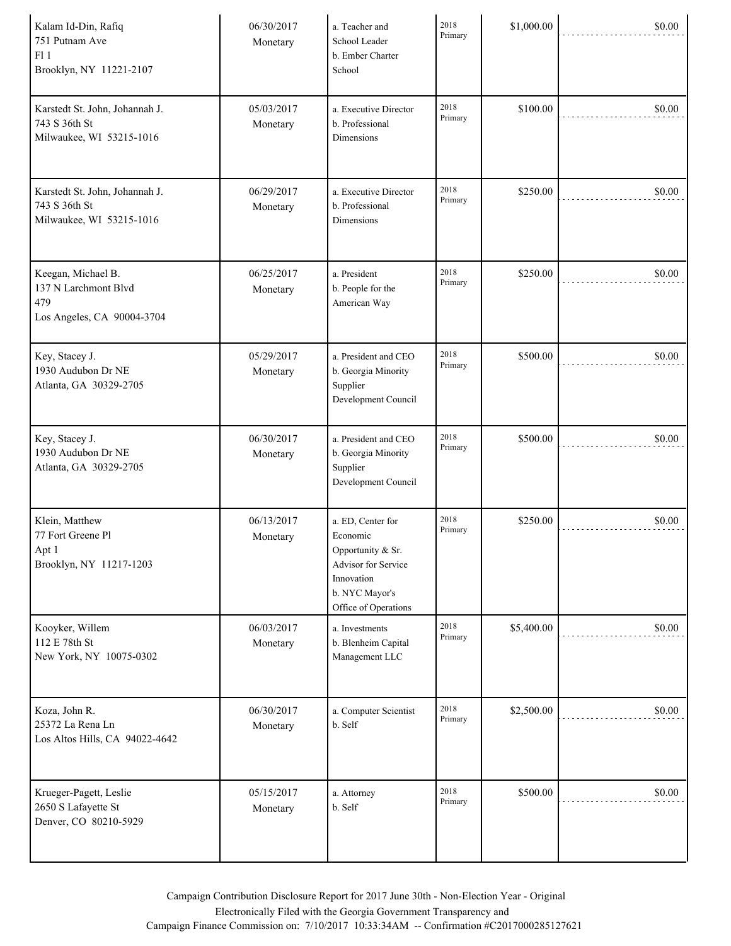| Kalam Id-Din, Rafiq<br>751 Putnam Ave<br>F11<br>Brooklyn, NY 11221-2107         | 06/30/2017<br>Monetary | a. Teacher and<br>School Leader<br>b. Ember Charter<br>School                                                                     | 2018<br>Primary | \$1,000.00 | \$0.00 |
|---------------------------------------------------------------------------------|------------------------|-----------------------------------------------------------------------------------------------------------------------------------|-----------------|------------|--------|
| Karstedt St. John, Johannah J.<br>743 S 36th St<br>Milwaukee, WI 53215-1016     | 05/03/2017<br>Monetary | a. Executive Director<br>b. Professional<br><b>Dimensions</b>                                                                     | 2018<br>Primary | \$100.00   | \$0.00 |
| Karstedt St. John, Johannah J.<br>743 S 36th St<br>Milwaukee, WI 53215-1016     | 06/29/2017<br>Monetary | a. Executive Director<br>b. Professional<br>Dimensions                                                                            | 2018<br>Primary | \$250.00   | \$0.00 |
| Keegan, Michael B.<br>137 N Larchmont Blvd<br>479<br>Los Angeles, CA 90004-3704 | 06/25/2017<br>Monetary | a. President<br>b. People for the<br>American Way                                                                                 | 2018<br>Primary | \$250.00   | \$0.00 |
| Key, Stacey J.<br>1930 Audubon Dr NE<br>Atlanta, GA 30329-2705                  | 05/29/2017<br>Monetary | a. President and CEO<br>b. Georgia Minority<br>Supplier<br>Development Council                                                    | 2018<br>Primary | \$500.00   | \$0.00 |
| Key, Stacey J.<br>1930 Audubon Dr NE<br>Atlanta, GA 30329-2705                  | 06/30/2017<br>Monetary | a. President and CEO<br>b. Georgia Minority<br>Supplier<br>Development Council                                                    | 2018<br>Primary | \$500.00   | \$0.00 |
| Klein, Matthew<br>77 Fort Greene Pl<br>Apt 1<br>Brooklyn, NY 11217-1203         | 06/13/2017<br>Monetary | a. ED, Center for<br>Economic<br>Opportunity & Sr.<br>Advisor for Service<br>Innovation<br>b. NYC Mayor's<br>Office of Operations | 2018<br>Primary | \$250.00   | \$0.00 |
| Kooyker, Willem<br>112 E 78th St<br>New York, NY 10075-0302                     | 06/03/2017<br>Monetary | a. Investments<br>b. Blenheim Capital<br>Management LLC                                                                           | 2018<br>Primary | \$5,400.00 | \$0.00 |
| Koza, John R.<br>25372 La Rena Ln<br>Los Altos Hills, CA 94022-4642             | 06/30/2017<br>Monetary | a. Computer Scientist<br>b. Self                                                                                                  | 2018<br>Primary | \$2,500.00 | \$0.00 |
| Krueger-Pagett, Leslie<br>2650 S Lafayette St<br>Denver, CO 80210-5929          | 05/15/2017<br>Monetary | a. Attorney<br>b. Self                                                                                                            | 2018<br>Primary | \$500.00   | \$0.00 |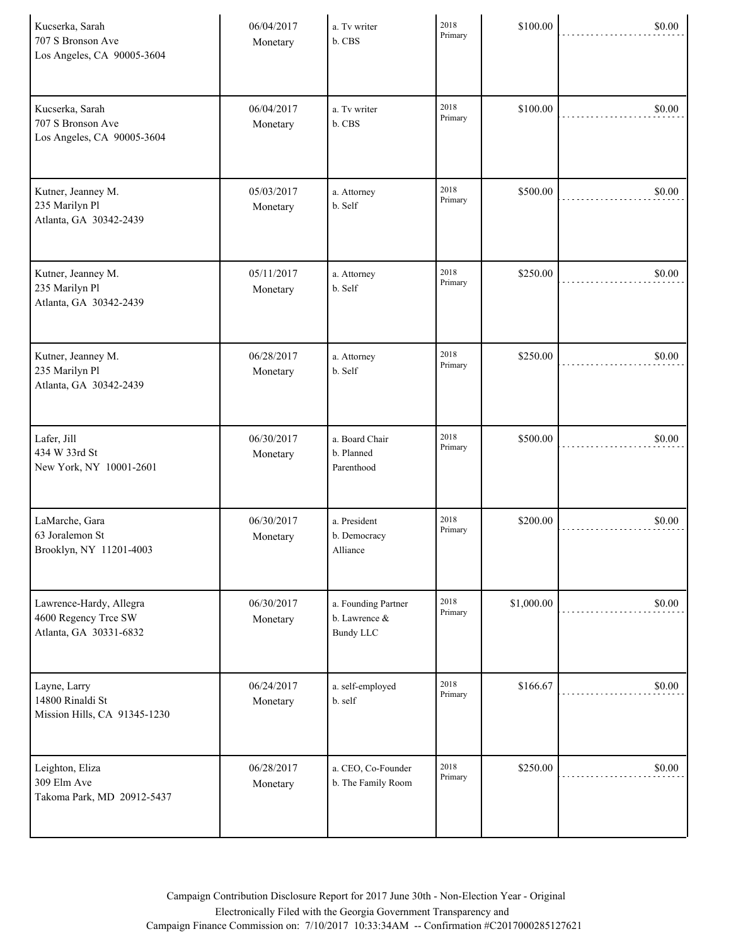| Kucserka, Sarah<br>707 S Bronson Ave<br>Los Angeles, CA 90005-3604        | 06/04/2017<br>Monetary | a. Tv writer<br>b. CBS                                   | 2018<br>Primary | \$100.00   | \$0.00 |
|---------------------------------------------------------------------------|------------------------|----------------------------------------------------------|-----------------|------------|--------|
| Kucserka, Sarah<br>707 S Bronson Ave<br>Los Angeles, CA 90005-3604        | 06/04/2017<br>Monetary | a. Tv writer<br>b. CBS                                   | 2018<br>Primary | \$100.00   | \$0.00 |
| Kutner, Jeanney M.<br>235 Marilyn Pl<br>Atlanta, GA 30342-2439            | 05/03/2017<br>Monetary | a. Attorney<br>b. Self                                   | 2018<br>Primary | \$500.00   | \$0.00 |
| Kutner, Jeanney M.<br>235 Marilyn Pl<br>Atlanta, GA 30342-2439            | 05/11/2017<br>Monetary | a. Attorney<br>b. Self                                   | 2018<br>Primary | \$250.00   | \$0.00 |
| Kutner, Jeanney M.<br>235 Marilyn Pl<br>Atlanta, GA 30342-2439            | 06/28/2017<br>Monetary | a. Attorney<br>b. Self                                   | 2018<br>Primary | \$250.00   | \$0.00 |
| Lafer, Jill<br>434 W 33rd St<br>New York, NY 10001-2601                   | 06/30/2017<br>Monetary | a. Board Chair<br>b. Planned<br>Parenthood               | 2018<br>Primary | \$500.00   | \$0.00 |
| LaMarche, Gara<br>63 Joralemon St<br>Brooklyn, NY 11201-4003              | 06/30/2017<br>Monetary | a. President<br>b. Democracy<br>Alliance                 | 2018<br>Primary | \$200.00   | \$0.00 |
| Lawrence-Hardy, Allegra<br>4600 Regency Trce SW<br>Atlanta, GA 30331-6832 | 06/30/2017<br>Monetary | a. Founding Partner<br>b. Lawrence &<br><b>Bundy LLC</b> | 2018<br>Primary | \$1,000.00 | \$0.00 |
| Layne, Larry<br>14800 Rinaldi St<br>Mission Hills, CA 91345-1230          | 06/24/2017<br>Monetary | a. self-employed<br>b. self                              | 2018<br>Primary | \$166.67   | \$0.00 |
| Leighton, Eliza<br>309 Elm Ave<br>Takoma Park, MD 20912-5437              | 06/28/2017<br>Monetary | a. CEO, Co-Founder<br>b. The Family Room                 | 2018<br>Primary | \$250.00   | \$0.00 |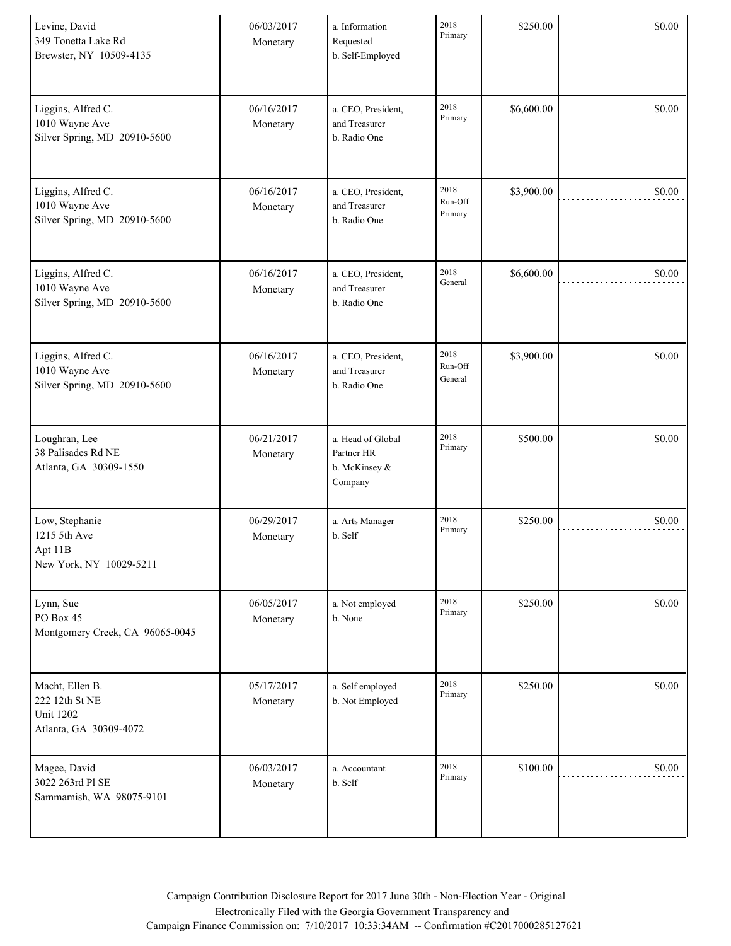| Levine, David<br>349 Tonetta Lake Rd<br>Brewster, NY 10509-4135                 | 06/03/2017<br>Monetary | a. Information<br>Requested<br>b. Self-Employed             | 2018<br>Primary            | \$250.00   | \$0.00 |
|---------------------------------------------------------------------------------|------------------------|-------------------------------------------------------------|----------------------------|------------|--------|
| Liggins, Alfred C.<br>1010 Wayne Ave<br>Silver Spring, MD 20910-5600            | 06/16/2017<br>Monetary | a. CEO, President,<br>and Treasurer<br>b. Radio One         | 2018<br>Primary            | \$6,600.00 | \$0.00 |
| Liggins, Alfred C.<br>1010 Wayne Ave<br>Silver Spring, MD 20910-5600            | 06/16/2017<br>Monetary | a. CEO, President,<br>and Treasurer<br>b. Radio One         | 2018<br>Run-Off<br>Primary | \$3,900.00 | \$0.00 |
| Liggins, Alfred C.<br>1010 Wayne Ave<br>Silver Spring, MD 20910-5600            | 06/16/2017<br>Monetary | a. CEO, President,<br>and Treasurer<br>b. Radio One         | 2018<br>General            | \$6,600.00 | \$0.00 |
| Liggins, Alfred C.<br>1010 Wayne Ave<br>Silver Spring, MD 20910-5600            | 06/16/2017<br>Monetary | a. CEO, President,<br>and Treasurer<br>b. Radio One         | 2018<br>Run-Off<br>General | \$3,900.00 | \$0.00 |
| Loughran, Lee<br>38 Palisades Rd NE<br>Atlanta, GA 30309-1550                   | 06/21/2017<br>Monetary | a. Head of Global<br>Partner HR<br>b. McKinsey &<br>Company | 2018<br>Primary            | \$500.00   | \$0.00 |
| Low, Stephanie<br>1215 5th Ave<br>Apt 11B<br>New York, NY 10029-5211            | 06/29/2017<br>Monetary | a. Arts Manager<br>b. Self                                  | 2018<br>Primary            | \$250.00   | \$0.00 |
| Lynn, Sue<br>PO Box 45<br>Montgomery Creek, CA 96065-0045                       | 06/05/2017<br>Monetary | a. Not employed<br>b. None                                  | 2018<br>Primary            | \$250.00   | \$0.00 |
| Macht, Ellen B.<br>222 12th St NE<br><b>Unit 1202</b><br>Atlanta, GA 30309-4072 | 05/17/2017<br>Monetary | a. Self employed<br>b. Not Employed                         | 2018<br>Primary            | \$250.00   | \$0.00 |
| Magee, David<br>3022 263rd Pl SE<br>Sammamish, WA 98075-9101                    | 06/03/2017<br>Monetary | a. Accountant<br>b. Self                                    | 2018<br>Primary            | \$100.00   | \$0.00 |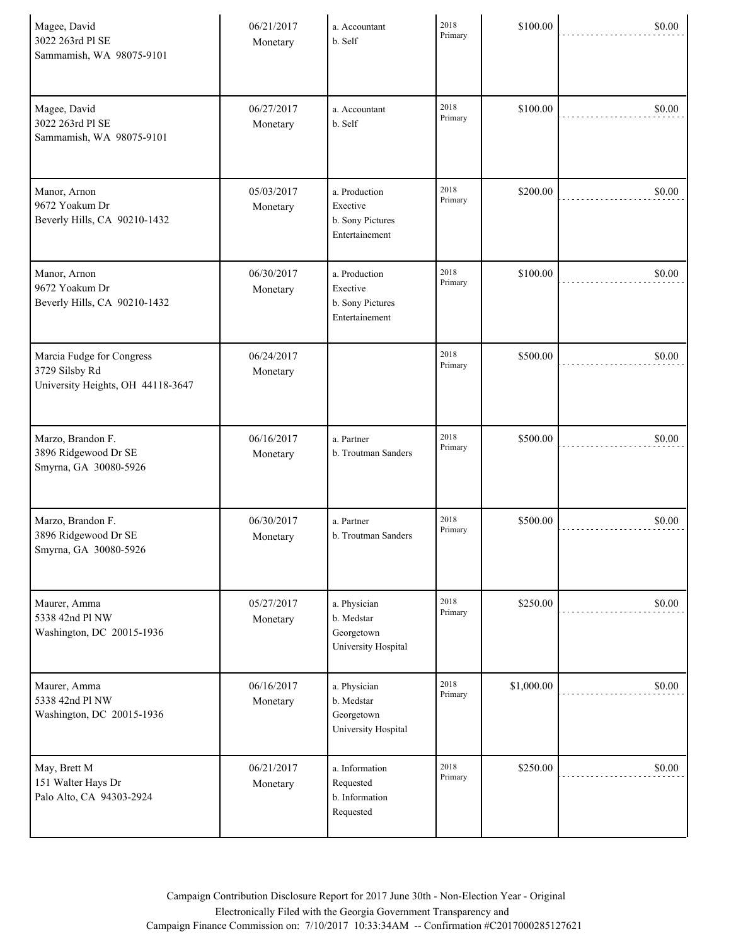| Magee, David<br>3022 263rd Pl SE<br>Sammamish, WA 98075-9101                     | 06/21/2017<br>Monetary | a. Accountant<br>b. Self                                        | 2018<br>Primary | \$100.00   | \$0.00 |
|----------------------------------------------------------------------------------|------------------------|-----------------------------------------------------------------|-----------------|------------|--------|
| Magee, David<br>3022 263rd Pl SE<br>Sammamish, WA 98075-9101                     | 06/27/2017<br>Monetary | a. Accountant<br>b. Self                                        | 2018<br>Primary | \$100.00   | \$0.00 |
| Manor, Arnon<br>9672 Yoakum Dr<br>Beverly Hills, CA 90210-1432                   | 05/03/2017<br>Monetary | a. Production<br>Exective<br>b. Sony Pictures<br>Entertainement | 2018<br>Primary | \$200.00   | \$0.00 |
| Manor, Arnon<br>9672 Yoakum Dr<br>Beverly Hills, CA 90210-1432                   | 06/30/2017<br>Monetary | a. Production<br>Exective<br>b. Sony Pictures<br>Entertainement | 2018<br>Primary | \$100.00   | \$0.00 |
| Marcia Fudge for Congress<br>3729 Silsby Rd<br>University Heights, OH 44118-3647 | 06/24/2017<br>Monetary |                                                                 | 2018<br>Primary | \$500.00   | \$0.00 |
| Marzo, Brandon F.<br>3896 Ridgewood Dr SE<br>Smyrna, GA 30080-5926               | 06/16/2017<br>Monetary | a. Partner<br>b. Troutman Sanders                               | 2018<br>Primary | \$500.00   | \$0.00 |
| Marzo, Brandon F.<br>3896 Ridgewood Dr SE<br>Smyrna, GA 30080-5926               | 06/30/2017<br>Monetary | a. Partner<br>b. Troutman Sanders                               | 2018<br>Primary | \$500.00   | \$0.00 |
| Maurer, Amma<br>5338 42nd Pl NW<br>Washington, DC 20015-1936                     | 05/27/2017<br>Monetary | a. Physician<br>b. Medstar<br>Georgetown<br>University Hospital | 2018<br>Primary | \$250.00   | \$0.00 |
| Maurer, Amma<br>5338 42nd Pl NW<br>Washington, DC 20015-1936                     | 06/16/2017<br>Monetary | a. Physician<br>b. Medstar<br>Georgetown<br>University Hospital | 2018<br>Primary | \$1,000.00 | \$0.00 |
| May, Brett M<br>151 Walter Hays Dr<br>Palo Alto, CA 94303-2924                   | 06/21/2017<br>Monetary | a. Information<br>Requested<br>b. Information<br>Requested      | 2018<br>Primary | \$250.00   | \$0.00 |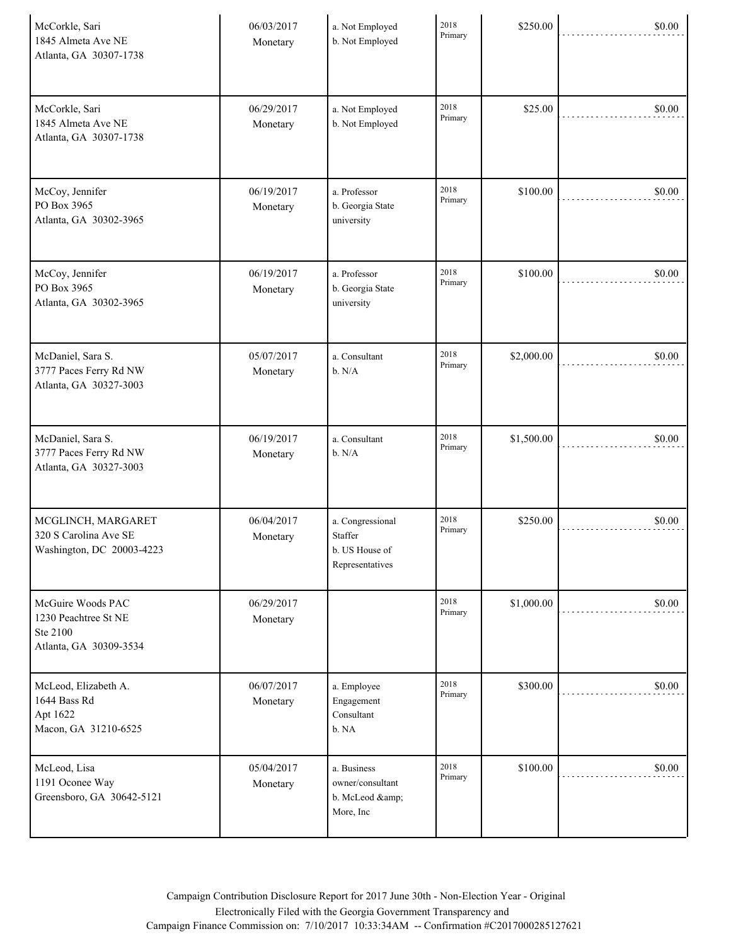| McCorkle, Sari<br>1845 Almeta Ave NE<br>Atlanta, GA 30307-1738                  | 06/03/2017<br>Monetary | a. Not Employed<br>b. Not Employed                               | 2018<br>Primary | \$250.00   | \$0.00 |
|---------------------------------------------------------------------------------|------------------------|------------------------------------------------------------------|-----------------|------------|--------|
| McCorkle, Sari<br>1845 Almeta Ave NE<br>Atlanta, GA 30307-1738                  | 06/29/2017<br>Monetary | a. Not Employed<br>b. Not Employed                               | 2018<br>Primary | \$25.00    | \$0.00 |
| McCoy, Jennifer<br>PO Box 3965<br>Atlanta, GA 30302-3965                        | 06/19/2017<br>Monetary | a. Professor<br>b. Georgia State<br>university                   | 2018<br>Primary | \$100.00   | \$0.00 |
| McCoy, Jennifer<br>PO Box 3965<br>Atlanta, GA 30302-3965                        | 06/19/2017<br>Monetary | a. Professor<br>b. Georgia State<br>university                   | 2018<br>Primary | \$100.00   | \$0.00 |
| McDaniel, Sara S.<br>3777 Paces Ferry Rd NW<br>Atlanta, GA 30327-3003           | 05/07/2017<br>Monetary | a. Consultant<br>b. N/A                                          | 2018<br>Primary | \$2,000.00 | \$0.00 |
| McDaniel, Sara S.<br>3777 Paces Ferry Rd NW<br>Atlanta, GA 30327-3003           | 06/19/2017<br>Monetary | a. Consultant<br>b. N/A                                          | 2018<br>Primary | \$1,500.00 | \$0.00 |
| MCGLINCH, MARGARET<br>320 S Carolina Ave SE<br>Washington, DC 20003-4223        | 06/04/2017<br>Monetary | a. Congressional<br>Staffer<br>b. US House of<br>Representatives | 2018<br>Primary | \$250.00   | \$0.00 |
| McGuire Woods PAC<br>1230 Peachtree St NE<br>Ste 2100<br>Atlanta, GA 30309-3534 | 06/29/2017<br>Monetary |                                                                  | 2018<br>Primary | \$1,000.00 | \$0.00 |
| McLeod, Elizabeth A.<br>1644 Bass Rd<br>Apt 1622<br>Macon, GA 31210-6525        | 06/07/2017<br>Monetary | a. Employee<br>Engagement<br>Consultant<br>b. NA                 | 2018<br>Primary | \$300.00   | \$0.00 |
| McLeod, Lisa<br>1191 Oconee Way<br>Greensboro, GA 30642-5121                    | 05/04/2017<br>Monetary | a. Business<br>owner/consultant<br>b. McLeod &<br>More, Inc      | 2018<br>Primary | \$100.00   | \$0.00 |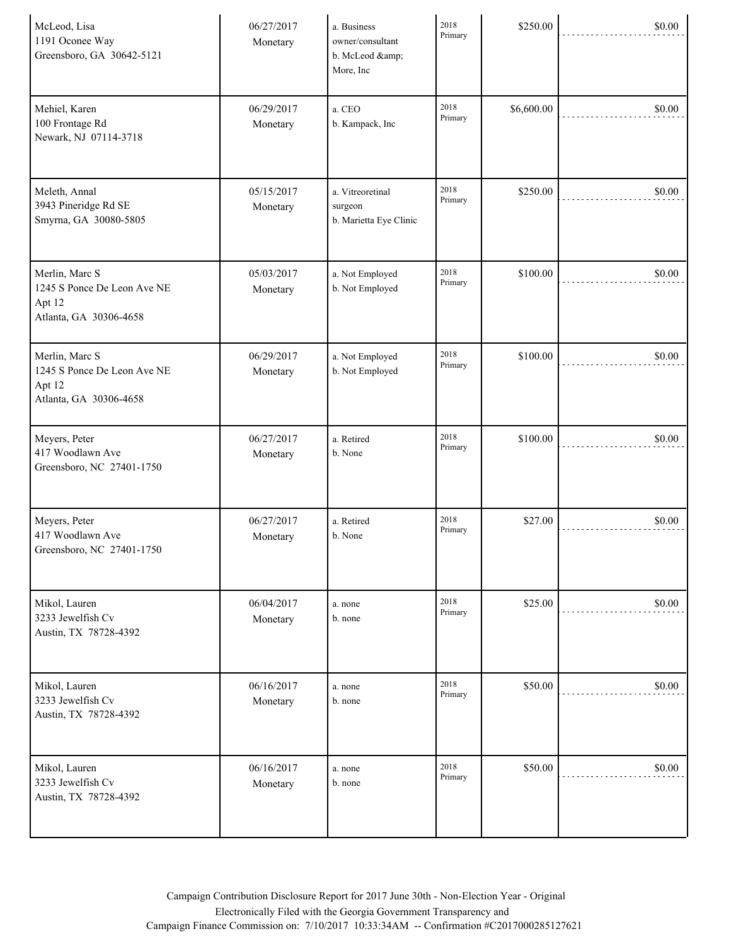| McLeod, Lisa<br>1191 Oconee Way<br>Greensboro, GA 30642-5121                      | 06/27/2017<br>Monetary | a. Business<br>owner/consultant<br>b. McLeod &<br>More, Inc | 2018<br>Primary | \$250.00   | \$0.00 |
|-----------------------------------------------------------------------------------|------------------------|-------------------------------------------------------------|-----------------|------------|--------|
| Mehiel, Karen<br>100 Frontage Rd<br>Newark, NJ 07114-3718                         | 06/29/2017<br>Monetary | a. CEO<br>b. Kampack, Inc                                   | 2018<br>Primary | \$6,600.00 | \$0.00 |
| Meleth, Annal<br>3943 Pineridge Rd SE<br>Smyrna, GA 30080-5805                    | 05/15/2017<br>Monetary | a. Vitreoretinal<br>surgeon<br>b. Marietta Eye Clinic       | 2018<br>Primary | \$250.00   | \$0.00 |
| Merlin, Marc S<br>1245 S Ponce De Leon Ave NE<br>Apt 12<br>Atlanta, GA 30306-4658 | 05/03/2017<br>Monetary | a. Not Employed<br>b. Not Employed                          | 2018<br>Primary | \$100.00   | \$0.00 |
| Merlin, Marc S<br>1245 S Ponce De Leon Ave NE<br>Apt 12<br>Atlanta, GA 30306-4658 | 06/29/2017<br>Monetary | a. Not Employed<br>b. Not Employed                          | 2018<br>Primary | \$100.00   | \$0.00 |
| Meyers, Peter<br>417 Woodlawn Ave<br>Greensboro, NC 27401-1750                    | 06/27/2017<br>Monetary | a. Retired<br>b. None                                       | 2018<br>Primary | \$100.00   | \$0.00 |
| Meyers, Peter<br>417 Woodlawn Ave<br>Greensboro, NC 27401-1750                    | 06/27/2017<br>Monetary | a. Retired<br>b. None                                       | 2018<br>Primary | \$27.00    | \$0.00 |
| Mikol, Lauren<br>3233 Jewelfish Cv<br>Austin, TX 78728-4392                       | 06/04/2017<br>Monetary | a. none<br>b. none                                          | 2018<br>Primary | \$25.00    | \$0.00 |
| Mikol, Lauren<br>3233 Jewelfish Cv<br>Austin, TX 78728-4392                       | 06/16/2017<br>Monetary | a. none<br>b. none                                          | 2018<br>Primary | \$50.00    | \$0.00 |
| Mikol, Lauren<br>3233 Jewelfish Cv<br>Austin, TX 78728-4392                       | 06/16/2017<br>Monetary | a. none<br>b. none                                          | 2018<br>Primary | \$50.00    | \$0.00 |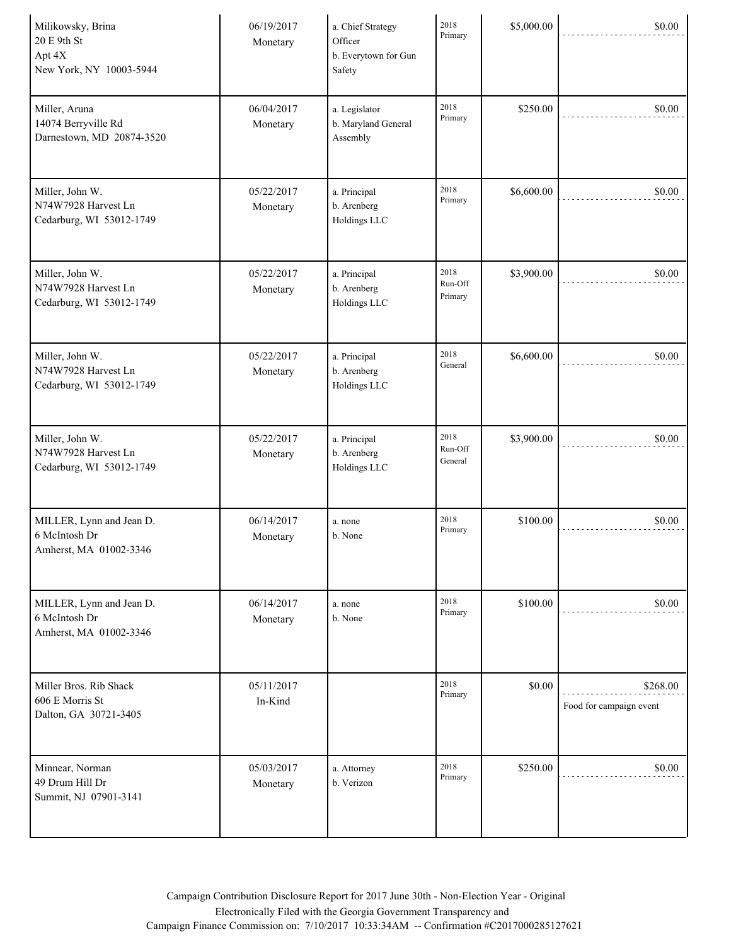| Milikowsky, Brina<br>20 E 9th St<br>Apt 4X<br>New York, NY 10003-5944 | 06/19/2017<br>Monetary | a. Chief Strategy<br>Officer<br>b. Everytown for Gun<br>Safety | 2018<br>Primary            | \$5,000.00 | \$0.00                              |
|-----------------------------------------------------------------------|------------------------|----------------------------------------------------------------|----------------------------|------------|-------------------------------------|
| Miller, Aruna<br>14074 Berryville Rd<br>Darnestown, MD 20874-3520     | 06/04/2017<br>Monetary | a. Legislator<br>b. Maryland General<br>Assembly               | 2018<br>Primary            | \$250.00   | \$0.00                              |
| Miller, John W.<br>N74W7928 Harvest Ln<br>Cedarburg, WI 53012-1749    | 05/22/2017<br>Monetary | a. Principal<br>b. Arenberg<br>Holdings LLC                    | 2018<br>Primary            | \$6,600.00 | \$0.00                              |
| Miller, John W.<br>N74W7928 Harvest Ln<br>Cedarburg, WI 53012-1749    | 05/22/2017<br>Monetary | a. Principal<br>b. Arenberg<br>Holdings LLC                    | 2018<br>Run-Off<br>Primary | \$3,900.00 | \$0.00                              |
| Miller, John W.<br>N74W7928 Harvest Ln<br>Cedarburg, WI 53012-1749    | 05/22/2017<br>Monetary | a. Principal<br>b. Arenberg<br>Holdings LLC                    | 2018<br>General            | \$6,600.00 | \$0.00                              |
| Miller, John W.<br>N74W7928 Harvest Ln<br>Cedarburg, WI 53012-1749    | 05/22/2017<br>Monetary | a. Principal<br>b. Arenberg<br>Holdings LLC                    | 2018<br>Run-Off<br>General | \$3,900.00 | \$0.00                              |
| MILLER, Lynn and Jean D.<br>6 McIntosh Dr<br>Amherst, MA 01002-3346   | 06/14/2017<br>Monetary | a. none<br>b. None                                             | 2018<br>Primary            | \$100.00   | \$0.00                              |
| MILLER, Lynn and Jean D.<br>6 McIntosh Dr<br>Amherst, MA 01002-3346   | 06/14/2017<br>Monetary | a. none<br>b. None                                             | 2018<br>Primary            | \$100.00   | \$0.00                              |
| Miller Bros. Rib Shack<br>606 E Morris St<br>Dalton, GA 30721-3405    | 05/11/2017<br>In-Kind  |                                                                | 2018<br>Primary            | \$0.00     | \$268.00<br>Food for campaign event |
| Minnear, Norman<br>49 Drum Hill Dr<br>Summit, NJ 07901-3141           | 05/03/2017<br>Monetary | a. Attorney<br>b. Verizon                                      | 2018<br>Primary            | \$250.00   | \$0.00                              |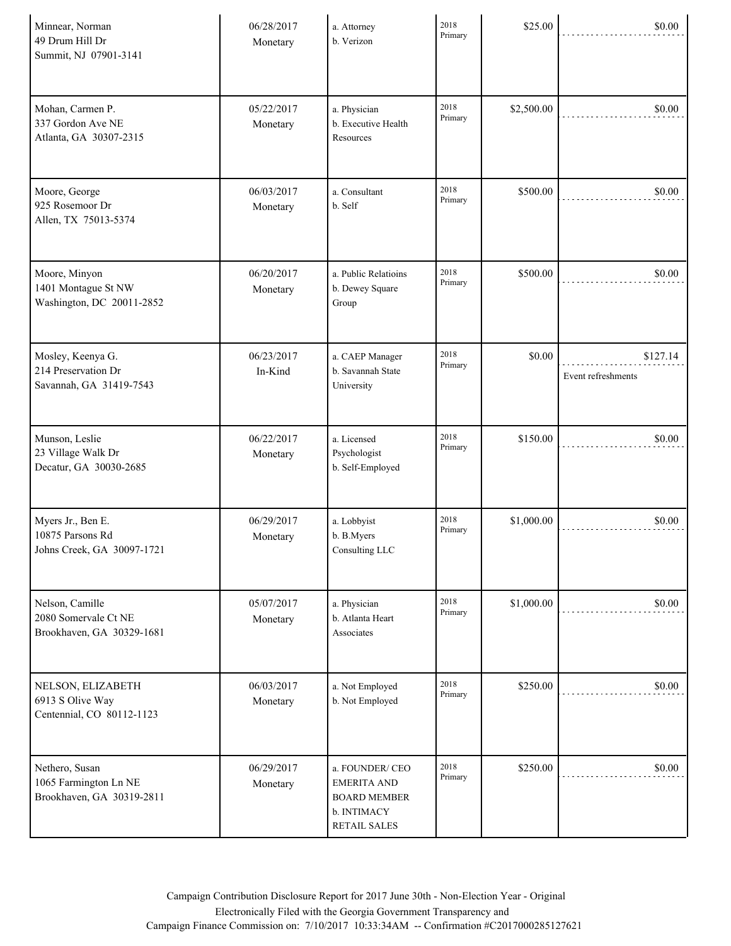| Minnear, Norman<br>49 Drum Hill Dr<br>Summit, NJ 07901-3141          | 06/28/2017<br>Monetary | a. Attorney<br>b. Verizon                                                                  | 2018<br>Primary | \$25.00    | \$0.00                         |
|----------------------------------------------------------------------|------------------------|--------------------------------------------------------------------------------------------|-----------------|------------|--------------------------------|
| Mohan, Carmen P.<br>337 Gordon Ave NE<br>Atlanta, GA 30307-2315      | 05/22/2017<br>Monetary | a. Physician<br>b. Executive Health<br>Resources                                           | 2018<br>Primary | \$2,500.00 | \$0.00                         |
| Moore, George<br>925 Rosemoor Dr<br>Allen, TX 75013-5374             | 06/03/2017<br>Monetary | a. Consultant<br>b. Self                                                                   | 2018<br>Primary | \$500.00   | \$0.00                         |
| Moore, Minyon<br>1401 Montague St NW<br>Washington, DC 20011-2852    | 06/20/2017<br>Monetary | a. Public Relatioins<br>b. Dewey Square<br>Group                                           | 2018<br>Primary | \$500.00   | \$0.00                         |
| Mosley, Keenya G.<br>214 Preservation Dr<br>Savannah, GA 31419-7543  | 06/23/2017<br>In-Kind  | a. CAEP Manager<br>b. Savannah State<br>University                                         | 2018<br>Primary | \$0.00     | \$127.14<br>Event refreshments |
| Munson, Leslie<br>23 Village Walk Dr<br>Decatur, GA 30030-2685       | 06/22/2017<br>Monetary | a. Licensed<br>Psychologist<br>b. Self-Employed                                            | 2018<br>Primary | \$150.00   | \$0.00                         |
| Myers Jr., Ben E.<br>10875 Parsons Rd<br>Johns Creek, GA 30097-1721  | 06/29/2017<br>Monetary | a. Lobbyist<br>b. B. Myers<br>Consulting LLC                                               | 2018<br>Primary | \$1,000.00 | \$0.00                         |
| Nelson, Camille<br>2080 Somervale Ct NE<br>Brookhaven, GA 30329-1681 | 05/07/2017<br>Monetary | a. Physician<br>b. Atlanta Heart<br>Associates                                             | 2018<br>Primary | \$1,000.00 | \$0.00                         |
| NELSON, ELIZABETH<br>6913 S Olive Way<br>Centennial, CO 80112-1123   | 06/03/2017<br>Monetary | a. Not Employed<br>b. Not Employed                                                         | 2018<br>Primary | \$250.00   | \$0.00                         |
| Nethero, Susan<br>1065 Farmington Ln NE<br>Brookhaven, GA 30319-2811 | 06/29/2017<br>Monetary | a. FOUNDER/CEO<br><b>EMERITA AND</b><br><b>BOARD MEMBER</b><br>b. INTIMACY<br>RETAIL SALES | 2018<br>Primary | \$250.00   | \$0.00                         |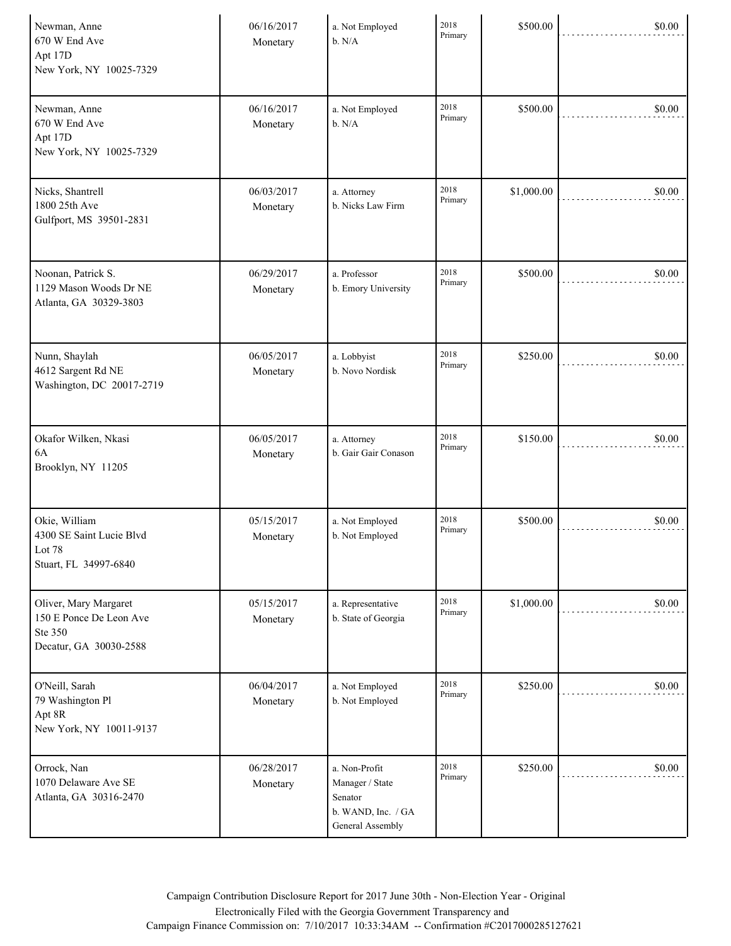| Newman, Anne<br>670 W End Ave<br>Apt 17D<br>New York, NY 10025-7329                   | 06/16/2017<br>Monetary | a. Not Employed<br>b. N/A                                                             | 2018<br>Primary | \$500.00   | \$0.00 |
|---------------------------------------------------------------------------------------|------------------------|---------------------------------------------------------------------------------------|-----------------|------------|--------|
| Newman, Anne<br>670 W End Ave<br>Apt 17D<br>New York, NY 10025-7329                   | 06/16/2017<br>Monetary | a. Not Employed<br>b. N/A                                                             | 2018<br>Primary | \$500.00   | \$0.00 |
| Nicks, Shantrell<br>1800 25th Ave<br>Gulfport, MS 39501-2831                          | 06/03/2017<br>Monetary | a. Attorney<br>b. Nicks Law Firm                                                      | 2018<br>Primary | \$1,000.00 | \$0.00 |
| Noonan, Patrick S.<br>1129 Mason Woods Dr NE<br>Atlanta, GA 30329-3803                | 06/29/2017<br>Monetary | a. Professor<br>b. Emory University                                                   | 2018<br>Primary | \$500.00   | \$0.00 |
| Nunn, Shaylah<br>4612 Sargent Rd NE<br>Washington, DC 20017-2719                      | 06/05/2017<br>Monetary | a. Lobbyist<br>b. Novo Nordisk                                                        | 2018<br>Primary | \$250.00   | \$0.00 |
| Okafor Wilken, Nkasi<br>6A<br>Brooklyn, NY 11205                                      | 06/05/2017<br>Monetary | a. Attorney<br>b. Gair Gair Conason                                                   | 2018<br>Primary | \$150.00   | \$0.00 |
| Okie, William<br>4300 SE Saint Lucie Blvd<br>Lot 78<br>Stuart, FL 34997-6840          | 05/15/2017<br>Monetary | a. Not Employed<br>b. Not Employed                                                    | 2018<br>Primary | \$500.00   | \$0.00 |
| Oliver, Mary Margaret<br>150 E Ponce De Leon Ave<br>Ste 350<br>Decatur, GA 30030-2588 | 05/15/2017<br>Monetary | a. Representative<br>b. State of Georgia                                              | 2018<br>Primary | \$1,000.00 | \$0.00 |
| O'Neill, Sarah<br>79 Washington Pl<br>Apt 8R<br>New York, NY 10011-9137               | 06/04/2017<br>Monetary | a. Not Employed<br>b. Not Employed                                                    | 2018<br>Primary | \$250.00   | \$0.00 |
| Orrock, Nan<br>1070 Delaware Ave SE<br>Atlanta, GA 30316-2470                         | 06/28/2017<br>Monetary | a. Non-Profit<br>Manager / State<br>Senator<br>b. WAND, Inc. / GA<br>General Assembly | 2018<br>Primary | \$250.00   | \$0.00 |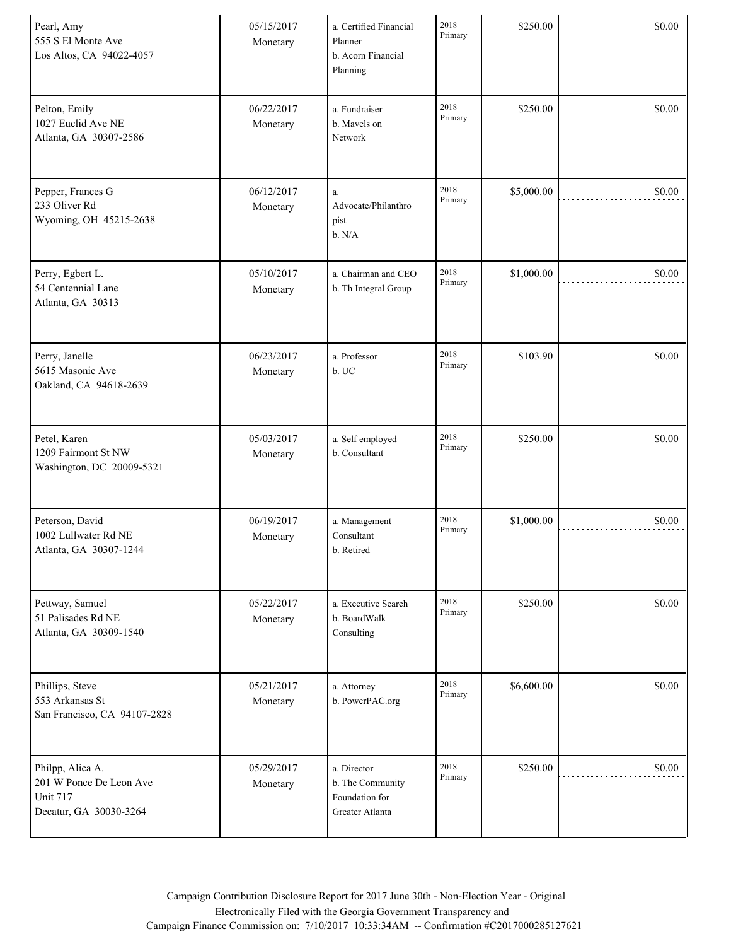| Pearl, Amy<br>555 S El Monte Ave<br>Los Altos, CA 94022-4057                             | 05/15/2017<br>Monetary | a. Certified Financial<br>Planner<br>b. Acorn Financial<br>Planning  | 2018<br>Primary | \$250.00   | \$0.00 |
|------------------------------------------------------------------------------------------|------------------------|----------------------------------------------------------------------|-----------------|------------|--------|
| Pelton, Emily<br>1027 Euclid Ave NE<br>Atlanta, GA 30307-2586                            | 06/22/2017<br>Monetary | a. Fundraiser<br>b. Mavels on<br>Network                             | 2018<br>Primary | \$250.00   | \$0.00 |
| Pepper, Frances G<br>233 Oliver Rd<br>Wyoming, OH 45215-2638                             | 06/12/2017<br>Monetary | a.<br>Advocate/Philanthro<br>pist<br>b. N/A                          | 2018<br>Primary | \$5,000.00 | \$0.00 |
| Perry, Egbert L.<br>54 Centennial Lane<br>Atlanta, GA 30313                              | 05/10/2017<br>Monetary | a. Chairman and CEO<br>b. Th Integral Group                          | 2018<br>Primary | \$1,000.00 | \$0.00 |
| Perry, Janelle<br>5615 Masonic Ave<br>Oakland, CA 94618-2639                             | 06/23/2017<br>Monetary | a. Professor<br>b. UC                                                | 2018<br>Primary | \$103.90   | \$0.00 |
| Petel, Karen<br>1209 Fairmont St NW<br>Washington, DC 20009-5321                         | 05/03/2017<br>Monetary | a. Self employed<br>b. Consultant                                    | 2018<br>Primary | \$250.00   | \$0.00 |
| Peterson, David<br>1002 Lullwater Rd NE<br>Atlanta, GA 30307-1244                        | 06/19/2017<br>Monetary | a. Management<br>Consultant<br>b. Retired                            | 2018<br>Primary | \$1,000.00 | \$0.00 |
| Pettway, Samuel<br>51 Palisades Rd NE<br>Atlanta, GA 30309-1540                          | 05/22/2017<br>Monetary | a. Executive Search<br>b. BoardWalk<br>Consulting                    | 2018<br>Primary | \$250.00   | \$0.00 |
| Phillips, Steve<br>553 Arkansas St<br>San Francisco, CA 94107-2828                       | 05/21/2017<br>Monetary | a. Attorney<br>b. PowerPAC.org                                       | 2018<br>Primary | \$6,600.00 | \$0.00 |
| Philpp, Alica A.<br>201 W Ponce De Leon Ave<br><b>Unit 717</b><br>Decatur, GA 30030-3264 | 05/29/2017<br>Monetary | a. Director<br>b. The Community<br>Foundation for<br>Greater Atlanta | 2018<br>Primary | \$250.00   | \$0.00 |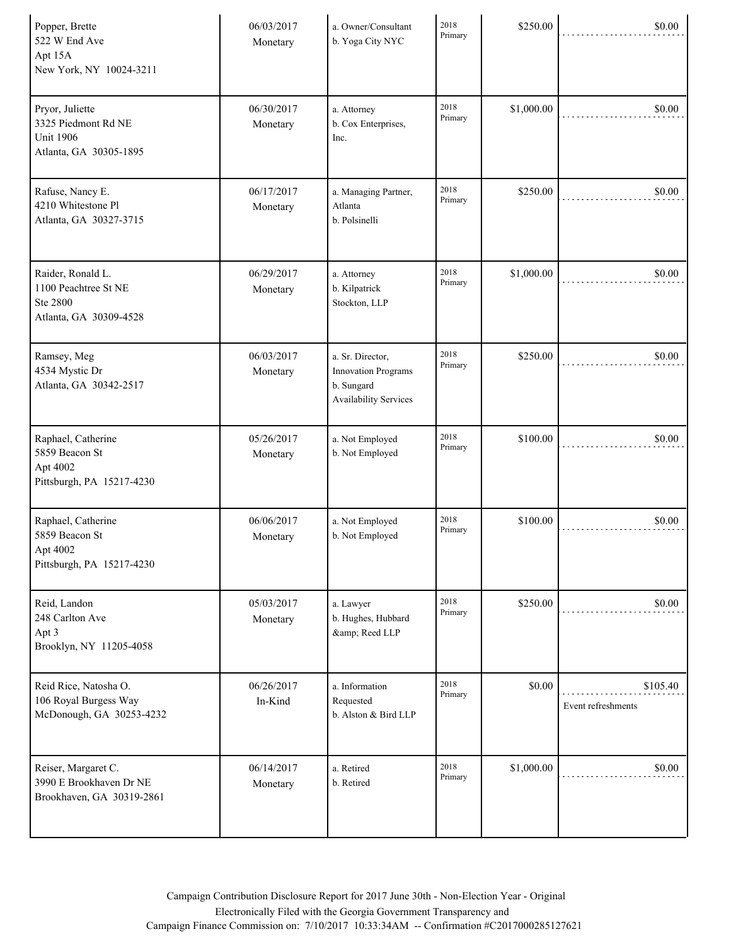| Popper, Brette<br>522 W End Ave<br>Apt 15A<br>New York, NY 10024-3211                | 06/03/2017<br>Monetary | a. Owner/Consultant<br>b. Yoga City NYC                                               | 2018<br>Primary | \$250.00   | \$0.00                         |
|--------------------------------------------------------------------------------------|------------------------|---------------------------------------------------------------------------------------|-----------------|------------|--------------------------------|
| Pryor, Juliette<br>3325 Piedmont Rd NE<br><b>Unit 1906</b><br>Atlanta, GA 30305-1895 | 06/30/2017<br>Monetary | a. Attorney<br>b. Cox Enterprises,<br>Inc.                                            | 2018<br>Primary | \$1,000.00 | \$0.00                         |
| Rafuse, Nancy E.<br>4210 Whitestone Pl<br>Atlanta, GA 30327-3715                     | 06/17/2017<br>Monetary | a. Managing Partner,<br>Atlanta<br>b. Polsinelli                                      | 2018<br>Primary | \$250.00   | \$0.00                         |
| Raider, Ronald L.<br>1100 Peachtree St NE<br>Ste 2800<br>Atlanta, GA 30309-4528      | 06/29/2017<br>Monetary | a. Attorney<br>b. Kilpatrick<br>Stockton, LLP                                         | 2018<br>Primary | \$1,000.00 | \$0.00                         |
| Ramsey, Meg<br>4534 Mystic Dr<br>Atlanta, GA 30342-2517                              | 06/03/2017<br>Monetary | a. Sr. Director,<br><b>Innovation Programs</b><br>b. Sungard<br>Availability Services | 2018<br>Primary | \$250.00   | \$0.00                         |
| Raphael, Catherine<br>5859 Beacon St<br>Apt 4002<br>Pittsburgh, PA 15217-4230        | 05/26/2017<br>Monetary | a. Not Employed<br>b. Not Employed                                                    | 2018<br>Primary | \$100.00   | \$0.00                         |
| Raphael, Catherine<br>5859 Beacon St<br>Apt 4002<br>Pittsburgh, PA 15217-4230        | 06/06/2017<br>Monetary | a. Not Employed<br>b. Not Employed                                                    | 2018<br>Primary | \$100.00   | \$0.00                         |
| Reid, Landon<br>248 Carlton Ave<br>Apt 3<br>Brooklyn, NY 11205-4058                  | 05/03/2017<br>Monetary | a. Lawyer<br>b. Hughes, Hubbard<br>& Reed LLP                                         | 2018<br>Primary | \$250.00   | \$0.00                         |
| Reid Rice, Natosha O.<br>106 Royal Burgess Way<br>McDonough, GA 30253-4232           | 06/26/2017<br>In-Kind  | a. Information<br>Requested<br>b. Alston & Bird LLP                                   | 2018<br>Primary | \$0.00     | \$105.40<br>Event refreshments |
| Reiser, Margaret C.<br>3990 E Brookhaven Dr NE<br>Brookhaven, GA 30319-2861          | 06/14/2017<br>Monetary | a. Retired<br>b. Retired                                                              | 2018<br>Primary | \$1,000.00 | \$0.00                         |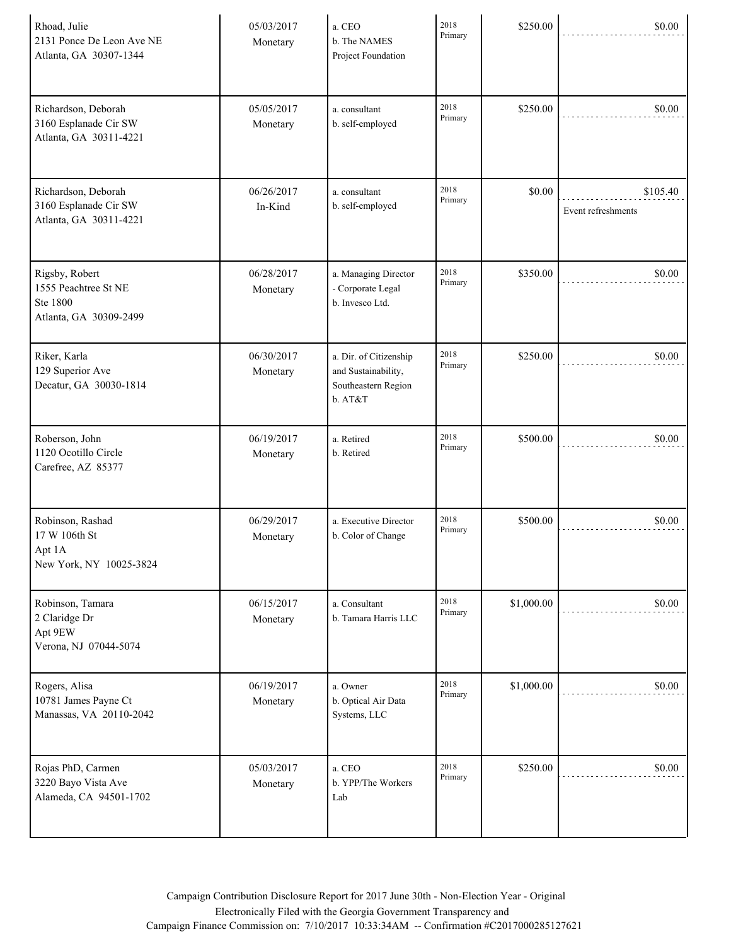| Rhoad, Julie<br>2131 Ponce De Leon Ave NE<br>Atlanta, GA 30307-1344          | 05/03/2017<br>Monetary | a. CEO<br>b. The NAMES<br>Project Foundation                                    | 2018<br>Primary | \$250.00   | \$0.00                         |
|------------------------------------------------------------------------------|------------------------|---------------------------------------------------------------------------------|-----------------|------------|--------------------------------|
| Richardson, Deborah<br>3160 Esplanade Cir SW<br>Atlanta, GA 30311-4221       | 05/05/2017<br>Monetary | a. consultant<br>b. self-employed                                               | 2018<br>Primary | \$250.00   | \$0.00                         |
| Richardson, Deborah<br>3160 Esplanade Cir SW<br>Atlanta, GA 30311-4221       | 06/26/2017<br>In-Kind  | a. consultant<br>b. self-employed                                               | 2018<br>Primary | \$0.00     | \$105.40<br>Event refreshments |
| Rigsby, Robert<br>1555 Peachtree St NE<br>Ste 1800<br>Atlanta, GA 30309-2499 | 06/28/2017<br>Monetary | a. Managing Director<br>- Corporate Legal<br>b. Invesco Ltd.                    | 2018<br>Primary | \$350.00   | \$0.00                         |
| Riker, Karla<br>129 Superior Ave<br>Decatur, GA 30030-1814                   | 06/30/2017<br>Monetary | a. Dir. of Citizenship<br>and Sustainability,<br>Southeastern Region<br>b. AT&T | 2018<br>Primary | \$250.00   | \$0.00                         |
| Roberson, John<br>1120 Ocotillo Circle<br>Carefree, AZ 85377                 | 06/19/2017<br>Monetary | a. Retired<br>b. Retired                                                        | 2018<br>Primary | \$500.00   | \$0.00                         |
| Robinson, Rashad<br>17 W 106th St<br>Apt 1A<br>New York, NY 10025-3824       | 06/29/2017<br>Monetary | a. Executive Director<br>b. Color of Change                                     | 2018<br>Primary | \$500.00   | \$0.00                         |
| Robinson, Tamara<br>2 Claridge Dr<br>Apt 9EW<br>Verona, NJ 07044-5074        | 06/15/2017<br>Monetary | a. Consultant<br>b. Tamara Harris LLC                                           | 2018<br>Primary | \$1,000.00 | \$0.00                         |
| Rogers, Alisa<br>10781 James Payne Ct<br>Manassas, VA 20110-2042             | 06/19/2017<br>Monetary | a. Owner<br>b. Optical Air Data<br>Systems, LLC                                 | 2018<br>Primary | \$1,000.00 | \$0.00                         |
| Rojas PhD, Carmen<br>3220 Bayo Vista Ave<br>Alameda, CA 94501-1702           | 05/03/2017<br>Monetary | a. CEO<br>b. YPP/The Workers<br>Lab                                             | 2018<br>Primary | \$250.00   | \$0.00                         |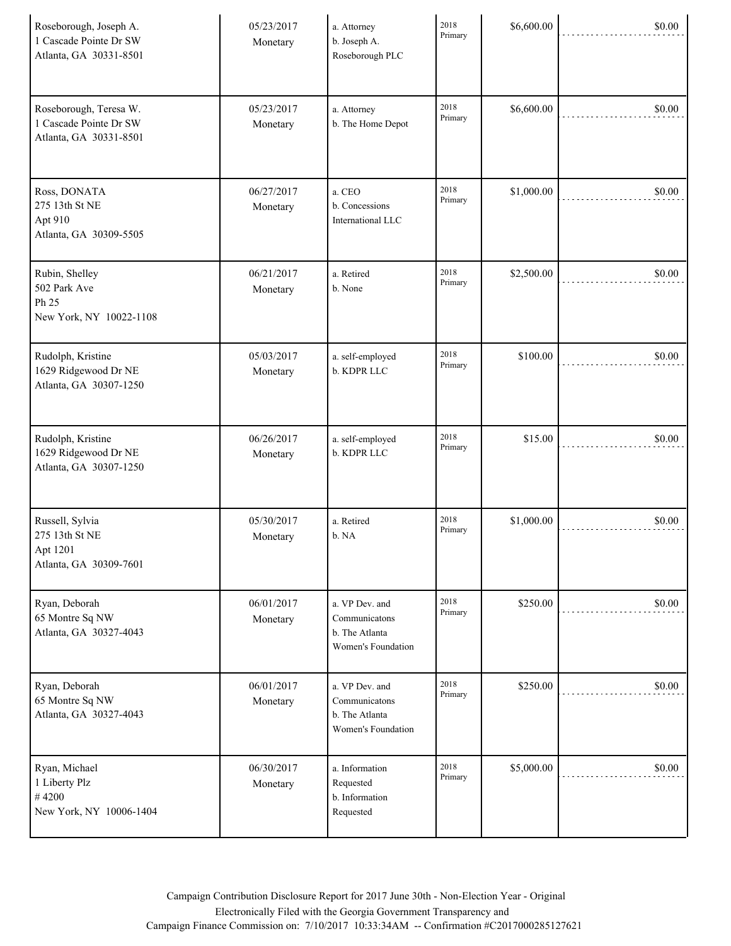| Roseborough, Joseph A.<br>1 Cascade Pointe Dr SW<br>Atlanta, GA 30331-8501 | 05/23/2017<br>Monetary | a. Attorney<br>b. Joseph A.<br>Roseborough PLC                          | 2018<br>Primary | \$6,600.00 | \$0.00 |
|----------------------------------------------------------------------------|------------------------|-------------------------------------------------------------------------|-----------------|------------|--------|
| Roseborough, Teresa W.<br>1 Cascade Pointe Dr SW<br>Atlanta, GA 30331-8501 | 05/23/2017<br>Monetary | a. Attorney<br>b. The Home Depot                                        | 2018<br>Primary | \$6,600.00 | \$0.00 |
| Ross, DONATA<br>275 13th St NE<br>Apt 910<br>Atlanta, GA 30309-5505        | 06/27/2017<br>Monetary | a. CEO<br>b. Concessions<br>International LLC                           | 2018<br>Primary | \$1,000.00 | \$0.00 |
| Rubin, Shelley<br>502 Park Ave<br>Ph 25<br>New York, NY 10022-1108         | 06/21/2017<br>Monetary | a. Retired<br>b. None                                                   | 2018<br>Primary | \$2,500.00 | \$0.00 |
| Rudolph, Kristine<br>1629 Ridgewood Dr NE<br>Atlanta, GA 30307-1250        | 05/03/2017<br>Monetary | a. self-employed<br>b. KDPR LLC                                         | 2018<br>Primary | \$100.00   | \$0.00 |
| Rudolph, Kristine<br>1629 Ridgewood Dr NE<br>Atlanta, GA 30307-1250        | 06/26/2017<br>Monetary | a. self-employed<br>b. KDPR LLC                                         | 2018<br>Primary | \$15.00    | \$0.00 |
| Russell, Sylvia<br>275 13th St NE<br>Apt 1201<br>Atlanta, GA 30309-7601    | 05/30/2017<br>Monetary | a. Retired<br>b. NA                                                     | 2018<br>Primary | \$1,000.00 | \$0.00 |
| Ryan, Deborah<br>65 Montre Sq NW<br>Atlanta, GA 30327-4043                 | 06/01/2017<br>Monetary | a. VP Dev. and<br>Communicatons<br>b. The Atlanta<br>Women's Foundation | 2018<br>Primary | \$250.00   | \$0.00 |
| Ryan, Deborah<br>65 Montre Sq NW<br>Atlanta, GA 30327-4043                 | 06/01/2017<br>Monetary | a. VP Dev. and<br>Communicatons<br>b. The Atlanta<br>Women's Foundation | 2018<br>Primary | \$250.00   | \$0.00 |
| Ryan, Michael<br>1 Liberty Plz<br>#4200<br>New York, NY 10006-1404         | 06/30/2017<br>Monetary | a. Information<br>Requested<br>b. Information<br>Requested              | 2018<br>Primary | \$5,000.00 | \$0.00 |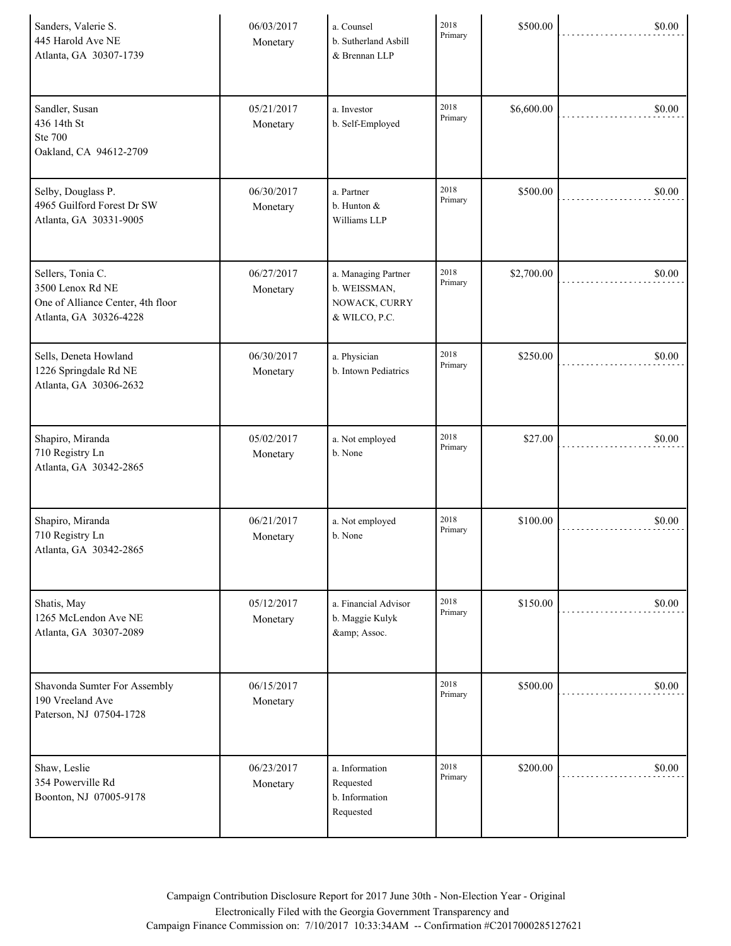| Sanders, Valerie S.<br>445 Harold Ave NE<br>Atlanta, GA 30307-1739                                   | 06/03/2017<br>Monetary | a. Counsel<br>b. Sutherland Asbill<br>& Brennan LLP                   | 2018<br>Primary | \$500.00   | \$0.00 |
|------------------------------------------------------------------------------------------------------|------------------------|-----------------------------------------------------------------------|-----------------|------------|--------|
| Sandler, Susan<br>436 14th St<br><b>Ste 700</b><br>Oakland, CA 94612-2709                            | 05/21/2017<br>Monetary | a. Investor<br>b. Self-Employed                                       | 2018<br>Primary | \$6,600.00 | \$0.00 |
| Selby, Douglass P.<br>4965 Guilford Forest Dr SW<br>Atlanta, GA 30331-9005                           | 06/30/2017<br>Monetary | a. Partner<br>b. Hunton &<br>Williams LLP                             | 2018<br>Primary | \$500.00   | \$0.00 |
| Sellers, Tonia C.<br>3500 Lenox Rd NE<br>One of Alliance Center, 4th floor<br>Atlanta, GA 30326-4228 | 06/27/2017<br>Monetary | a. Managing Partner<br>b. WEISSMAN,<br>NOWACK, CURRY<br>& WILCO, P.C. | 2018<br>Primary | \$2,700.00 | \$0.00 |
| Sells, Deneta Howland<br>1226 Springdale Rd NE<br>Atlanta, GA 30306-2632                             | 06/30/2017<br>Monetary | a. Physician<br>b. Intown Pediatrics                                  | 2018<br>Primary | \$250.00   | \$0.00 |
| Shapiro, Miranda<br>710 Registry Ln<br>Atlanta, GA 30342-2865                                        | 05/02/2017<br>Monetary | a. Not employed<br>b. None                                            | 2018<br>Primary | \$27.00    | \$0.00 |
| Shapiro, Miranda<br>710 Registry Ln<br>Atlanta, GA 30342-2865                                        | 06/21/2017<br>Monetary | a. Not employed<br>b. None                                            | 2018<br>Primary | \$100.00   | \$0.00 |
| Shatis, May<br>1265 McLendon Ave NE<br>Atlanta, GA 30307-2089                                        | 05/12/2017<br>Monetary | a. Financial Advisor<br>b. Maggie Kulyk<br>& Assoc.                   | 2018<br>Primary | \$150.00   | \$0.00 |
| Shavonda Sumter For Assembly<br>190 Vreeland Ave<br>Paterson, NJ 07504-1728                          | 06/15/2017<br>Monetary |                                                                       | 2018<br>Primary | \$500.00   | \$0.00 |
| Shaw, Leslie<br>354 Powerville Rd<br>Boonton, NJ 07005-9178                                          | 06/23/2017<br>Monetary | a. Information<br>Requested<br>b. Information<br>Requested            | 2018<br>Primary | \$200.00   | \$0.00 |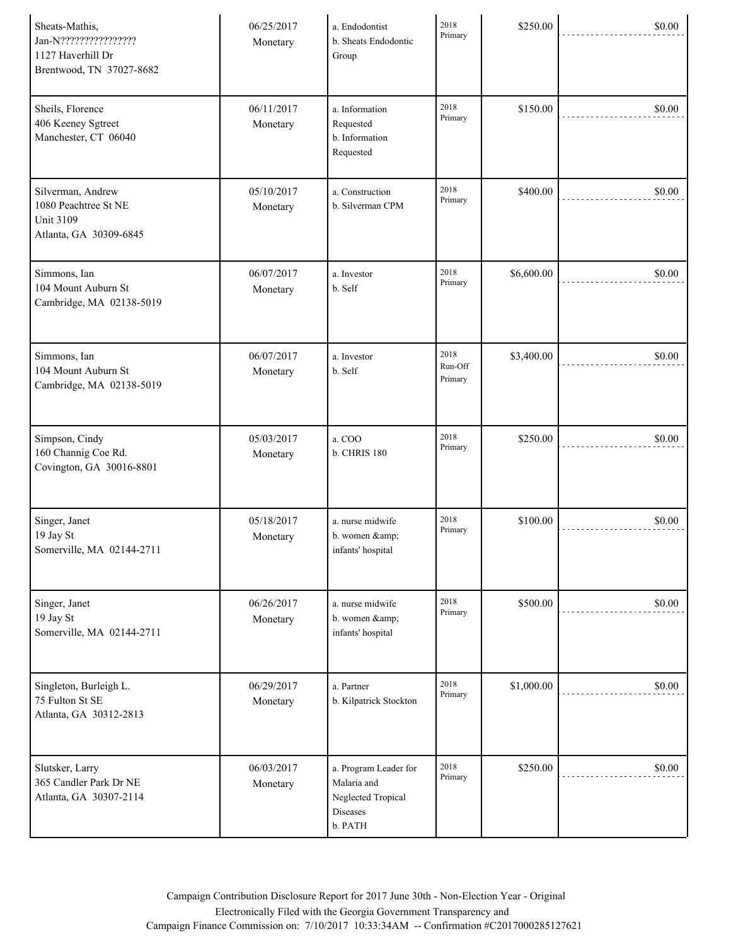| Sheats-Mathis,<br>Jan-N?????????????????<br>1127 Haverhill Dr<br>Brentwood, TN 37027-8682 | 06/25/2017<br>Monetary | a. Endodontist<br>b. Sheats Endodontic<br>Group                                   | 2018<br>Primary            | \$250.00   | \$0.00 |
|-------------------------------------------------------------------------------------------|------------------------|-----------------------------------------------------------------------------------|----------------------------|------------|--------|
| Sheils, Florence<br>406 Keeney Sgtreet<br>Manchester, CT 06040                            | 06/11/2017<br>Monetary | a. Information<br>Requested<br>b. Information<br>Requested                        | 2018<br>Primary            | \$150.00   | \$0.00 |
| Silverman, Andrew<br>1080 Peachtree St NE<br><b>Unit 3109</b><br>Atlanta, GA 30309-6845   | 05/10/2017<br>Monetary | a. Construction<br>b. Silverman CPM                                               | 2018<br>Primary            | \$400.00   | \$0.00 |
| Simmons, Ian<br>104 Mount Auburn St<br>Cambridge, MA 02138-5019                           | 06/07/2017<br>Monetary | a. Investor<br>b. Self                                                            | 2018<br>Primary            | \$6,600.00 | \$0.00 |
| Simmons, Ian<br>104 Mount Auburn St<br>Cambridge, MA 02138-5019                           | 06/07/2017<br>Monetary | a. Investor<br>b. Self                                                            | 2018<br>Run-Off<br>Primary | \$3,400.00 | \$0.00 |
| Simpson, Cindy<br>160 Channig Coe Rd.<br>Covington, GA 30016-8801                         | 05/03/2017<br>Monetary | a. COO<br><b>b. CHRIS 180</b>                                                     | 2018<br>Primary            | \$250.00   | \$0.00 |
| Singer, Janet<br>19 Jay St<br>Somerville, MA 02144-2711                                   | 05/18/2017<br>Monetary | a. nurse midwife<br>b. women &<br>infants' hospital                               | 2018<br>Primary            | \$100.00   | \$0.00 |
| Singer, Janet<br>19 Jay St<br>Somerville, MA 02144-2711                                   | 06/26/2017<br>Monetary | a. nurse midwife<br>b. women &<br>infants' hospital                               | 2018<br>Primary            | \$500.00   | \$0.00 |
| Singleton, Burleigh L.<br>75 Fulton St SE<br>Atlanta, GA 30312-2813                       | 06/29/2017<br>Monetary | a. Partner<br>b. Kilpatrick Stockton                                              | 2018<br>Primary            | \$1,000.00 | \$0.00 |
| Slutsker, Larry<br>365 Candler Park Dr NE<br>Atlanta, GA 30307-2114                       | 06/03/2017<br>Monetary | a. Program Leader for<br>Malaria and<br>Neglected Tropical<br>Diseases<br>b. PATH | 2018<br>Primary            | \$250.00   | \$0.00 |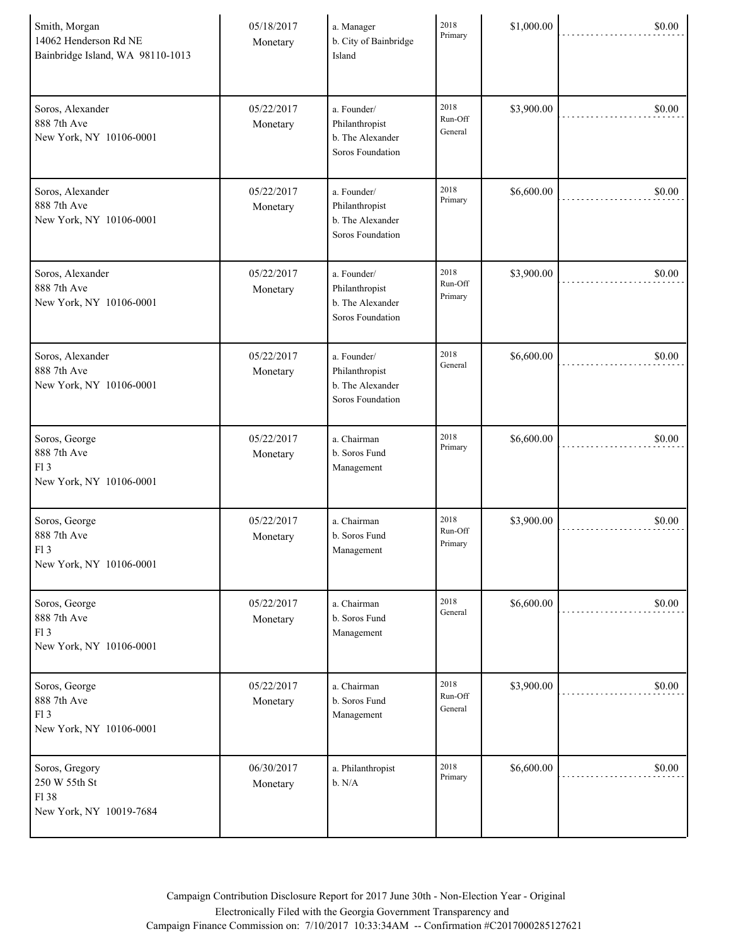| Smith, Morgan<br>14062 Henderson Rd NE<br>Bainbridge Island, WA 98110-1013 | 05/18/2017<br>Monetary | a. Manager<br>b. City of Bainbridge<br>Island                         | 2018<br>Primary            | \$1,000.00 | \$0.00 |
|----------------------------------------------------------------------------|------------------------|-----------------------------------------------------------------------|----------------------------|------------|--------|
| Soros, Alexander<br>888 7th Ave<br>New York, NY 10106-0001                 | 05/22/2017<br>Monetary | a. Founder/<br>Philanthropist<br>b. The Alexander<br>Soros Foundation | 2018<br>Run-Off<br>General | \$3,900.00 | \$0.00 |
| Soros, Alexander<br>888 7th Ave<br>New York, NY 10106-0001                 | 05/22/2017<br>Monetary | a. Founder/<br>Philanthropist<br>b. The Alexander<br>Soros Foundation | 2018<br>Primary            | \$6,600.00 | \$0.00 |
| Soros, Alexander<br>888 7th Ave<br>New York, NY 10106-0001                 | 05/22/2017<br>Monetary | a. Founder/<br>Philanthropist<br>b. The Alexander<br>Soros Foundation | 2018<br>Run-Off<br>Primary | \$3,900.00 | \$0.00 |
| Soros, Alexander<br>888 7th Ave<br>New York, NY 10106-0001                 | 05/22/2017<br>Monetary | a. Founder/<br>Philanthropist<br>b. The Alexander<br>Soros Foundation | 2018<br>General            | \$6,600.00 | \$0.00 |
| Soros, George<br>888 7th Ave<br>F13<br>New York, NY 10106-0001             | 05/22/2017<br>Monetary | a. Chairman<br>b. Soros Fund<br>Management                            | 2018<br>Primary            | \$6,600.00 | \$0.00 |
| Soros, George<br>888 7th Ave<br>F13<br>New York, NY 10106-0001             | 05/22/2017<br>Monetary | a. Chairman<br>b. Soros Fund<br>Management                            | 2018<br>Run-Off<br>Primary | \$3,900.00 | \$0.00 |
| Soros, George<br>888 7th Ave<br>F13<br>New York, NY 10106-0001             | 05/22/2017<br>Monetary | a. Chairman<br>b. Soros Fund<br>Management                            | 2018<br>General            | \$6,600.00 | \$0.00 |
| Soros, George<br>888 7th Ave<br>F13<br>New York, NY 10106-0001             | 05/22/2017<br>Monetary | a. Chairman<br>b. Soros Fund<br>Management                            | 2018<br>Run-Off<br>General | \$3,900.00 | \$0.00 |
| Soros, Gregory<br>250 W 55th St<br>F138<br>New York, NY 10019-7684         | 06/30/2017<br>Monetary | a. Philanthropist<br>b. N/A                                           | 2018<br>Primary            | \$6,600.00 | \$0.00 |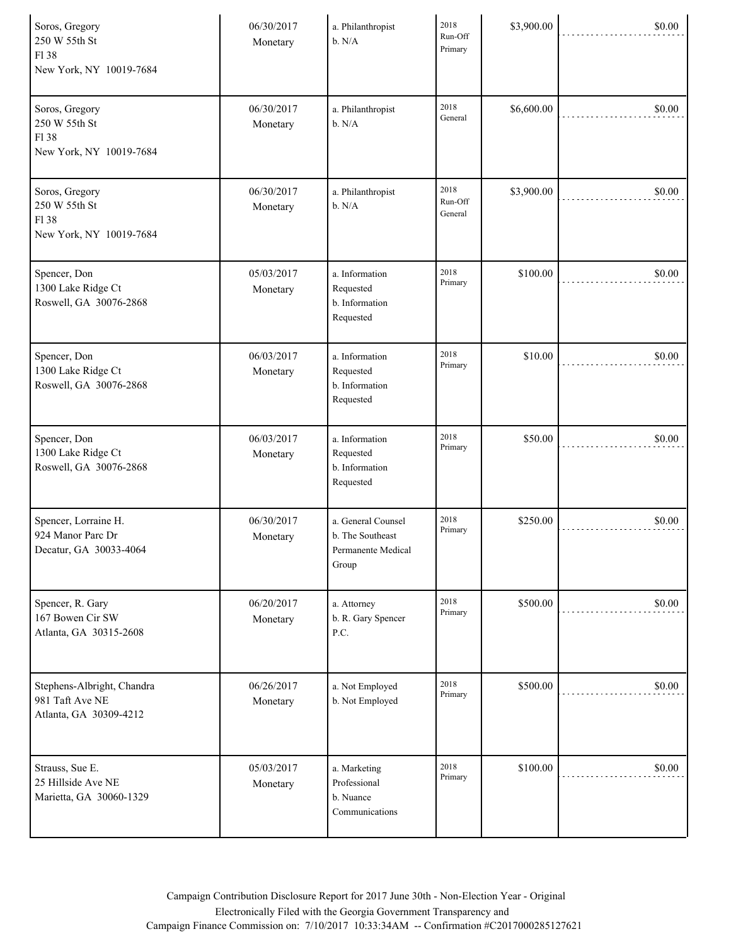| Soros, Gregory<br>250 W 55th St<br>F138<br>New York, NY 10019-7684      | 06/30/2017<br>Monetary | a. Philanthropist<br>b. N/A                                           | 2018<br>Run-Off<br>Primary | \$3,900.00 | \$0.00 |
|-------------------------------------------------------------------------|------------------------|-----------------------------------------------------------------------|----------------------------|------------|--------|
| Soros, Gregory<br>250 W 55th St<br>F138<br>New York, NY 10019-7684      | 06/30/2017<br>Monetary | a. Philanthropist<br>b. N/A                                           | 2018<br>General            | \$6,600.00 | \$0.00 |
| Soros, Gregory<br>250 W 55th St<br>F138<br>New York, NY 10019-7684      | 06/30/2017<br>Monetary | a. Philanthropist<br>b. N/A                                           | 2018<br>Run-Off<br>General | \$3,900.00 | \$0.00 |
| Spencer, Don<br>1300 Lake Ridge Ct<br>Roswell, GA 30076-2868            | 05/03/2017<br>Monetary | a. Information<br>Requested<br>b. Information<br>Requested            | 2018<br>Primary            | \$100.00   | \$0.00 |
| Spencer, Don<br>1300 Lake Ridge Ct<br>Roswell, GA 30076-2868            | 06/03/2017<br>Monetary | a. Information<br>Requested<br>b. Information<br>Requested            | 2018<br>Primary            | \$10.00    | \$0.00 |
| Spencer, Don<br>1300 Lake Ridge Ct<br>Roswell, GA 30076-2868            | 06/03/2017<br>Monetary | a. Information<br>Requested<br>b. Information<br>Requested            | 2018<br>Primary            | \$50.00    | \$0.00 |
| Spencer, Lorraine H.<br>924 Manor Parc Dr<br>Decatur, GA 30033-4064     | 06/30/2017<br>Monetary | a. General Counsel<br>b. The Southeast<br>Permanente Medical<br>Group | 2018<br>Primary            | \$250.00   | \$0.00 |
| Spencer, R. Gary<br>167 Bowen Cir SW<br>Atlanta, GA 30315-2608          | 06/20/2017<br>Monetary | a. Attorney<br>b. R. Gary Spencer<br>P.C.                             | 2018<br>Primary            | \$500.00   | \$0.00 |
| Stephens-Albright, Chandra<br>981 Taft Ave NE<br>Atlanta, GA 30309-4212 | 06/26/2017<br>Monetary | a. Not Employed<br>b. Not Employed                                    | 2018<br>Primary            | \$500.00   | \$0.00 |
| Strauss, Sue E.<br>25 Hillside Ave NE<br>Marietta, GA 30060-1329        | 05/03/2017<br>Monetary | a. Marketing<br>Professional<br>b. Nuance<br>Communications           | 2018<br>Primary            | \$100.00   | \$0.00 |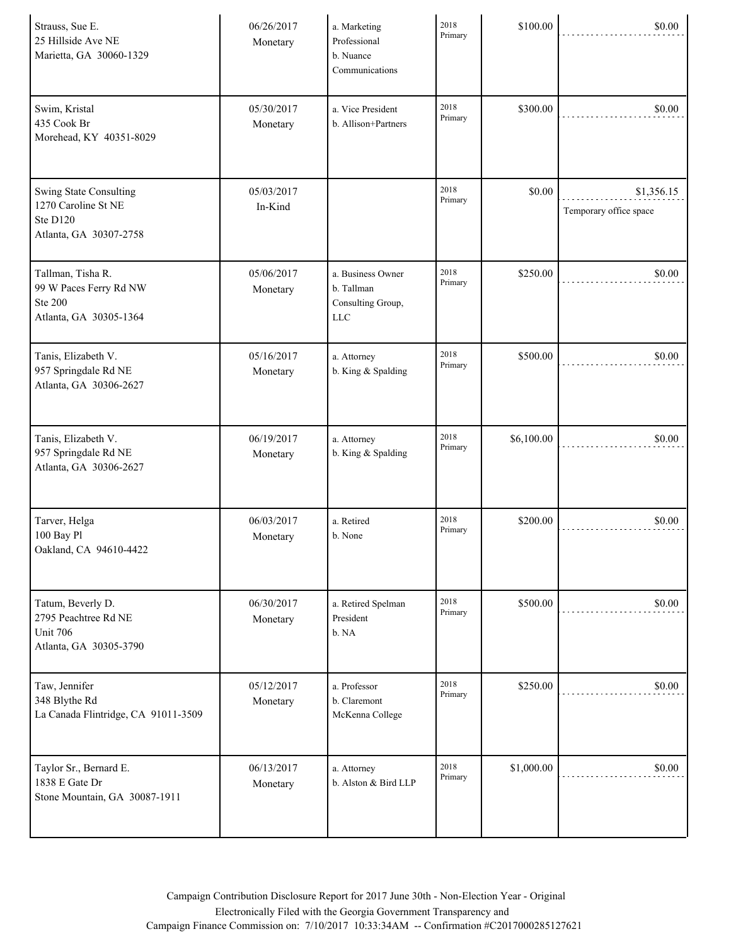| Strauss, Sue E.<br>25 Hillside Ave NE<br>Marietta, GA 30060-1329                           | 06/26/2017<br>Monetary | a. Marketing<br>Professional<br>b. Nuance<br>Communications        | 2018<br>Primary | \$100.00   | \$0.00                               |
|--------------------------------------------------------------------------------------------|------------------------|--------------------------------------------------------------------|-----------------|------------|--------------------------------------|
| Swim, Kristal<br>435 Cook Br<br>Morehead, KY 40351-8029                                    | 05/30/2017<br>Monetary | a. Vice President<br>b. Allison+Partners                           | 2018<br>Primary | \$300.00   | \$0.00                               |
| <b>Swing State Consulting</b><br>1270 Caroline St NE<br>Ste D120<br>Atlanta, GA 30307-2758 | 05/03/2017<br>In-Kind  |                                                                    | 2018<br>Primary | \$0.00     | \$1,356.15<br>Temporary office space |
| Tallman, Tisha R.<br>99 W Paces Ferry Rd NW<br><b>Ste 200</b><br>Atlanta, GA 30305-1364    | 05/06/2017<br>Monetary | a. Business Owner<br>b. Tallman<br>Consulting Group,<br><b>LLC</b> | 2018<br>Primary | \$250.00   | \$0.00                               |
| Tanis, Elizabeth V.<br>957 Springdale Rd NE<br>Atlanta, GA 30306-2627                      | 05/16/2017<br>Monetary | a. Attorney<br>b. King & Spalding                                  | 2018<br>Primary | \$500.00   | \$0.00                               |
| Tanis, Elizabeth V.<br>957 Springdale Rd NE<br>Atlanta, GA 30306-2627                      | 06/19/2017<br>Monetary | a. Attorney<br>b. King & Spalding                                  | 2018<br>Primary | \$6,100.00 | \$0.00                               |
| Tarver, Helga<br>100 Bay Pl<br>Oakland, CA 94610-4422                                      | 06/03/2017<br>Monetary | a. Retired<br>b. None                                              | 2018<br>Primary | \$200.00   | \$0.00                               |
| Tatum, Beverly D.<br>2795 Peachtree Rd NE<br><b>Unit 706</b><br>Atlanta, GA 30305-3790     | 06/30/2017<br>Monetary | a. Retired Spelman<br>President<br>b. NA                           | 2018<br>Primary | \$500.00   | \$0.00                               |
| Taw, Jennifer<br>348 Blythe Rd<br>La Canada Flintridge, CA 91011-3509                      | 05/12/2017<br>Monetary | a. Professor<br>b. Claremont<br>McKenna College                    | 2018<br>Primary | \$250.00   | \$0.00                               |
| Taylor Sr., Bernard E.<br>1838 E Gate Dr<br>Stone Mountain, GA 30087-1911                  | 06/13/2017<br>Monetary | a. Attorney<br>b. Alston & Bird LLP                                | 2018<br>Primary | \$1,000.00 | \$0.00                               |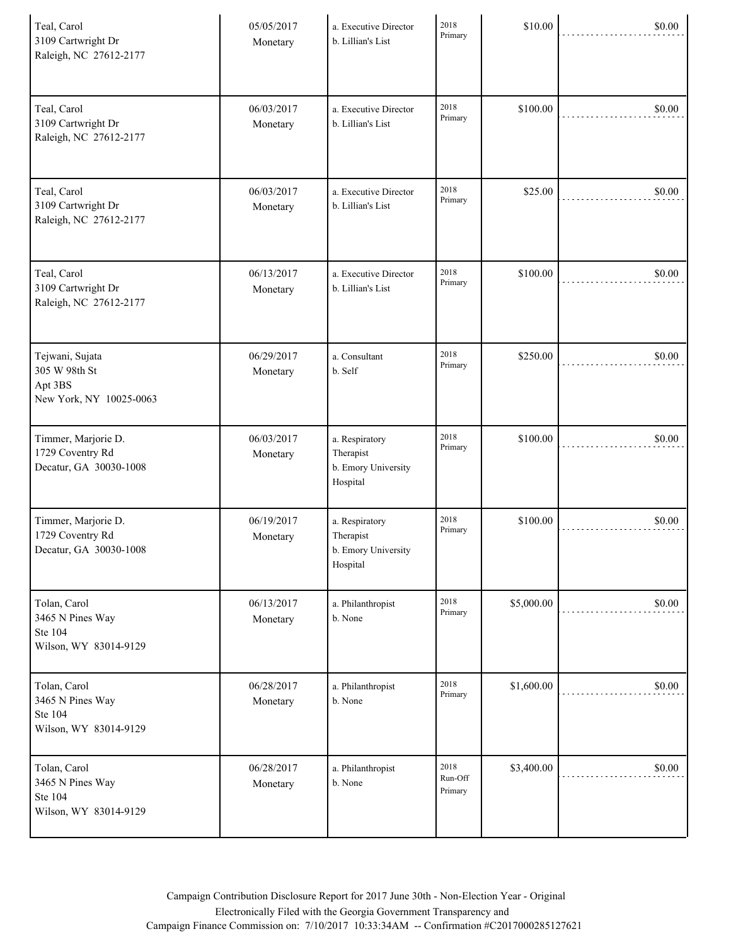| Teal, Carol<br>3109 Cartwright Dr<br>Raleigh, NC 27612-2177            | 05/05/2017<br>Monetary | a. Executive Director<br>b. Lillian's List                     | 2018<br>Primary            | \$10.00    | \$0.00 |
|------------------------------------------------------------------------|------------------------|----------------------------------------------------------------|----------------------------|------------|--------|
| Teal, Carol<br>3109 Cartwright Dr<br>Raleigh, NC 27612-2177            | 06/03/2017<br>Monetary | a. Executive Director<br>b. Lillian's List                     | 2018<br>Primary            | \$100.00   | \$0.00 |
| Teal, Carol<br>3109 Cartwright Dr<br>Raleigh, NC 27612-2177            | 06/03/2017<br>Monetary | a. Executive Director<br>b. Lillian's List                     | 2018<br>Primary            | \$25.00    | \$0.00 |
| Teal, Carol<br>3109 Cartwright Dr<br>Raleigh, NC 27612-2177            | 06/13/2017<br>Monetary | a. Executive Director<br>b. Lillian's List                     | 2018<br>Primary            | \$100.00   | \$0.00 |
| Tejwani, Sujata<br>305 W 98th St<br>Apt 3BS<br>New York, NY 10025-0063 | 06/29/2017<br>Monetary | a. Consultant<br>b. Self                                       | 2018<br>Primary            | \$250.00   | \$0.00 |
| Timmer, Marjorie D.<br>1729 Coventry Rd<br>Decatur, GA 30030-1008      | 06/03/2017<br>Monetary | a. Respiratory<br>Therapist<br>b. Emory University<br>Hospital | 2018<br>Primary            | \$100.00   | \$0.00 |
| Timmer, Marjorie D.<br>1729 Coventry Rd<br>Decatur, GA 30030-1008      | 06/19/2017<br>Monetary | a. Respiratory<br>Therapist<br>b. Emory University<br>Hospital | 2018<br>Primary            | \$100.00   | \$0.00 |
| Tolan, Carol<br>3465 N Pines Way<br>Ste 104<br>Wilson, WY 83014-9129   | 06/13/2017<br>Monetary | a. Philanthropist<br>b. None                                   | 2018<br>Primary            | \$5,000.00 | \$0.00 |
| Tolan, Carol<br>3465 N Pines Way<br>Ste 104<br>Wilson, WY 83014-9129   | 06/28/2017<br>Monetary | a. Philanthropist<br>b. None                                   | 2018<br>Primary            | \$1,600.00 | \$0.00 |
| Tolan, Carol<br>3465 N Pines Way<br>Ste 104<br>Wilson, WY 83014-9129   | 06/28/2017<br>Monetary | a. Philanthropist<br>b. None                                   | 2018<br>Run-Off<br>Primary | \$3,400.00 | \$0.00 |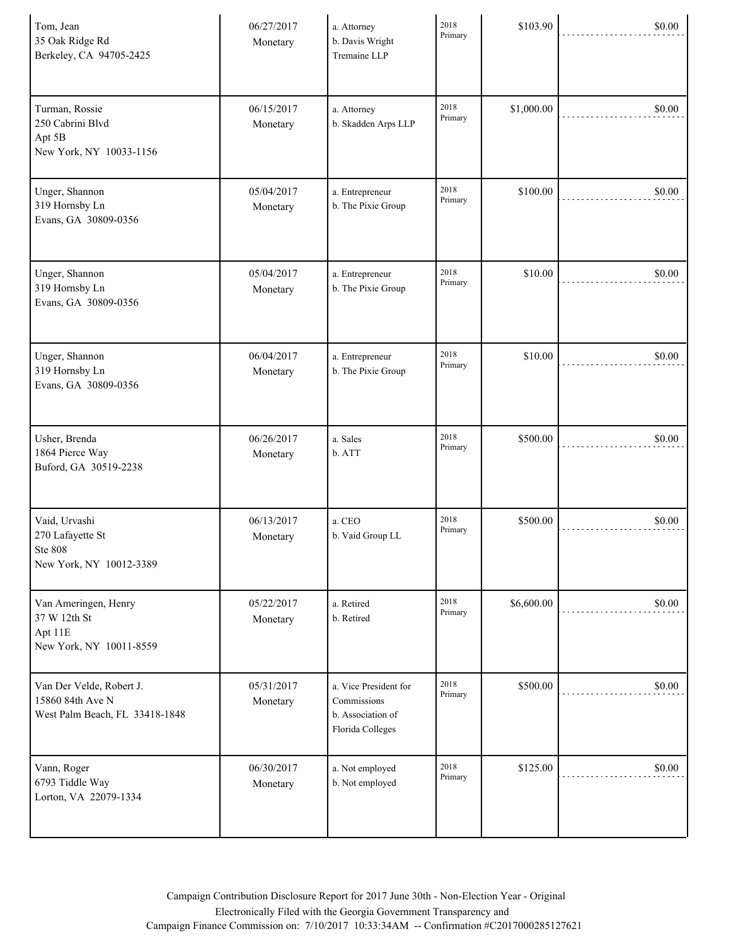| Tom, Jean<br>35 Oak Ridge Rd<br>Berkeley, CA 94705-2425                        | 06/27/2017<br>Monetary | a. Attorney<br>b. Davis Wright<br>Tremaine LLP                                | 2018<br>Primary | \$103.90   | \$0.00 |
|--------------------------------------------------------------------------------|------------------------|-------------------------------------------------------------------------------|-----------------|------------|--------|
| Turman, Rossie<br>250 Cabrini Blvd<br>Apt 5B<br>New York, NY 10033-1156        | 06/15/2017<br>Monetary | a. Attorney<br>b. Skadden Arps LLP                                            | 2018<br>Primary | \$1,000.00 | \$0.00 |
| Unger, Shannon<br>319 Hornsby Ln<br>Evans, GA 30809-0356                       | 05/04/2017<br>Monetary | a. Entrepreneur<br>b. The Pixie Group                                         | 2018<br>Primary | \$100.00   | \$0.00 |
| Unger, Shannon<br>319 Hornsby Ln<br>Evans, GA 30809-0356                       | 05/04/2017<br>Monetary | a. Entrepreneur<br>b. The Pixie Group                                         | 2018<br>Primary | \$10.00    | \$0.00 |
| Unger, Shannon<br>319 Hornsby Ln<br>Evans, GA 30809-0356                       | 06/04/2017<br>Monetary | a. Entrepreneur<br>b. The Pixie Group                                         | 2018<br>Primary | \$10.00    | \$0.00 |
| Usher, Brenda<br>1864 Pierce Way<br>Buford, GA 30519-2238                      | 06/26/2017<br>Monetary | a. Sales<br>b. ATT                                                            | 2018<br>Primary | \$500.00   | \$0.00 |
| Vaid, Urvashi<br>270 Lafayette St<br><b>Ste 808</b><br>New York, NY 10012-3389 | 06/13/2017<br>Monetary | a. CEO<br>b. Vaid Group LL                                                    | 2018<br>Primary | \$500.00   | \$0.00 |
| Van Ameringen, Henry<br>37 W 12th St<br>Apt 11E<br>New York, NY 10011-8559     | 05/22/2017<br>Monetary | a. Retired<br>b. Retired                                                      | 2018<br>Primary | \$6,600.00 | \$0.00 |
| Van Der Velde, Robert J.<br>15860 84th Ave N<br>West Palm Beach, FL 33418-1848 | 05/31/2017<br>Monetary | a. Vice President for<br>Commissions<br>b. Association of<br>Florida Colleges | 2018<br>Primary | \$500.00   | \$0.00 |
| Vann, Roger<br>6793 Tiddle Way<br>Lorton, VA 22079-1334                        | 06/30/2017<br>Monetary | a. Not employed<br>b. Not employed                                            | 2018<br>Primary | \$125.00   | \$0.00 |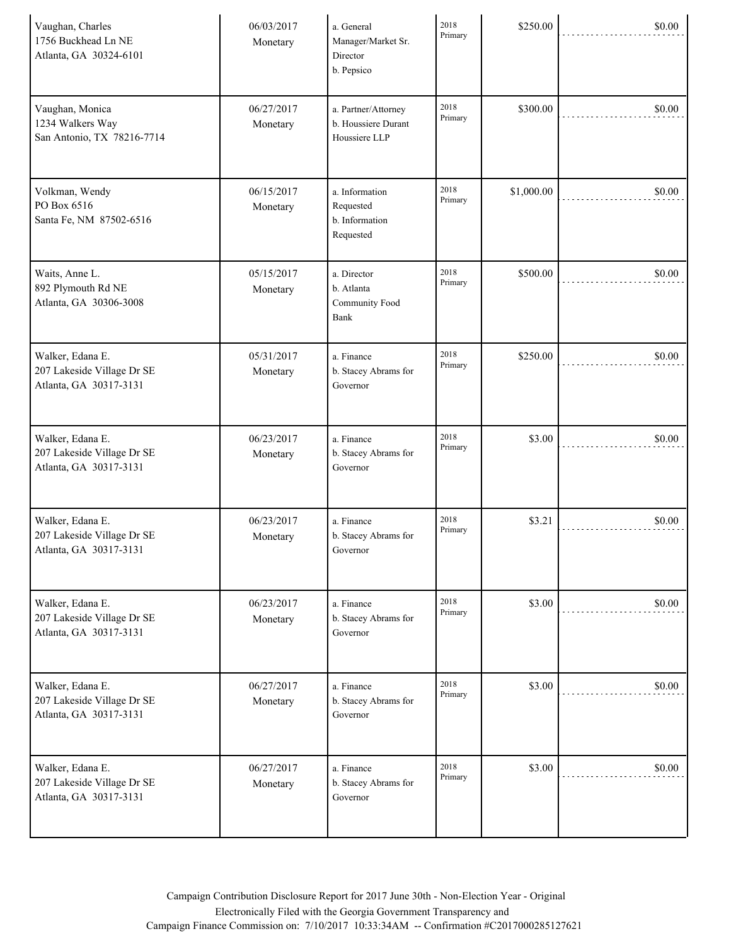| Vaughan, Charles<br>1756 Buckhead Ln NE<br>Atlanta, GA 30324-6101        | 06/03/2017<br>Monetary | a. General<br>Manager/Market Sr.<br>Director<br>b. Pepsico  | 2018<br>Primary | \$250.00   | \$0.00 |
|--------------------------------------------------------------------------|------------------------|-------------------------------------------------------------|-----------------|------------|--------|
| Vaughan, Monica<br>1234 Walkers Way<br>San Antonio, TX 78216-7714        | 06/27/2017<br>Monetary | a. Partner/Attorney<br>b. Houssiere Durant<br>Houssiere LLP | 2018<br>Primary | \$300.00   | \$0.00 |
| Volkman, Wendy<br>PO Box 6516<br>Santa Fe, NM 87502-6516                 | 06/15/2017<br>Monetary | a. Information<br>Requested<br>b. Information<br>Requested  | 2018<br>Primary | \$1,000.00 | \$0.00 |
| Waits, Anne L.<br>892 Plymouth Rd NE<br>Atlanta, GA 30306-3008           | 05/15/2017<br>Monetary | a. Director<br>b. Atlanta<br>Community Food<br>Bank         | 2018<br>Primary | \$500.00   | \$0.00 |
| Walker, Edana E.<br>207 Lakeside Village Dr SE<br>Atlanta, GA 30317-3131 | 05/31/2017<br>Monetary | a. Finance<br>b. Stacey Abrams for<br>Governor              | 2018<br>Primary | \$250.00   | \$0.00 |
| Walker, Edana E.<br>207 Lakeside Village Dr SE<br>Atlanta, GA 30317-3131 | 06/23/2017<br>Monetary | a. Finance<br>b. Stacey Abrams for<br>Governor              | 2018<br>Primary | \$3.00     | \$0.00 |
| Walker, Edana E.<br>207 Lakeside Village Dr SE<br>Atlanta, GA 30317-3131 | 06/23/2017<br>Monetary | a. Finance<br>b. Stacey Abrams for<br>Governor              | 2018<br>Primary | \$3.21     | \$0.00 |
| Walker, Edana E.<br>207 Lakeside Village Dr SE<br>Atlanta, GA 30317-3131 | 06/23/2017<br>Monetary | a. Finance<br>b. Stacey Abrams for<br>Governor              | 2018<br>Primary | \$3.00     | \$0.00 |
| Walker, Edana E.<br>207 Lakeside Village Dr SE<br>Atlanta, GA 30317-3131 | 06/27/2017<br>Monetary | a. Finance<br>b. Stacey Abrams for<br>Governor              | 2018<br>Primary | \$3.00     | \$0.00 |
| Walker, Edana E.<br>207 Lakeside Village Dr SE<br>Atlanta, GA 30317-3131 | 06/27/2017<br>Monetary | a. Finance<br>b. Stacey Abrams for<br>Governor              | 2018<br>Primary | \$3.00     | \$0.00 |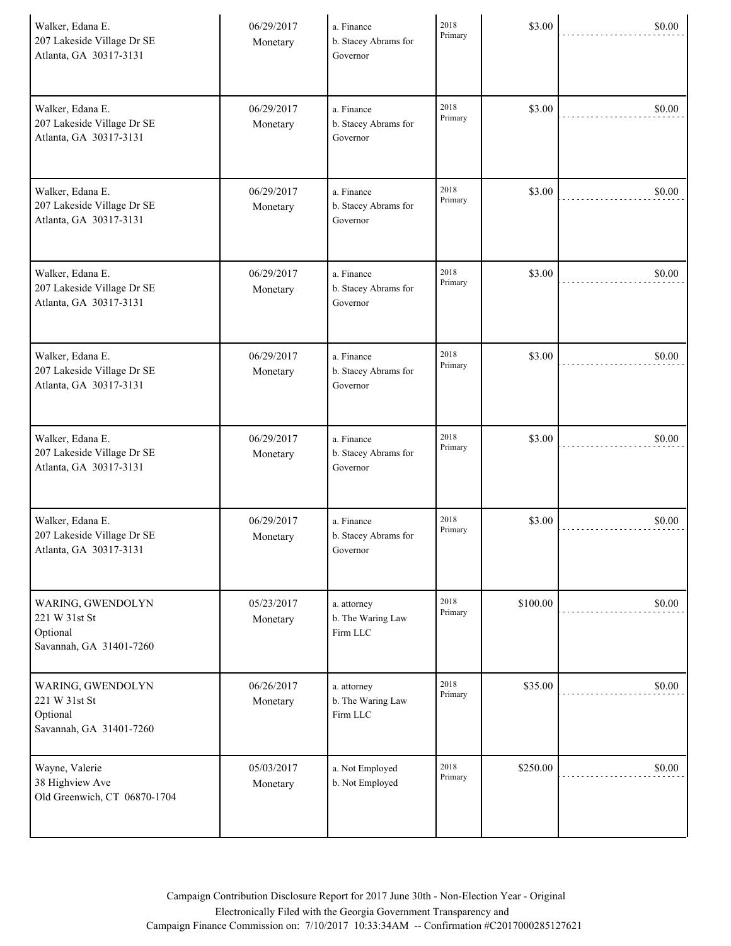| Walker, Edana E.<br>207 Lakeside Village Dr SE<br>Atlanta, GA 30317-3131  | 06/29/2017<br>Monetary | a. Finance<br>b. Stacey Abrams for<br>Governor | 2018<br>Primary | \$3.00   | \$0.00 |
|---------------------------------------------------------------------------|------------------------|------------------------------------------------|-----------------|----------|--------|
| Walker, Edana E.<br>207 Lakeside Village Dr SE<br>Atlanta, GA 30317-3131  | 06/29/2017<br>Monetary | a. Finance<br>b. Stacey Abrams for<br>Governor | 2018<br>Primary | \$3.00   | \$0.00 |
| Walker, Edana E.<br>207 Lakeside Village Dr SE<br>Atlanta, GA 30317-3131  | 06/29/2017<br>Monetary | a. Finance<br>b. Stacey Abrams for<br>Governor | 2018<br>Primary | \$3.00   | \$0.00 |
| Walker, Edana E.<br>207 Lakeside Village Dr SE<br>Atlanta, GA 30317-3131  | 06/29/2017<br>Monetary | a. Finance<br>b. Stacey Abrams for<br>Governor | 2018<br>Primary | \$3.00   | \$0.00 |
| Walker, Edana E.<br>207 Lakeside Village Dr SE<br>Atlanta, GA 30317-3131  | 06/29/2017<br>Monetary | a. Finance<br>b. Stacey Abrams for<br>Governor | 2018<br>Primary | \$3.00   | \$0.00 |
| Walker, Edana E.<br>207 Lakeside Village Dr SE<br>Atlanta, GA 30317-3131  | 06/29/2017<br>Monetary | a. Finance<br>b. Stacey Abrams for<br>Governor | 2018<br>Primary | \$3.00   | \$0.00 |
| Walker, Edana E.<br>207 Lakeside Village Dr SE<br>Atlanta, GA 30317-3131  | 06/29/2017<br>Monetary | a. Finance<br>b. Stacey Abrams for<br>Governor | 2018<br>Primary | \$3.00   | \$0.00 |
| WARING, GWENDOLYN<br>221 W 31st St<br>Optional<br>Savannah, GA 31401-7260 | 05/23/2017<br>Monetary | a. attorney<br>b. The Waring Law<br>Firm LLC   | 2018<br>Primary | \$100.00 | \$0.00 |
| WARING, GWENDOLYN<br>221 W 31st St<br>Optional<br>Savannah, GA 31401-7260 | 06/26/2017<br>Monetary | a. attorney<br>b. The Waring Law<br>Firm LLC   | 2018<br>Primary | \$35.00  | \$0.00 |
| Wayne, Valerie<br>38 Highview Ave<br>Old Greenwich, CT 06870-1704         | 05/03/2017<br>Monetary | a. Not Employed<br>b. Not Employed             | 2018<br>Primary | \$250.00 | \$0.00 |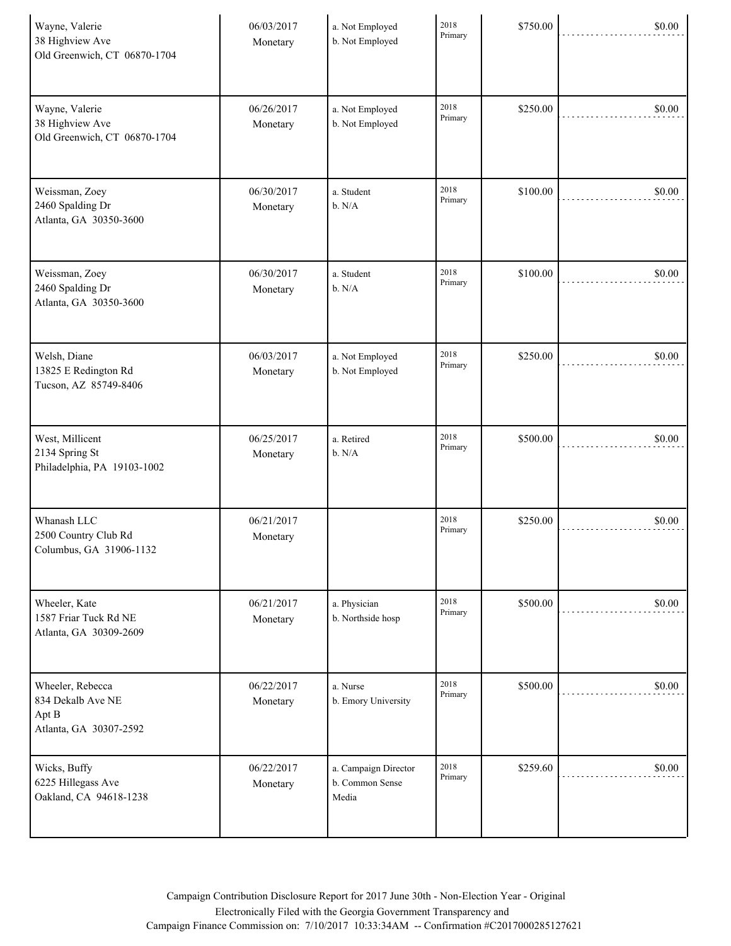| Wayne, Valerie<br>38 Highview Ave<br>Old Greenwich, CT 06870-1704        | 06/03/2017<br>Monetary | a. Not Employed<br>b. Not Employed               | 2018<br>Primary | \$750.00 | \$0.00 |
|--------------------------------------------------------------------------|------------------------|--------------------------------------------------|-----------------|----------|--------|
| Wayne, Valerie<br>38 Highview Ave<br>Old Greenwich, CT 06870-1704        | 06/26/2017<br>Monetary | a. Not Employed<br>b. Not Employed               | 2018<br>Primary | \$250.00 | \$0.00 |
| Weissman, Zoey<br>2460 Spalding Dr<br>Atlanta, GA 30350-3600             | 06/30/2017<br>Monetary | a. Student<br>b. N/A                             | 2018<br>Primary | \$100.00 | \$0.00 |
| Weissman, Zoey<br>2460 Spalding Dr<br>Atlanta, GA 30350-3600             | 06/30/2017<br>Monetary | a. Student<br>b. N/A                             | 2018<br>Primary | \$100.00 | \$0.00 |
| Welsh, Diane<br>13825 E Redington Rd<br>Tucson, AZ 85749-8406            | 06/03/2017<br>Monetary | a. Not Employed<br>b. Not Employed               | 2018<br>Primary | \$250.00 | \$0.00 |
| West, Millicent<br>2134 Spring St<br>Philadelphia, PA 19103-1002         | 06/25/2017<br>Monetary | a. Retired<br>b. N/A                             | 2018<br>Primary | \$500.00 | \$0.00 |
| Whanash LLC<br>2500 Country Club Rd<br>Columbus, GA 31906-1132           | 06/21/2017<br>Monetary |                                                  | 2018<br>Primary | \$250.00 | \$0.00 |
| Wheeler, Kate<br>1587 Friar Tuck Rd NE<br>Atlanta, GA 30309-2609         | 06/21/2017<br>Monetary | a. Physician<br>b. Northside hosp                | 2018<br>Primary | \$500.00 | \$0.00 |
| Wheeler, Rebecca<br>834 Dekalb Ave NE<br>Apt B<br>Atlanta, GA 30307-2592 | 06/22/2017<br>Monetary | a. Nurse<br>b. Emory University                  | 2018<br>Primary | \$500.00 | \$0.00 |
| Wicks, Buffy<br>6225 Hillegass Ave<br>Oakland, CA 94618-1238             | 06/22/2017<br>Monetary | a. Campaign Director<br>b. Common Sense<br>Media | 2018<br>Primary | \$259.60 | \$0.00 |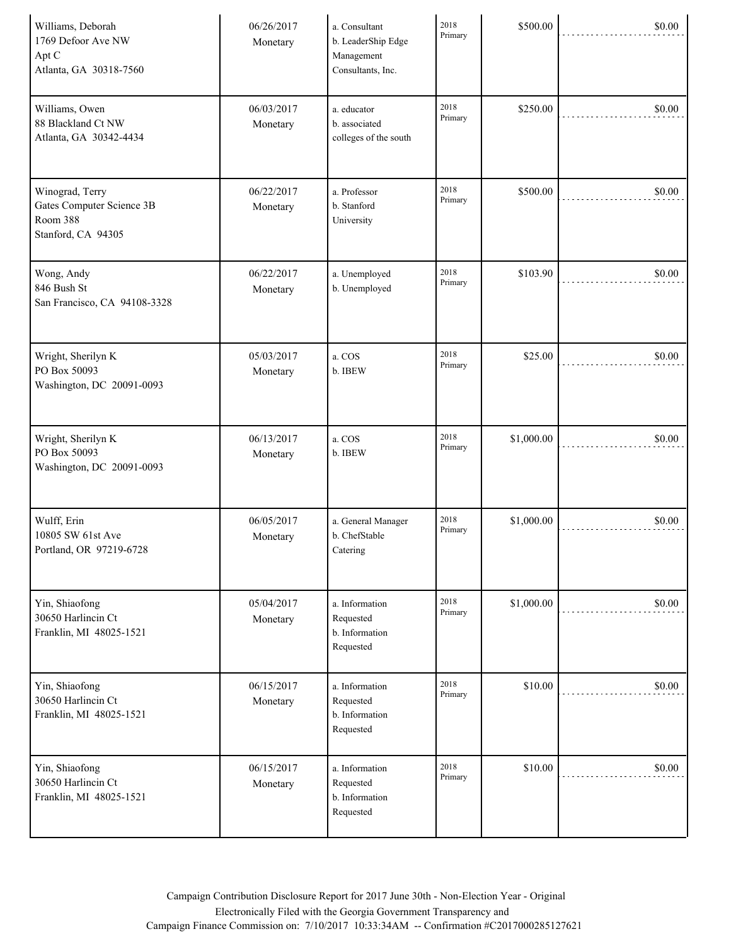| Williams, Deborah<br>1769 Defoor Ave NW<br>Apt C<br>Atlanta, GA 30318-7560     | 06/26/2017<br>Monetary | a. Consultant<br>b. LeaderShip Edge<br>Management<br>Consultants, Inc. | 2018<br>Primary | \$500.00   | \$0.00 |
|--------------------------------------------------------------------------------|------------------------|------------------------------------------------------------------------|-----------------|------------|--------|
| Williams, Owen<br>88 Blackland Ct NW<br>Atlanta, GA 30342-4434                 | 06/03/2017<br>Monetary | a. educator<br>b. associated<br>colleges of the south                  | 2018<br>Primary | \$250.00   | \$0.00 |
| Winograd, Terry<br>Gates Computer Science 3B<br>Room 388<br>Stanford, CA 94305 | 06/22/2017<br>Monetary | a. Professor<br>b. Stanford<br>University                              | 2018<br>Primary | \$500.00   | \$0.00 |
| Wong, Andy<br>846 Bush St<br>San Francisco, CA 94108-3328                      | 06/22/2017<br>Monetary | a. Unemployed<br>b. Unemployed                                         | 2018<br>Primary | \$103.90   | \$0.00 |
| Wright, Sherilyn K<br>PO Box 50093<br>Washington, DC 20091-0093                | 05/03/2017<br>Monetary | a. COS<br>b. IBEW                                                      | 2018<br>Primary | \$25.00    | \$0.00 |
| Wright, Sherilyn K<br>PO Box 50093<br>Washington, DC 20091-0093                | 06/13/2017<br>Monetary | a. COS<br>b. IBEW                                                      | 2018<br>Primary | \$1,000.00 | \$0.00 |
| Wulff, Erin<br>10805 SW 61st Ave<br>Portland, OR 97219-6728                    | 06/05/2017<br>Monetary | a. General Manager<br>b. ChefStable<br>Catering                        | 2018<br>Primary | \$1,000.00 | \$0.00 |
| Yin, Shiaofong<br>30650 Harlinein Ct<br>Franklin, MI 48025-1521                | 05/04/2017<br>Monetary | a. Information<br>Requested<br>b. Information<br>Requested             | 2018<br>Primary | \$1,000.00 | \$0.00 |
| Yin, Shiaofong<br>30650 Harlinein Ct<br>Franklin, MI 48025-1521                | 06/15/2017<br>Monetary | a. Information<br>Requested<br>b. Information<br>Requested             | 2018<br>Primary | \$10.00    | \$0.00 |
| Yin, Shiaofong<br>30650 Harlincin Ct<br>Franklin, MI 48025-1521                | 06/15/2017<br>Monetary | a. Information<br>Requested<br>b. Information<br>Requested             | 2018<br>Primary | \$10.00    | \$0.00 |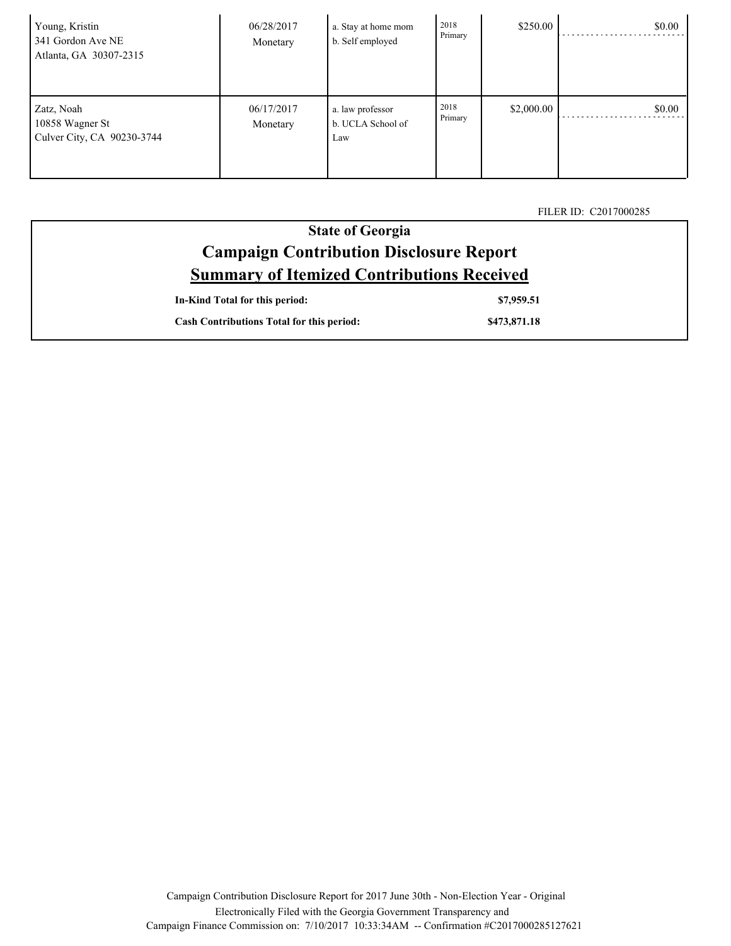| Young, Kristin<br>341 Gordon Ave NE<br>Atlanta, GA 30307-2315 | 06/28/2017<br>Monetary | a. Stay at home mom<br>b. Self employed      | 2018<br>Primary | \$250.00   | \$0.00 |
|---------------------------------------------------------------|------------------------|----------------------------------------------|-----------------|------------|--------|
| Zatz, Noah<br>10858 Wagner St<br>Culver City, CA 90230-3744   | 06/17/2017<br>Monetary | a. law professor<br>b. UCLA School of<br>Law | 2018<br>Primary | \$2,000.00 | \$0.00 |

FILER ID: C2017000285

| <b>State of Georgia</b>                           |
|---------------------------------------------------|
| <b>Campaign Contribution Disclosure Report</b>    |
| <b>Summary of Itemized Contributions Received</b> |

| In-Kind Total for this period:                   | \$7,959.51   |
|--------------------------------------------------|--------------|
| <b>Cash Contributions Total for this period:</b> | \$473,871.18 |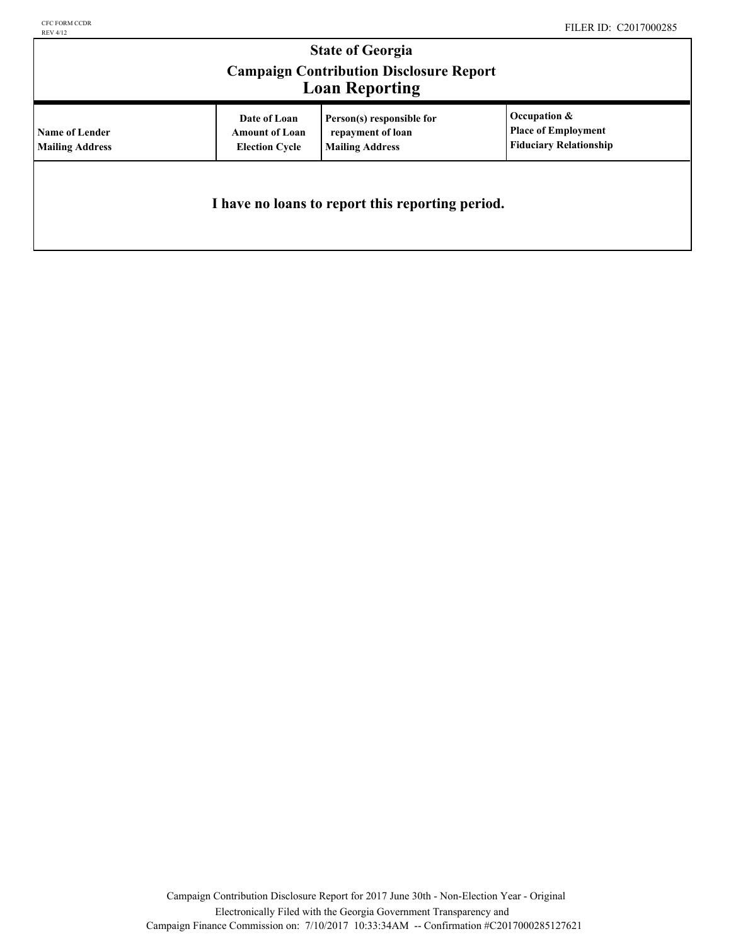## **State of Georgia Campaign Contribution Disclosure Report Loan Reporting**

| <b>LOAN REPORTING</b>                    |                                                                |                                                                          |                                                                                |  |  |
|------------------------------------------|----------------------------------------------------------------|--------------------------------------------------------------------------|--------------------------------------------------------------------------------|--|--|
| Name of Lender<br><b>Mailing Address</b> | Date of Loan<br><b>Amount of Loan</b><br><b>Election Cycle</b> | Person(s) responsible for<br>repayment of loan<br><b>Mailing Address</b> | Occupation $\&$<br><b>Place of Employment</b><br><b>Fiduciary Relationship</b> |  |  |
|                                          |                                                                | I have no loans to report this reporting period.                         |                                                                                |  |  |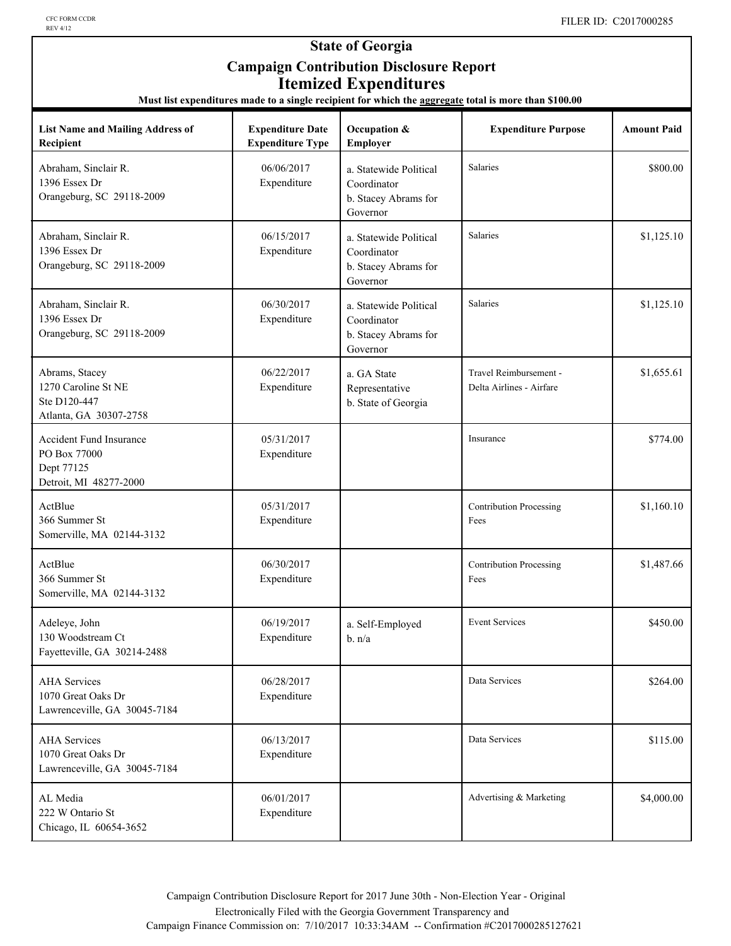### **State of Georgia Campaign Contribution Disclosure Report Itemized Expenditures**

|  |  | Must list expenditures made to a single recipient for which the <b>aggregate</b> total is more than \$100.00 |
|--|--|--------------------------------------------------------------------------------------------------------------|
|--|--|--------------------------------------------------------------------------------------------------------------|

| <b>List Name and Mailing Address of</b><br>Recipient                            | <b>Expenditure Date</b><br><b>Expenditure Type</b> | Occupation &<br>Employer                                                  | <b>Expenditure Purpose</b>                         | <b>Amount Paid</b> |
|---------------------------------------------------------------------------------|----------------------------------------------------|---------------------------------------------------------------------------|----------------------------------------------------|--------------------|
| Abraham, Sinclair R.<br>1396 Essex Dr<br>Orangeburg, SC 29118-2009              | 06/06/2017<br>Expenditure                          | a. Statewide Political<br>Coordinator<br>b. Stacey Abrams for<br>Governor | Salaries                                           | \$800.00           |
| Abraham, Sinclair R.<br>1396 Essex Dr<br>Orangeburg, SC 29118-2009              | 06/15/2017<br>Expenditure                          | a. Statewide Political<br>Coordinator<br>b. Stacey Abrams for<br>Governor | Salaries                                           | \$1,125.10         |
| Abraham, Sinclair R.<br>1396 Essex Dr<br>Orangeburg, SC 29118-2009              | 06/30/2017<br>Expenditure                          | a. Statewide Political<br>Coordinator<br>b. Stacey Abrams for<br>Governor | Salaries                                           | \$1,125.10         |
| Abrams, Stacey<br>1270 Caroline St NE<br>Ste D120-447<br>Atlanta, GA 30307-2758 | 06/22/2017<br>Expenditure                          | a. GA State<br>Representative<br>b. State of Georgia                      | Travel Reimbursement -<br>Delta Airlines - Airfare | \$1,655.61         |
| Accident Fund Insurance<br>PO Box 77000<br>Dept 77125<br>Detroit, MI 48277-2000 | 05/31/2017<br>Expenditure                          |                                                                           | Insurance                                          | \$774.00           |
| ActBlue<br>366 Summer St<br>Somerville, MA 02144-3132                           | 05/31/2017<br>Expenditure                          |                                                                           | <b>Contribution Processing</b><br>Fees             | \$1,160.10         |
| ActBlue<br>366 Summer St<br>Somerville, MA 02144-3132                           | 06/30/2017<br>Expenditure                          |                                                                           | <b>Contribution Processing</b><br>Fees             | \$1,487.66         |
| Adeleye, John<br>130 Woodstream Ct<br>Fayetteville, GA 30214-2488               | 06/19/2017<br>Expenditure                          | a. Self-Employed<br>b. n/a                                                | <b>Event Services</b>                              | \$450.00           |
| <b>AHA Services</b><br>1070 Great Oaks Dr<br>Lawrenceville, GA 30045-7184       | 06/28/2017<br>Expenditure                          |                                                                           | Data Services                                      | \$264.00           |
| <b>AHA</b> Services<br>1070 Great Oaks Dr<br>Lawrenceville, GA 30045-7184       | 06/13/2017<br>Expenditure                          |                                                                           | Data Services                                      | \$115.00           |
| AL Media<br>222 W Ontario St<br>Chicago, IL 60654-3652                          | 06/01/2017<br>Expenditure                          |                                                                           | Advertising & Marketing                            | \$4,000.00         |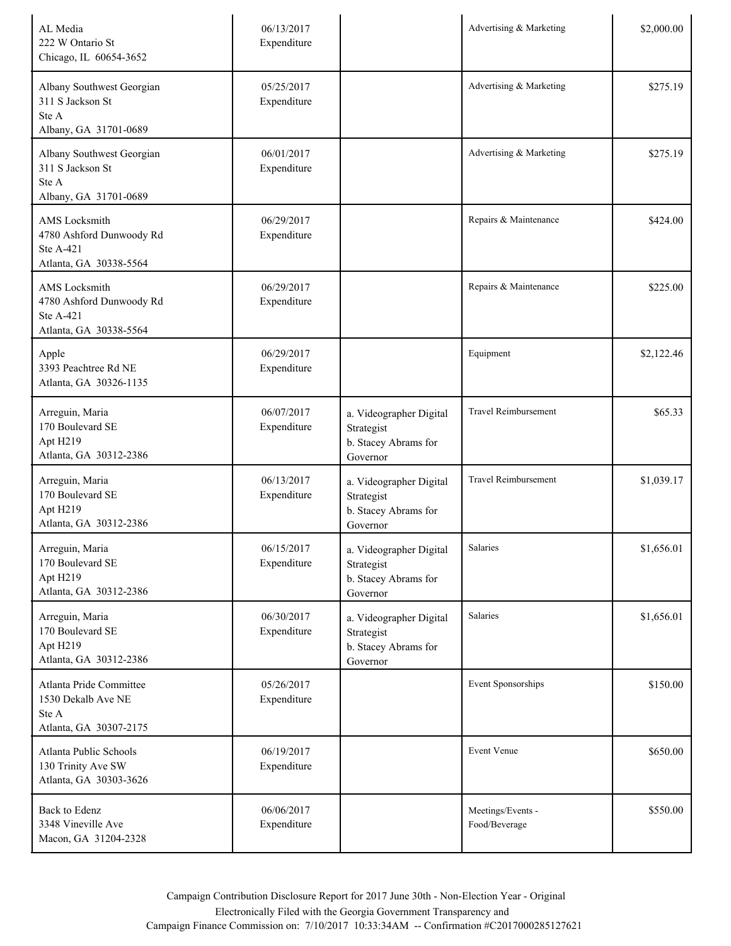| AL Media<br>222 W Ontario St<br>Chicago, IL 60654-3652                                         | 06/13/2017<br>Expenditure |                                                                           | Advertising & Marketing            | \$2,000.00 |
|------------------------------------------------------------------------------------------------|---------------------------|---------------------------------------------------------------------------|------------------------------------|------------|
| Albany Southwest Georgian<br>311 S Jackson St<br>Ste A<br>Albany, GA 31701-0689                | 05/25/2017<br>Expenditure |                                                                           | Advertising & Marketing            | \$275.19   |
| Albany Southwest Georgian<br>311 S Jackson St<br>Ste A<br>Albany, GA 31701-0689                | 06/01/2017<br>Expenditure |                                                                           | Advertising & Marketing            | \$275.19   |
| <b>AMS</b> Locksmith<br>4780 Ashford Dunwoody Rd<br><b>Ste A-421</b><br>Atlanta, GA 30338-5564 | 06/29/2017<br>Expenditure |                                                                           | Repairs & Maintenance              | \$424.00   |
| <b>AMS</b> Locksmith<br>4780 Ashford Dunwoody Rd<br><b>Ste A-421</b><br>Atlanta, GA 30338-5564 | 06/29/2017<br>Expenditure |                                                                           | Repairs & Maintenance              | \$225.00   |
| Apple<br>3393 Peachtree Rd NE<br>Atlanta, GA 30326-1135                                        | 06/29/2017<br>Expenditure |                                                                           | Equipment                          | \$2,122.46 |
| Arreguin, Maria<br>170 Boulevard SE<br>Apt H219<br>Atlanta, GA 30312-2386                      | 06/07/2017<br>Expenditure | a. Videographer Digital<br>Strategist<br>b. Stacey Abrams for<br>Governor | Travel Reimbursement               | \$65.33    |
| Arreguin, Maria<br>170 Boulevard SE<br>Apt H219<br>Atlanta, GA 30312-2386                      | 06/13/2017<br>Expenditure | a. Videographer Digital<br>Strategist<br>b. Stacey Abrams for<br>Governor | <b>Travel Reimbursement</b>        | \$1,039.17 |
| Arreguin, Maria<br>170 Boulevard SE<br>Apt H219<br>Atlanta, GA 30312-2386                      | 06/15/2017<br>Expenditure | a. Videographer Digital<br>Strategist<br>b. Stacey Abrams for<br>Governor | Salaries                           | \$1,656.01 |
| Arreguin, Maria<br>170 Boulevard SE<br>Apt H219<br>Atlanta, GA 30312-2386                      | 06/30/2017<br>Expenditure | a. Videographer Digital<br>Strategist<br>b. Stacey Abrams for<br>Governor | Salaries                           | \$1,656.01 |
| Atlanta Pride Committee<br>1530 Dekalb Ave NE<br>Ste A<br>Atlanta, GA 30307-2175               | 05/26/2017<br>Expenditure |                                                                           | Event Sponsorships                 | \$150.00   |
| Atlanta Public Schools<br>130 Trinity Ave SW<br>Atlanta, GA 30303-3626                         | 06/19/2017<br>Expenditure |                                                                           | Event Venue                        | \$650.00   |
| Back to Edenz<br>3348 Vineville Ave<br>Macon, GA 31204-2328                                    | 06/06/2017<br>Expenditure |                                                                           | Meetings/Events -<br>Food/Beverage | \$550.00   |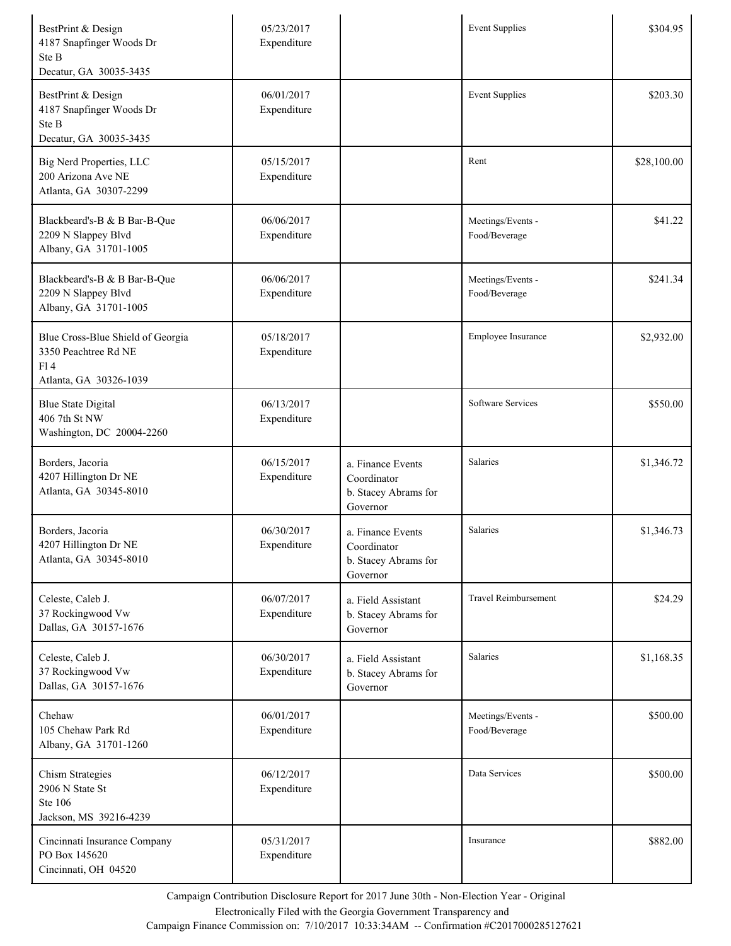| BestPrint & Design<br>4187 Snapfinger Woods Dr<br>Ste B<br>Decatur, GA 30035-3435          | 05/23/2017<br>Expenditure |                                                                      | <b>Event Supplies</b>              | \$304.95    |
|--------------------------------------------------------------------------------------------|---------------------------|----------------------------------------------------------------------|------------------------------------|-------------|
| BestPrint & Design<br>4187 Snapfinger Woods Dr<br>Ste B<br>Decatur, GA 30035-3435          | 06/01/2017<br>Expenditure |                                                                      | <b>Event Supplies</b>              | \$203.30    |
| Big Nerd Properties, LLC<br>200 Arizona Ave NE<br>Atlanta, GA 30307-2299                   | 05/15/2017<br>Expenditure |                                                                      | Rent                               | \$28,100.00 |
| Blackbeard's-B & B Bar-B-Que<br>2209 N Slappey Blvd<br>Albany, GA 31701-1005               | 06/06/2017<br>Expenditure |                                                                      | Meetings/Events -<br>Food/Beverage | \$41.22     |
| Blackbeard's-B & B Bar-B-Que<br>2209 N Slappey Blvd<br>Albany, GA 31701-1005               | 06/06/2017<br>Expenditure |                                                                      | Meetings/Events -<br>Food/Beverage | \$241.34    |
| Blue Cross-Blue Shield of Georgia<br>3350 Peachtree Rd NE<br>F14<br>Atlanta, GA 30326-1039 | 05/18/2017<br>Expenditure |                                                                      | Employee Insurance                 | \$2,932.00  |
| <b>Blue State Digital</b><br>406 7th St NW<br>Washington, DC 20004-2260                    | 06/13/2017<br>Expenditure |                                                                      | Software Services                  | \$550.00    |
| Borders, Jacoria<br>4207 Hillington Dr NE<br>Atlanta, GA 30345-8010                        | 06/15/2017<br>Expenditure | a. Finance Events<br>Coordinator<br>b. Stacey Abrams for<br>Governor | Salaries                           | \$1,346.72  |
| Borders, Jacoria<br>4207 Hillington Dr NE<br>Atlanta, GA 30345-8010                        | 06/30/2017<br>Expenditure | a. Finance Events<br>Coordinator<br>b. Stacey Abrams for<br>Governor | Salaries                           | \$1,346.73  |
| Celeste, Caleb J.<br>37 Rockingwood Vw<br>Dallas, GA 30157-1676                            | 06/07/2017<br>Expenditure | a. Field Assistant<br>b. Stacey Abrams for<br>Governor               | <b>Travel Reimbursement</b>        | \$24.29     |
| Celeste, Caleb J.<br>37 Rockingwood Vw<br>Dallas, GA 30157-1676                            | 06/30/2017<br>Expenditure | a. Field Assistant<br>b. Stacey Abrams for<br>Governor               | Salaries                           | \$1,168.35  |
| Chehaw<br>105 Chehaw Park Rd<br>Albany, GA 31701-1260                                      | 06/01/2017<br>Expenditure |                                                                      | Meetings/Events -<br>Food/Beverage | \$500.00    |
| <b>Chism Strategies</b><br>2906 N State St<br><b>Ste 106</b><br>Jackson, MS 39216-4239     | 06/12/2017<br>Expenditure |                                                                      | Data Services                      | \$500.00    |
| Cincinnati Insurance Company<br>PO Box 145620<br>Cincinnati, OH 04520                      | 05/31/2017<br>Expenditure |                                                                      | Insurance                          | \$882.00    |

Electronically Filed with the Georgia Government Transparency and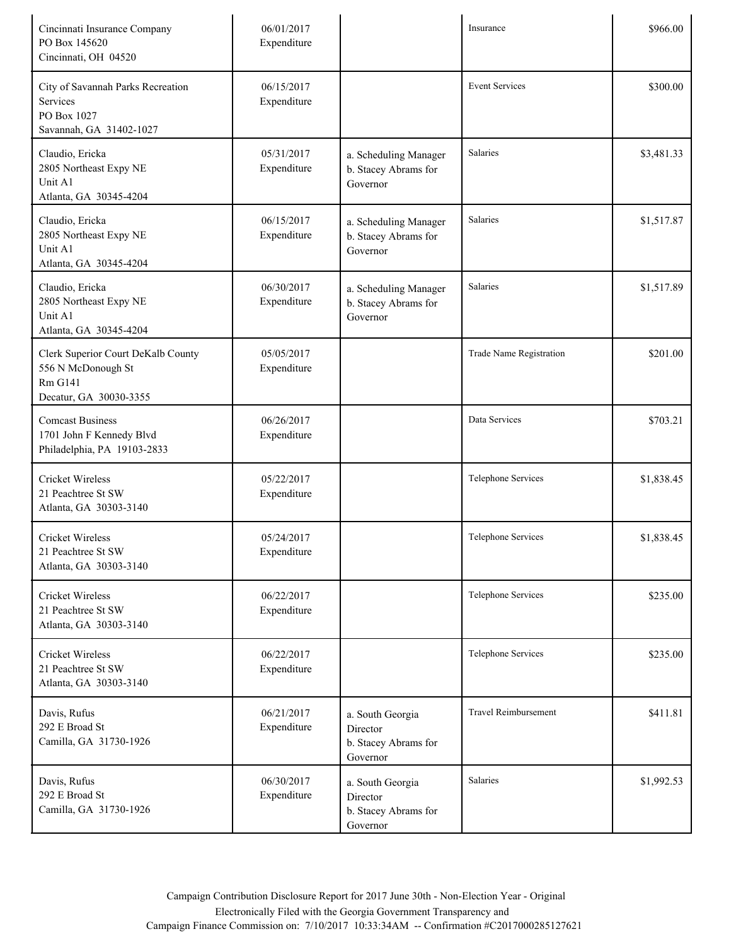| Cincinnati Insurance Company<br>PO Box 145620<br>Cincinnati, OH 04520                                | 06/01/2017<br>Expenditure |                                                                  | Insurance                   | \$966.00   |
|------------------------------------------------------------------------------------------------------|---------------------------|------------------------------------------------------------------|-----------------------------|------------|
| City of Savannah Parks Recreation<br><b>Services</b><br>PO Box 1027<br>Savannah, GA 31402-1027       | 06/15/2017<br>Expenditure |                                                                  | <b>Event Services</b>       | \$300.00   |
| Claudio, Ericka<br>2805 Northeast Expy NE<br>Unit A1<br>Atlanta, GA 30345-4204                       | 05/31/2017<br>Expenditure | a. Scheduling Manager<br>b. Stacey Abrams for<br>Governor        | Salaries                    | \$3,481.33 |
| Claudio, Ericka<br>2805 Northeast Expy NE<br>Unit A1<br>Atlanta, GA 30345-4204                       | 06/15/2017<br>Expenditure | a. Scheduling Manager<br>b. Stacey Abrams for<br>Governor        | Salaries                    | \$1,517.87 |
| Claudio, Ericka<br>2805 Northeast Expy NE<br>Unit A1<br>Atlanta, GA 30345-4204                       | 06/30/2017<br>Expenditure | a. Scheduling Manager<br>b. Stacey Abrams for<br>Governor        | Salaries                    | \$1,517.89 |
| Clerk Superior Court DeKalb County<br>556 N McDonough St<br><b>Rm G141</b><br>Decatur, GA 30030-3355 | 05/05/2017<br>Expenditure |                                                                  | Trade Name Registration     | \$201.00   |
| <b>Comcast Business</b><br>1701 John F Kennedy Blvd<br>Philadelphia, PA 19103-2833                   | 06/26/2017<br>Expenditure |                                                                  | Data Services               | \$703.21   |
| <b>Cricket Wireless</b><br>21 Peachtree St SW<br>Atlanta, GA 30303-3140                              | 05/22/2017<br>Expenditure |                                                                  | Telephone Services          | \$1,838.45 |
| <b>Cricket Wireless</b><br>21 Peachtree St SW<br>Atlanta, GA 30303-3140                              | 05/24/2017<br>Expenditure |                                                                  | Telephone Services          | \$1,838.45 |
| <b>Cricket Wireless</b><br>21 Peachtree St SW<br>Atlanta, GA 30303-3140                              | 06/22/2017<br>Expenditure |                                                                  | Telephone Services          | \$235.00   |
| <b>Cricket Wireless</b><br>21 Peachtree St SW<br>Atlanta, GA 30303-3140                              | 06/22/2017<br>Expenditure |                                                                  | Telephone Services          | \$235.00   |
| Davis, Rufus<br>292 E Broad St<br>Camilla, GA 31730-1926                                             | 06/21/2017<br>Expenditure | a. South Georgia<br>Director<br>b. Stacey Abrams for<br>Governor | <b>Travel Reimbursement</b> | \$411.81   |
| Davis, Rufus<br>292 E Broad St<br>Camilla, GA 31730-1926                                             | 06/30/2017<br>Expenditure | a. South Georgia<br>Director<br>b. Stacey Abrams for<br>Governor | Salaries                    | \$1,992.53 |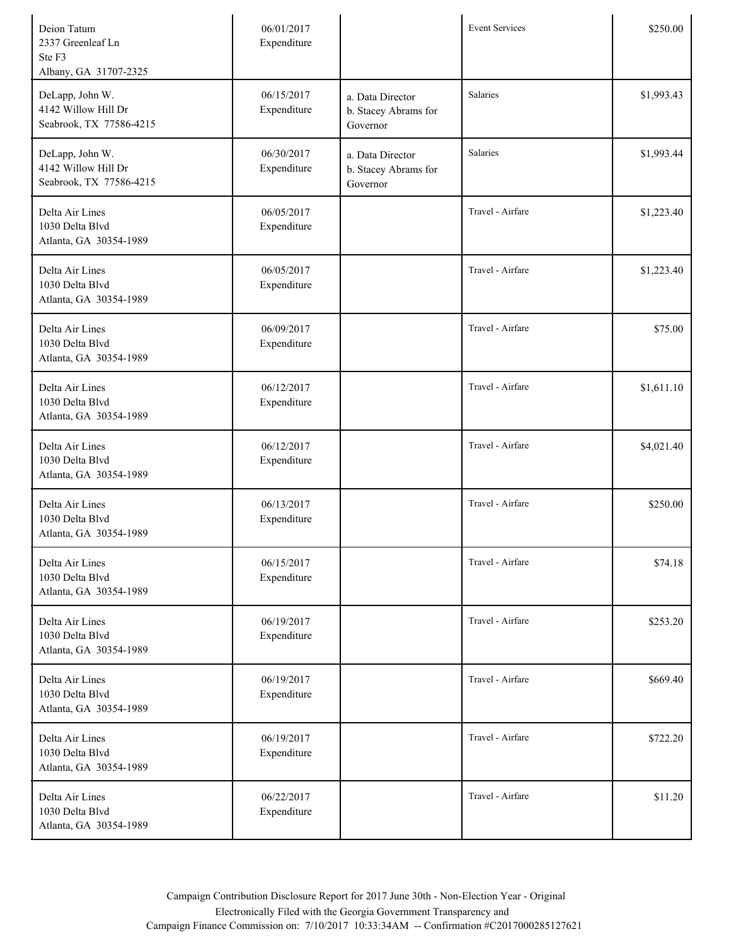| Deion Tatum<br>2337 Greenleaf Ln<br>Ste F3<br>Albany, GA 31707-2325 | 06/01/2017<br>Expenditure |                                                      | <b>Event Services</b> | \$250.00   |
|---------------------------------------------------------------------|---------------------------|------------------------------------------------------|-----------------------|------------|
| DeLapp, John W.<br>4142 Willow Hill Dr<br>Seabrook, TX 77586-4215   | 06/15/2017<br>Expenditure | a. Data Director<br>b. Stacey Abrams for<br>Governor | Salaries              | \$1,993.43 |
| DeLapp, John W.<br>4142 Willow Hill Dr<br>Seabrook, TX 77586-4215   | 06/30/2017<br>Expenditure | a. Data Director<br>b. Stacey Abrams for<br>Governor | Salaries              | \$1,993.44 |
| Delta Air Lines<br>1030 Delta Blvd<br>Atlanta, GA 30354-1989        | 06/05/2017<br>Expenditure |                                                      | Travel - Airfare      | \$1,223.40 |
| Delta Air Lines<br>1030 Delta Blvd<br>Atlanta, GA 30354-1989        | 06/05/2017<br>Expenditure |                                                      | Travel - Airfare      | \$1,223.40 |
| Delta Air Lines<br>1030 Delta Blvd<br>Atlanta, GA 30354-1989        | 06/09/2017<br>Expenditure |                                                      | Travel - Airfare      | \$75.00    |
| Delta Air Lines<br>1030 Delta Blvd<br>Atlanta, GA 30354-1989        | 06/12/2017<br>Expenditure |                                                      | Travel - Airfare      | \$1,611.10 |
| Delta Air Lines<br>1030 Delta Blvd<br>Atlanta, GA 30354-1989        | 06/12/2017<br>Expenditure |                                                      | Travel - Airfare      | \$4,021.40 |
| Delta Air Lines<br>1030 Delta Blvd<br>Atlanta, GA 30354-1989        | 06/13/2017<br>Expenditure |                                                      | Travel - Airfare      | \$250.00   |
| Delta Air Lines<br>1030 Delta Blvd<br>Atlanta, GA 30354-1989        | 06/15/2017<br>Expenditure |                                                      | Travel - Airfare      | \$74.18    |
| Delta Air Lines<br>1030 Delta Blvd<br>Atlanta, GA 30354-1989        | 06/19/2017<br>Expenditure |                                                      | Travel - Airfare      | \$253.20   |
| Delta Air Lines<br>1030 Delta Blvd<br>Atlanta, GA 30354-1989        | 06/19/2017<br>Expenditure |                                                      | Travel - Airfare      | \$669.40   |
| Delta Air Lines<br>1030 Delta Blvd<br>Atlanta, GA 30354-1989        | 06/19/2017<br>Expenditure |                                                      | Travel - Airfare      | \$722.20   |
| Delta Air Lines<br>1030 Delta Blvd<br>Atlanta, GA 30354-1989        | 06/22/2017<br>Expenditure |                                                      | Travel - Airfare      | \$11.20    |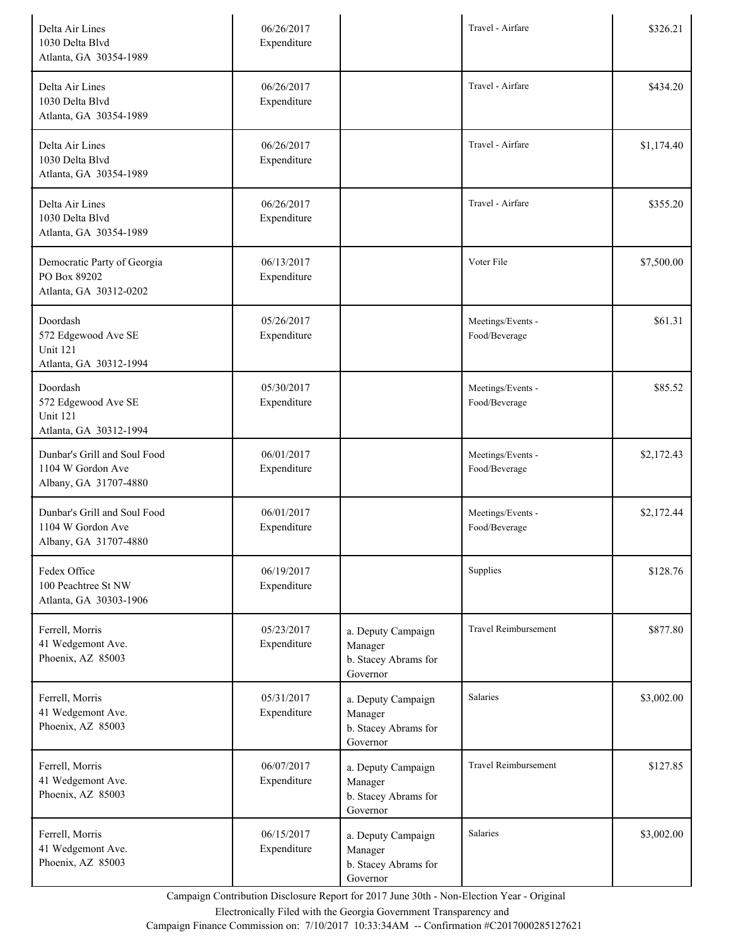| Delta Air Lines<br>1030 Delta Blvd<br>Atlanta, GA 30354-1989                 | 06/26/2017<br>Expenditure |                                                                   | Travel - Airfare                   | \$326.21   |
|------------------------------------------------------------------------------|---------------------------|-------------------------------------------------------------------|------------------------------------|------------|
| Delta Air Lines<br>1030 Delta Blvd<br>Atlanta, GA 30354-1989                 | 06/26/2017<br>Expenditure |                                                                   | Travel - Airfare                   | \$434.20   |
| Delta Air Lines<br>1030 Delta Blvd<br>Atlanta, GA 30354-1989                 | 06/26/2017<br>Expenditure |                                                                   | Travel - Airfare                   | \$1,174.40 |
| Delta Air Lines<br>1030 Delta Blvd<br>Atlanta, GA 30354-1989                 | 06/26/2017<br>Expenditure |                                                                   | Travel - Airfare                   | \$355.20   |
| Democratic Party of Georgia<br>PO Box 89202<br>Atlanta, GA 30312-0202        | 06/13/2017<br>Expenditure |                                                                   | Voter File                         | \$7,500.00 |
| Doordash<br>572 Edgewood Ave SE<br><b>Unit 121</b><br>Atlanta, GA 30312-1994 | 05/26/2017<br>Expenditure |                                                                   | Meetings/Events -<br>Food/Beverage | \$61.31    |
| Doordash<br>572 Edgewood Ave SE<br>Unit 121<br>Atlanta, GA 30312-1994        | 05/30/2017<br>Expenditure |                                                                   | Meetings/Events -<br>Food/Beverage | \$85.52    |
| Dunbar's Grill and Soul Food<br>1104 W Gordon Ave<br>Albany, GA 31707-4880   | 06/01/2017<br>Expenditure |                                                                   | Meetings/Events -<br>Food/Beverage | \$2,172.43 |
| Dunbar's Grill and Soul Food<br>1104 W Gordon Ave<br>Albany, GA 31707-4880   | 06/01/2017<br>Expenditure |                                                                   | Meetings/Events -<br>Food/Beverage | \$2,172.44 |
| Fedex Office<br>100 Peachtree St NW<br>Atlanta, GA 30303-1906                | 06/19/2017<br>Expenditure |                                                                   | Supplies                           | \$128.76   |
| Ferrell, Morris<br>41 Wedgemont Ave.<br>Phoenix, AZ 85003                    | 05/23/2017<br>Expenditure | a. Deputy Campaign<br>Manager<br>b. Stacey Abrams for<br>Governor | <b>Travel Reimbursement</b>        | \$877.80   |
| Ferrell, Morris<br>41 Wedgemont Ave.<br>Phoenix, AZ 85003                    | 05/31/2017<br>Expenditure | a. Deputy Campaign<br>Manager<br>b. Stacey Abrams for<br>Governor | Salaries                           | \$3,002.00 |
| Ferrell, Morris<br>41 Wedgemont Ave.<br>Phoenix, AZ 85003                    | 06/07/2017<br>Expenditure | a. Deputy Campaign<br>Manager<br>b. Stacey Abrams for<br>Governor | <b>Travel Reimbursement</b>        | \$127.85   |
| Ferrell, Morris<br>41 Wedgemont Ave.<br>Phoenix, AZ 85003                    | 06/15/2017<br>Expenditure | a. Deputy Campaign<br>Manager<br>b. Stacey Abrams for<br>Governor | Salaries                           | \$3,002.00 |

Electronically Filed with the Georgia Government Transparency and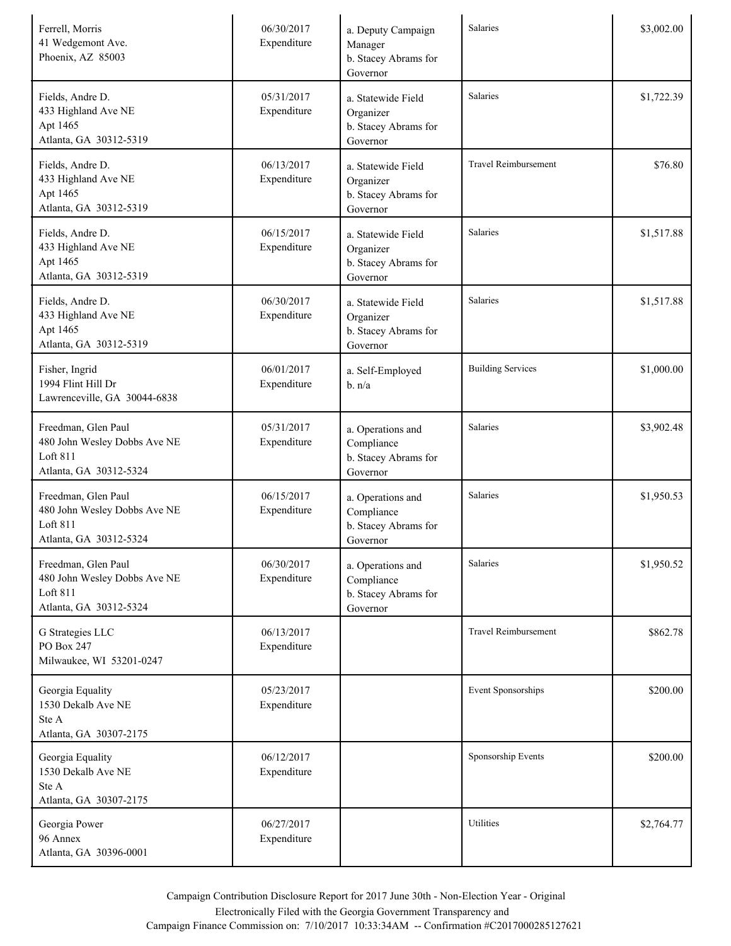| Ferrell, Morris<br>41 Wedgemont Ave.<br>Phoenix, AZ 85003                                 | 06/30/2017<br>Expenditure | a. Deputy Campaign<br>Manager<br>b. Stacey Abrams for<br>Governor   | Salaries                    | \$3,002.00 |
|-------------------------------------------------------------------------------------------|---------------------------|---------------------------------------------------------------------|-----------------------------|------------|
| Fields, Andre D.<br>433 Highland Ave NE<br>Apt 1465<br>Atlanta, GA 30312-5319             | 05/31/2017<br>Expenditure | a. Statewide Field<br>Organizer<br>b. Stacey Abrams for<br>Governor | Salaries                    | \$1,722.39 |
| Fields, Andre D.<br>433 Highland Ave NE<br>Apt 1465<br>Atlanta, GA 30312-5319             | 06/13/2017<br>Expenditure | a. Statewide Field<br>Organizer<br>b. Stacey Abrams for<br>Governor | <b>Travel Reimbursement</b> | \$76.80    |
| Fields, Andre D.<br>433 Highland Ave NE<br>Apt 1465<br>Atlanta, GA 30312-5319             | 06/15/2017<br>Expenditure | a. Statewide Field<br>Organizer<br>b. Stacey Abrams for<br>Governor | Salaries                    | \$1,517.88 |
| Fields, Andre D.<br>433 Highland Ave NE<br>Apt 1465<br>Atlanta, GA 30312-5319             | 06/30/2017<br>Expenditure | a. Statewide Field<br>Organizer<br>b. Stacey Abrams for<br>Governor | Salaries                    | \$1,517.88 |
| Fisher, Ingrid<br>1994 Flint Hill Dr<br>Lawrenceville, GA 30044-6838                      | 06/01/2017<br>Expenditure | a. Self-Employed<br>b. n/a                                          | <b>Building Services</b>    | \$1,000.00 |
| Freedman, Glen Paul<br>480 John Wesley Dobbs Ave NE<br>Loft 811<br>Atlanta, GA 30312-5324 | 05/31/2017<br>Expenditure | a. Operations and<br>Compliance<br>b. Stacey Abrams for<br>Governor | Salaries                    | \$3,902.48 |
| Freedman, Glen Paul<br>480 John Wesley Dobbs Ave NE<br>Loft 811<br>Atlanta, GA 30312-5324 | 06/15/2017<br>Expenditure | a. Operations and<br>Compliance<br>b. Stacey Abrams for<br>Governor | Salaries                    | \$1,950.53 |
| Freedman, Glen Paul<br>480 John Wesley Dobbs Ave NE<br>Loft 811<br>Atlanta, GA 30312-5324 | 06/30/2017<br>Expenditure | a. Operations and<br>Compliance<br>b. Stacey Abrams for<br>Governor | Salaries                    | \$1,950.52 |
| G Strategies LLC<br>PO Box 247<br>Milwaukee, WI 53201-0247                                | 06/13/2017<br>Expenditure |                                                                     | <b>Travel Reimbursement</b> | \$862.78   |
| Georgia Equality<br>1530 Dekalb Ave NE<br>Ste A<br>Atlanta, GA 30307-2175                 | 05/23/2017<br>Expenditure |                                                                     | Event Sponsorships          | \$200.00   |
| Georgia Equality<br>1530 Dekalb Ave NE<br>Ste A<br>Atlanta, GA 30307-2175                 | 06/12/2017<br>Expenditure |                                                                     | Sponsorship Events          | \$200.00   |
| Georgia Power<br>96 Annex<br>Atlanta, GA 30396-0001                                       | 06/27/2017<br>Expenditure |                                                                     | Utilities                   | \$2,764.77 |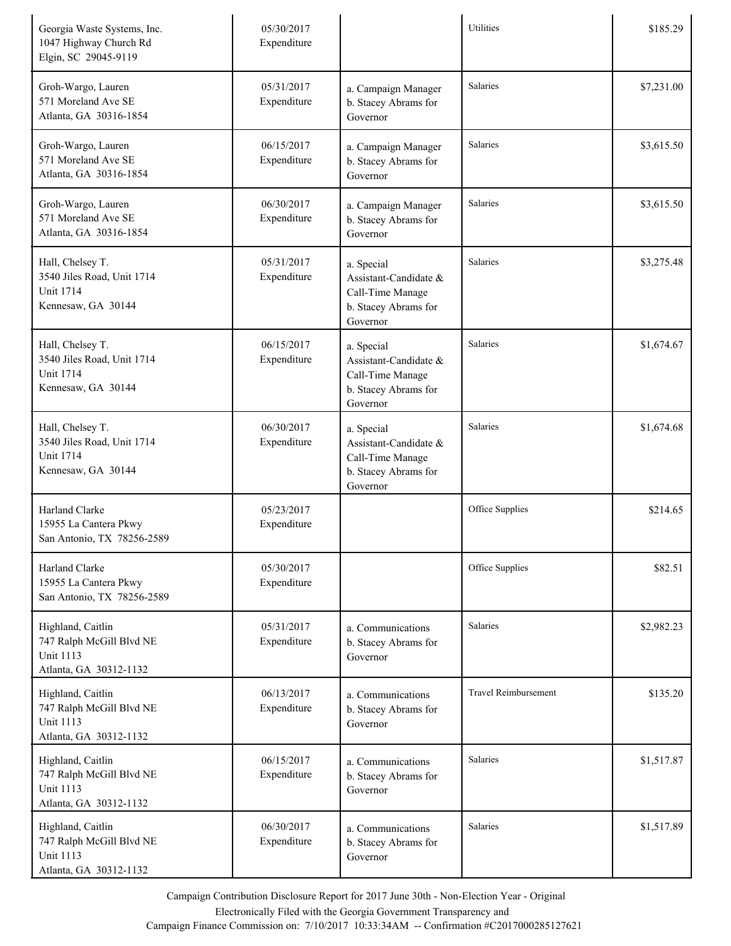| Georgia Waste Systems, Inc.<br>1047 Highway Church Rd<br>Elgin, SC 29045-9119               | 05/30/2017<br>Expenditure |                                                                                             | Utilities                   | \$185.29   |
|---------------------------------------------------------------------------------------------|---------------------------|---------------------------------------------------------------------------------------------|-----------------------------|------------|
| Groh-Wargo, Lauren<br>571 Moreland Ave SE<br>Atlanta, GA 30316-1854                         | 05/31/2017<br>Expenditure | a. Campaign Manager<br>b. Stacey Abrams for<br>Governor                                     | <b>Salaries</b>             | \$7,231.00 |
| Groh-Wargo, Lauren<br>571 Moreland Ave SE<br>Atlanta, GA 30316-1854                         | 06/15/2017<br>Expenditure | a. Campaign Manager<br>b. Stacey Abrams for<br>Governor                                     | <b>Salaries</b>             | \$3,615.50 |
| Groh-Wargo, Lauren<br>571 Moreland Ave SE<br>Atlanta, GA 30316-1854                         | 06/30/2017<br>Expenditure | a. Campaign Manager<br>b. Stacey Abrams for<br>Governor                                     | Salaries                    | \$3,615.50 |
| Hall, Chelsey T.<br>3540 Jiles Road, Unit 1714<br><b>Unit 1714</b><br>Kennesaw, GA 30144    | 05/31/2017<br>Expenditure | a. Special<br>Assistant-Candidate &<br>Call-Time Manage<br>b. Stacey Abrams for<br>Governor | <b>Salaries</b>             | \$3,275.48 |
| Hall, Chelsey T.<br>3540 Jiles Road, Unit 1714<br><b>Unit 1714</b><br>Kennesaw, GA 30144    | 06/15/2017<br>Expenditure | a. Special<br>Assistant-Candidate &<br>Call-Time Manage<br>b. Stacey Abrams for<br>Governor | <b>Salaries</b>             | \$1,674.67 |
| Hall, Chelsey T.<br>3540 Jiles Road, Unit 1714<br><b>Unit 1714</b><br>Kennesaw, GA 30144    | 06/30/2017<br>Expenditure | a. Special<br>Assistant-Candidate &<br>Call-Time Manage<br>b. Stacey Abrams for<br>Governor | Salaries                    | \$1,674.68 |
| Harland Clarke<br>15955 La Cantera Pkwy<br>San Antonio, TX 78256-2589                       | 05/23/2017<br>Expenditure |                                                                                             | Office Supplies             | \$214.65   |
| Harland Clarke<br>15955 La Cantera Pkwy<br>San Antonio, TX 78256-2589                       | 05/30/2017<br>Expenditure |                                                                                             | Office Supplies             | \$82.51    |
| Highland, Caitlin<br>747 Ralph McGill Blvd NE<br><b>Unit 1113</b><br>Atlanta, GA 30312-1132 | 05/31/2017<br>Expenditure | a. Communications<br>b. Stacey Abrams for<br>Governor                                       | <b>Salaries</b>             | \$2,982.23 |
| Highland, Caitlin<br>747 Ralph McGill Blvd NE<br><b>Unit 1113</b><br>Atlanta, GA 30312-1132 | 06/13/2017<br>Expenditure | a. Communications<br>b. Stacey Abrams for<br>Governor                                       | <b>Travel Reimbursement</b> | \$135.20   |
| Highland, Caitlin<br>747 Ralph McGill Blvd NE<br><b>Unit 1113</b><br>Atlanta, GA 30312-1132 | 06/15/2017<br>Expenditure | a. Communications<br>b. Stacey Abrams for<br>Governor                                       | <b>Salaries</b>             | \$1,517.87 |
| Highland, Caitlin<br>747 Ralph McGill Blvd NE<br><b>Unit 1113</b><br>Atlanta, GA 30312-1132 | 06/30/2017<br>Expenditure | a. Communications<br>b. Stacey Abrams for<br>Governor                                       | Salaries                    | \$1,517.89 |

Electronically Filed with the Georgia Government Transparency and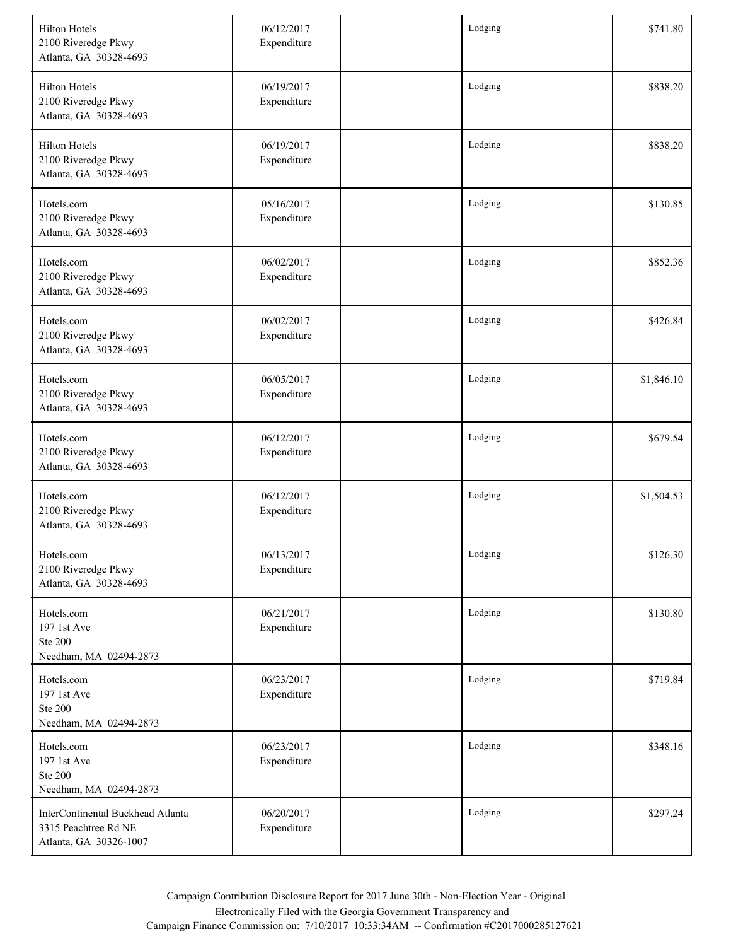| <b>Hilton Hotels</b><br>2100 Riveredge Pkwy<br>Atlanta, GA 30328-4693               | 06/12/2017<br>Expenditure | Lodging | \$741.80   |
|-------------------------------------------------------------------------------------|---------------------------|---------|------------|
| <b>Hilton Hotels</b><br>2100 Riveredge Pkwy<br>Atlanta, GA 30328-4693               | 06/19/2017<br>Expenditure | Lodging | \$838.20   |
| <b>Hilton Hotels</b><br>2100 Riveredge Pkwy<br>Atlanta, GA 30328-4693               | 06/19/2017<br>Expenditure | Lodging | \$838.20   |
| Hotels.com<br>2100 Riveredge Pkwy<br>Atlanta, GA 30328-4693                         | 05/16/2017<br>Expenditure | Lodging | \$130.85   |
| Hotels.com<br>2100 Riveredge Pkwy<br>Atlanta, GA 30328-4693                         | 06/02/2017<br>Expenditure | Lodging | \$852.36   |
| Hotels.com<br>2100 Riveredge Pkwy<br>Atlanta, GA 30328-4693                         | 06/02/2017<br>Expenditure | Lodging | \$426.84   |
| Hotels.com<br>2100 Riveredge Pkwy<br>Atlanta, GA 30328-4693                         | 06/05/2017<br>Expenditure | Lodging | \$1,846.10 |
| Hotels.com<br>2100 Riveredge Pkwy<br>Atlanta, GA 30328-4693                         | 06/12/2017<br>Expenditure | Lodging | \$679.54   |
| Hotels.com<br>2100 Riveredge Pkwy<br>Atlanta, GA 30328-4693                         | 06/12/2017<br>Expenditure | Lodging | \$1,504.53 |
| Hotels.com<br>2100 Riveredge Pkwy<br>Atlanta, GA 30328-4693                         | 06/13/2017<br>Expenditure | Lodging | \$126.30   |
| Hotels.com<br>197 1st Ave<br><b>Ste 200</b><br>Needham, MA 02494-2873               | 06/21/2017<br>Expenditure | Lodging | \$130.80   |
| Hotels.com<br>197 1st Ave<br><b>Ste 200</b><br>Needham, MA 02494-2873               | 06/23/2017<br>Expenditure | Lodging | \$719.84   |
| Hotels.com<br>197 1st Ave<br><b>Ste 200</b><br>Needham, MA 02494-2873               | 06/23/2017<br>Expenditure | Lodging | \$348.16   |
| InterContinental Buckhead Atlanta<br>3315 Peachtree Rd NE<br>Atlanta, GA 30326-1007 | 06/20/2017<br>Expenditure | Lodging | \$297.24   |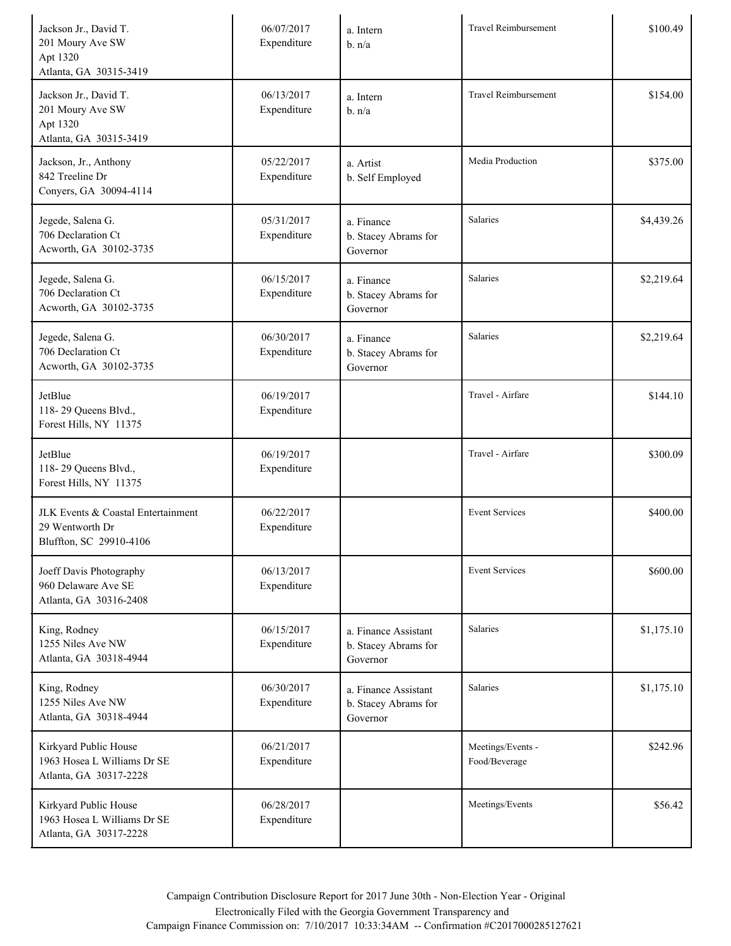| Jackson Jr., David T.<br>201 Moury Ave SW<br>Apt 1320<br>Atlanta, GA 30315-3419  | 06/07/2017<br>Expenditure | a. Intern<br>b. n/a                                      | Travel Reimbursement               | \$100.49   |
|----------------------------------------------------------------------------------|---------------------------|----------------------------------------------------------|------------------------------------|------------|
| Jackson Jr., David T.<br>201 Moury Ave SW<br>Apt 1320<br>Atlanta, GA 30315-3419  | 06/13/2017<br>Expenditure | a. Intern<br>b. n/a                                      | <b>Travel Reimbursement</b>        | \$154.00   |
| Jackson, Jr., Anthony<br>842 Treeline Dr<br>Conyers, GA 30094-4114               | 05/22/2017<br>Expenditure | a. Artist<br>b. Self Employed                            | Media Production                   | \$375.00   |
| Jegede, Salena G.<br>706 Declaration Ct<br>Acworth, GA 30102-3735                | 05/31/2017<br>Expenditure | a. Finance<br>b. Stacey Abrams for<br>Governor           | Salaries                           | \$4,439.26 |
| Jegede, Salena G.<br>706 Declaration Ct<br>Acworth, GA 30102-3735                | 06/15/2017<br>Expenditure | a. Finance<br>b. Stacey Abrams for<br>Governor           | Salaries                           | \$2,219.64 |
| Jegede, Salena G.<br>706 Declaration Ct<br>Acworth, GA 30102-3735                | 06/30/2017<br>Expenditure | a. Finance<br>b. Stacey Abrams for<br>Governor           | Salaries                           | \$2,219.64 |
| JetBlue<br>118-29 Queens Blvd.,<br>Forest Hills, NY 11375                        | 06/19/2017<br>Expenditure |                                                          | Travel - Airfare                   | \$144.10   |
| JetBlue<br>118-29 Queens Blvd.,<br>Forest Hills, NY 11375                        | 06/19/2017<br>Expenditure |                                                          | Travel - Airfare                   | \$300.09   |
| JLK Events & Coastal Entertainment<br>29 Wentworth Dr<br>Bluffton, SC 29910-4106 | 06/22/2017<br>Expenditure |                                                          | <b>Event Services</b>              | \$400.00   |
| Joeff Davis Photography<br>960 Delaware Ave SE<br>Atlanta, GA 30316-2408         | 06/13/2017<br>Expenditure |                                                          | <b>Event Services</b>              | \$600.00   |
| King, Rodney<br>1255 Niles Ave NW<br>Atlanta, GA 30318-4944                      | 06/15/2017<br>Expenditure | a. Finance Assistant<br>b. Stacey Abrams for<br>Governor | <b>Salaries</b>                    | \$1,175.10 |
| King, Rodney<br>1255 Niles Ave NW<br>Atlanta, GA 30318-4944                      | 06/30/2017<br>Expenditure | a. Finance Assistant<br>b. Stacey Abrams for<br>Governor | <b>Salaries</b>                    | \$1,175.10 |
| Kirkyard Public House<br>1963 Hosea L Williams Dr SE<br>Atlanta, GA 30317-2228   | 06/21/2017<br>Expenditure |                                                          | Meetings/Events -<br>Food/Beverage | \$242.96   |
| Kirkyard Public House<br>1963 Hosea L Williams Dr SE<br>Atlanta, GA 30317-2228   | 06/28/2017<br>Expenditure |                                                          | Meetings/Events                    | \$56.42    |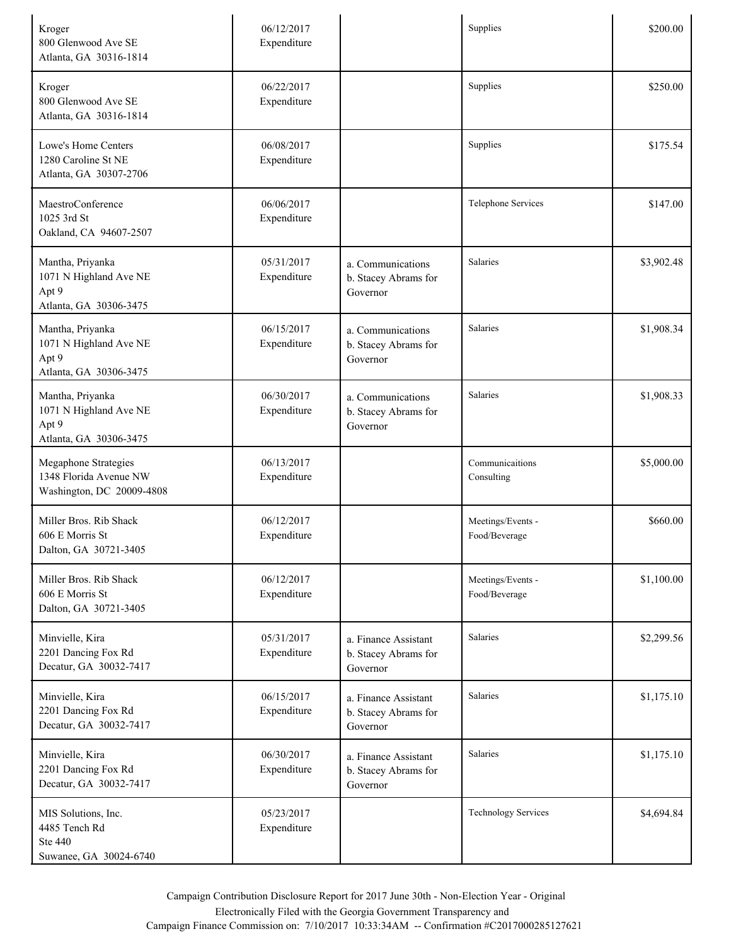| Kroger<br>800 Glenwood Ave SE<br>Atlanta, GA 30316-1814                            | 06/12/2017<br>Expenditure |                                                          | Supplies                           | \$200.00   |
|------------------------------------------------------------------------------------|---------------------------|----------------------------------------------------------|------------------------------------|------------|
| Kroger<br>800 Glenwood Ave SE<br>Atlanta, GA 30316-1814                            | 06/22/2017<br>Expenditure |                                                          | Supplies                           | \$250.00   |
| Lowe's Home Centers<br>1280 Caroline St NE<br>Atlanta, GA 30307-2706               | 06/08/2017<br>Expenditure |                                                          | Supplies                           | \$175.54   |
| MaestroConference<br>1025 3rd St<br>Oakland, CA 94607-2507                         | 06/06/2017<br>Expenditure |                                                          | Telephone Services                 | \$147.00   |
| Mantha, Priyanka<br>1071 N Highland Ave NE<br>Apt 9<br>Atlanta, GA 30306-3475      | 05/31/2017<br>Expenditure | a. Communications<br>b. Stacey Abrams for<br>Governor    | Salaries                           | \$3,902.48 |
| Mantha, Priyanka<br>1071 N Highland Ave NE<br>Apt 9<br>Atlanta, GA 30306-3475      | 06/15/2017<br>Expenditure | a. Communications<br>b. Stacey Abrams for<br>Governor    | Salaries                           | \$1,908.34 |
| Mantha, Priyanka<br>1071 N Highland Ave NE<br>Apt 9<br>Atlanta, GA 30306-3475      | 06/30/2017<br>Expenditure | a. Communications<br>b. Stacey Abrams for<br>Governor    | Salaries                           | \$1,908.33 |
| <b>Megaphone Strategies</b><br>1348 Florida Avenue NW<br>Washington, DC 20009-4808 | 06/13/2017<br>Expenditure |                                                          | Communicaitions<br>Consulting      | \$5,000.00 |
| Miller Bros. Rib Shack<br>606 E Morris St<br>Dalton, GA 30721-3405                 | 06/12/2017<br>Expenditure |                                                          | Meetings/Events -<br>Food/Beverage | \$660.00   |
| Miller Bros. Rib Shack<br>606 E Morris St<br>Dalton, GA 30721-3405                 | 06/12/2017<br>Expenditure |                                                          | Meetings/Events -<br>Food/Beverage | \$1,100.00 |
| Minvielle, Kira<br>2201 Dancing Fox Rd<br>Decatur, GA 30032-7417                   | 05/31/2017<br>Expenditure | a. Finance Assistant<br>b. Stacey Abrams for<br>Governor | Salaries                           | \$2,299.56 |
| Minvielle, Kira<br>2201 Dancing Fox Rd<br>Decatur, GA 30032-7417                   | 06/15/2017<br>Expenditure | a. Finance Assistant<br>b. Stacey Abrams for<br>Governor | Salaries                           | \$1,175.10 |
| Minvielle, Kira<br>2201 Dancing Fox Rd<br>Decatur, GA 30032-7417                   | 06/30/2017<br>Expenditure | a. Finance Assistant<br>b. Stacey Abrams for<br>Governor | Salaries                           | \$1,175.10 |
| MIS Solutions, Inc.<br>4485 Tench Rd<br>Ste 440<br>Suwanee, GA 30024-6740          | 05/23/2017<br>Expenditure |                                                          | <b>Technology Services</b>         | \$4,694.84 |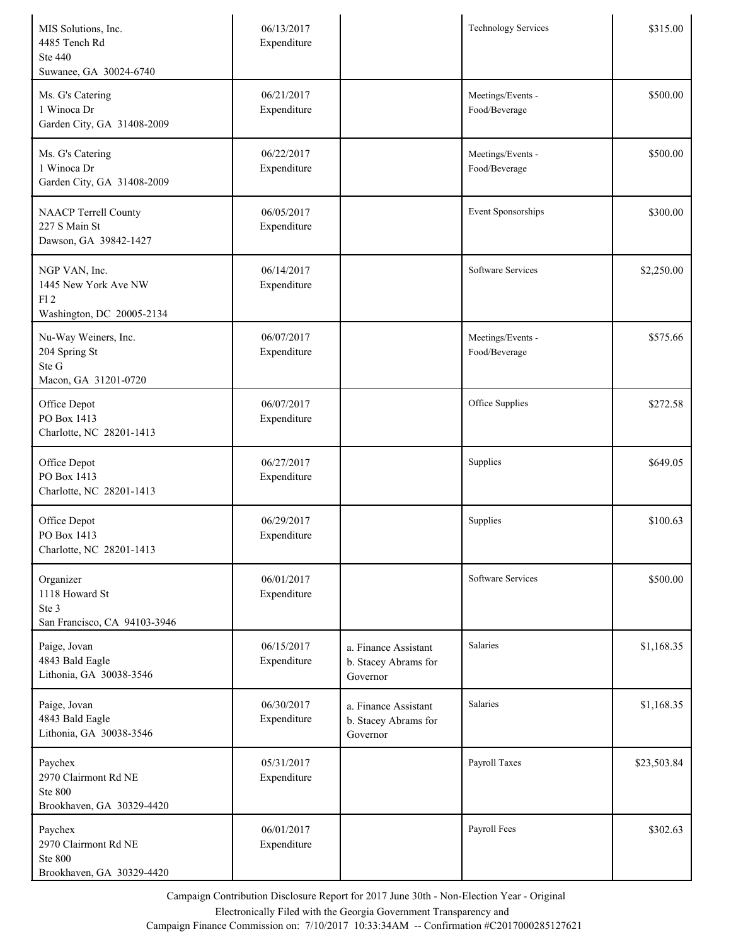| MIS Solutions, Inc.<br>4485 Tench Rd<br>Ste 440<br>Suwanee, GA 30024-6740      | 06/13/2017<br>Expenditure |                                                          | <b>Technology Services</b>         | \$315.00    |
|--------------------------------------------------------------------------------|---------------------------|----------------------------------------------------------|------------------------------------|-------------|
| Ms. G's Catering<br>1 Winoca Dr<br>Garden City, GA 31408-2009                  | 06/21/2017<br>Expenditure |                                                          | Meetings/Events -<br>Food/Beverage | \$500.00    |
| Ms. G's Catering<br>1 Winoca Dr<br>Garden City, GA 31408-2009                  | 06/22/2017<br>Expenditure |                                                          | Meetings/Events -<br>Food/Beverage | \$500.00    |
| <b>NAACP</b> Terrell County<br>227 S Main St<br>Dawson, GA 39842-1427          | 06/05/2017<br>Expenditure |                                                          | Event Sponsorships                 | \$300.00    |
| NGP VAN, Inc.<br>1445 New York Ave NW<br>F12<br>Washington, DC 20005-2134      | 06/14/2017<br>Expenditure |                                                          | <b>Software Services</b>           | \$2,250.00  |
| Nu-Way Weiners, Inc.<br>204 Spring St<br>Ste G<br>Macon, GA 31201-0720         | 06/07/2017<br>Expenditure |                                                          | Meetings/Events -<br>Food/Beverage | \$575.66    |
| Office Depot<br>PO Box 1413<br>Charlotte, NC 28201-1413                        | 06/07/2017<br>Expenditure |                                                          | Office Supplies                    | \$272.58    |
| Office Depot<br>PO Box 1413<br>Charlotte, NC 28201-1413                        | 06/27/2017<br>Expenditure |                                                          | Supplies                           | \$649.05    |
| Office Depot<br>PO Box 1413<br>Charlotte, NC 28201-1413                        | 06/29/2017<br>Expenditure |                                                          | Supplies                           | \$100.63    |
| Organizer<br>1118 Howard St<br>Ste 3<br>San Francisco, CA 94103-3946           | 06/01/2017<br>Expenditure |                                                          | <b>Software Services</b>           | \$500.00    |
| Paige, Jovan<br>4843 Bald Eagle<br>Lithonia, GA 30038-3546                     | 06/15/2017<br>Expenditure | a. Finance Assistant<br>b. Stacey Abrams for<br>Governor | Salaries                           | \$1,168.35  |
| Paige, Jovan<br>4843 Bald Eagle<br>Lithonia, GA 30038-3546                     | 06/30/2017<br>Expenditure | a. Finance Assistant<br>b. Stacey Abrams for<br>Governor | Salaries                           | \$1,168.35  |
| Paychex<br>2970 Clairmont Rd NE<br><b>Ste 800</b><br>Brookhaven, GA 30329-4420 | 05/31/2017<br>Expenditure |                                                          | Payroll Taxes                      | \$23,503.84 |
| Paychex<br>2970 Clairmont Rd NE<br><b>Ste 800</b><br>Brookhaven, GA 30329-4420 | 06/01/2017<br>Expenditure |                                                          | Payroll Fees                       | \$302.63    |

Electronically Filed with the Georgia Government Transparency and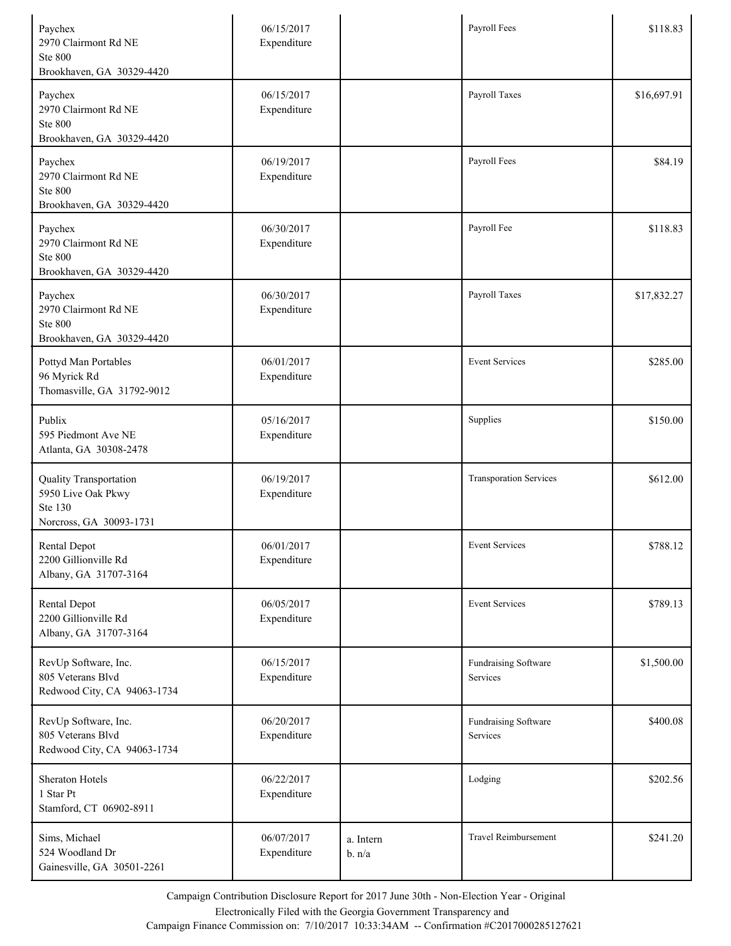| Paychex<br>2970 Clairmont Rd NE<br><b>Ste 800</b><br>Brookhaven, GA 30329-4420     | 06/15/2017<br>Expenditure |                     | Payroll Fees                     | \$118.83    |
|------------------------------------------------------------------------------------|---------------------------|---------------------|----------------------------------|-------------|
| Paychex<br>2970 Clairmont Rd NE<br><b>Ste 800</b><br>Brookhaven, GA 30329-4420     | 06/15/2017<br>Expenditure |                     | Payroll Taxes                    | \$16,697.91 |
| Paychex<br>2970 Clairmont Rd NE<br><b>Ste 800</b><br>Brookhaven, GA 30329-4420     | 06/19/2017<br>Expenditure |                     | Payroll Fees                     | \$84.19     |
| Paychex<br>2970 Clairmont Rd NE<br><b>Ste 800</b><br>Brookhaven, GA 30329-4420     | 06/30/2017<br>Expenditure |                     | Payroll Fee                      | \$118.83    |
| Paychex<br>2970 Clairmont Rd NE<br><b>Ste 800</b><br>Brookhaven, GA 30329-4420     | 06/30/2017<br>Expenditure |                     | Payroll Taxes                    | \$17,832.27 |
| Pottyd Man Portables<br>96 Myrick Rd<br>Thomasville, GA 31792-9012                 | 06/01/2017<br>Expenditure |                     | <b>Event Services</b>            | \$285.00    |
| Publix<br>595 Piedmont Ave NE<br>Atlanta, GA 30308-2478                            | 05/16/2017<br>Expenditure |                     | Supplies                         | \$150.00    |
| Quality Transportation<br>5950 Live Oak Pkwy<br>Ste 130<br>Norcross, GA 30093-1731 | 06/19/2017<br>Expenditure |                     | <b>Transporation Services</b>    | \$612.00    |
| Rental Depot<br>2200 Gillionville Rd<br>Albany, GA 31707-3164                      | 06/01/2017<br>Expenditure |                     | <b>Event Services</b>            | \$788.12    |
| Rental Depot<br>2200 Gillionville Rd<br>Albany, GA 31707-3164                      | 06/05/2017<br>Expenditure |                     | <b>Event Services</b>            | \$789.13    |
| RevUp Software, Inc.<br>805 Veterans Blvd<br>Redwood City, CA 94063-1734           | 06/15/2017<br>Expenditure |                     | Fundraising Software<br>Services | \$1,500.00  |
| RevUp Software, Inc.<br>805 Veterans Blvd<br>Redwood City, CA 94063-1734           | 06/20/2017<br>Expenditure |                     | Fundraising Software<br>Services | \$400.08    |
| Sheraton Hotels<br>1 Star Pt<br>Stamford, CT 06902-8911                            | 06/22/2017<br>Expenditure |                     | Lodging                          | \$202.56    |
| Sims, Michael<br>524 Woodland Dr<br>Gainesville, GA 30501-2261                     | 06/07/2017<br>Expenditure | a. Intern<br>b. n/a | Travel Reimbursement             | \$241.20    |

Electronically Filed with the Georgia Government Transparency and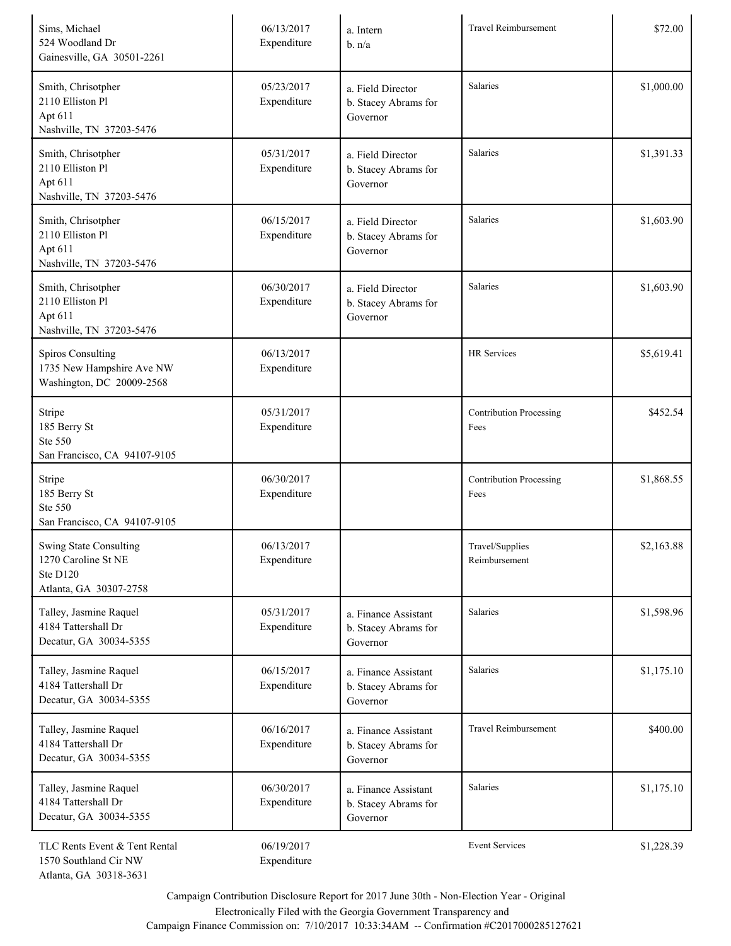| Sims, Michael<br>524 Woodland Dr<br>Gainesville, GA 30501-2261                      | 06/13/2017<br>Expenditure | a. Intern<br>b. n/a                                      | <b>Travel Reimbursement</b>            | \$72.00    |
|-------------------------------------------------------------------------------------|---------------------------|----------------------------------------------------------|----------------------------------------|------------|
| Smith, Chrisotpher<br>2110 Elliston Pl<br>Apt 611<br>Nashville, TN 37203-5476       | 05/23/2017<br>Expenditure | a. Field Director<br>b. Stacey Abrams for<br>Governor    | Salaries                               | \$1,000.00 |
| Smith, Chrisotpher<br>2110 Elliston Pl<br>Apt 611<br>Nashville, TN 37203-5476       | 05/31/2017<br>Expenditure | a. Field Director<br>b. Stacey Abrams for<br>Governor    | Salaries                               | \$1,391.33 |
| Smith, Chrisotpher<br>2110 Elliston Pl<br>Apt 611<br>Nashville, TN 37203-5476       | 06/15/2017<br>Expenditure | a. Field Director<br>b. Stacey Abrams for<br>Governor    | Salaries                               | \$1,603.90 |
| Smith, Chrisotpher<br>2110 Elliston Pl<br>Apt 611<br>Nashville, TN 37203-5476       | 06/30/2017<br>Expenditure | a. Field Director<br>b. Stacey Abrams for<br>Governor    | Salaries                               | \$1,603.90 |
| <b>Spiros Consulting</b><br>1735 New Hampshire Ave NW<br>Washington, DC 20009-2568  | 06/13/2017<br>Expenditure |                                                          | <b>HR</b> Services                     | \$5,619.41 |
| Stripe<br>185 Berry St<br>Ste 550<br>San Francisco, CA 94107-9105                   | 05/31/2017<br>Expenditure |                                                          | Contribution Processing<br>Fees        | \$452.54   |
| Stripe<br>185 Berry St<br>Ste 550<br>San Francisco, CA 94107-9105                   | 06/30/2017<br>Expenditure |                                                          | <b>Contribution Processing</b><br>Fees | \$1,868.55 |
| Swing State Consulting<br>1270 Caroline St NE<br>Ste D120<br>Atlanta, GA 30307-2758 | 06/13/2017<br>Expenditure |                                                          | Travel/Supplies<br>Reimbursement       | \$2,163.88 |
| Talley, Jasmine Raquel<br>4184 Tattershall Dr<br>Decatur, GA 30034-5355             | 05/31/2017<br>Expenditure | a. Finance Assistant<br>b. Stacey Abrams for<br>Governor | Salaries                               | \$1,598.96 |
| Talley, Jasmine Raquel<br>4184 Tattershall Dr<br>Decatur, GA 30034-5355             | 06/15/2017<br>Expenditure | a. Finance Assistant<br>b. Stacey Abrams for<br>Governor | Salaries                               | \$1,175.10 |
| Talley, Jasmine Raquel<br>4184 Tattershall Dr<br>Decatur, GA 30034-5355             | 06/16/2017<br>Expenditure | a. Finance Assistant<br>b. Stacey Abrams for<br>Governor | <b>Travel Reimbursement</b>            | \$400.00   |
| Talley, Jasmine Raquel<br>4184 Tattershall Dr<br>Decatur, GA 30034-5355             | 06/30/2017<br>Expenditure | a. Finance Assistant<br>b. Stacey Abrams for<br>Governor | Salaries                               | \$1,175.10 |
| TLC Rents Event & Tent Rental<br>1570 Southland Cir NW                              | 06/19/2017<br>Expenditure |                                                          | <b>Event Services</b>                  | \$1,228.39 |

Electronically Filed with the Georgia Government Transparency and

Atlanta, GA 30318-3631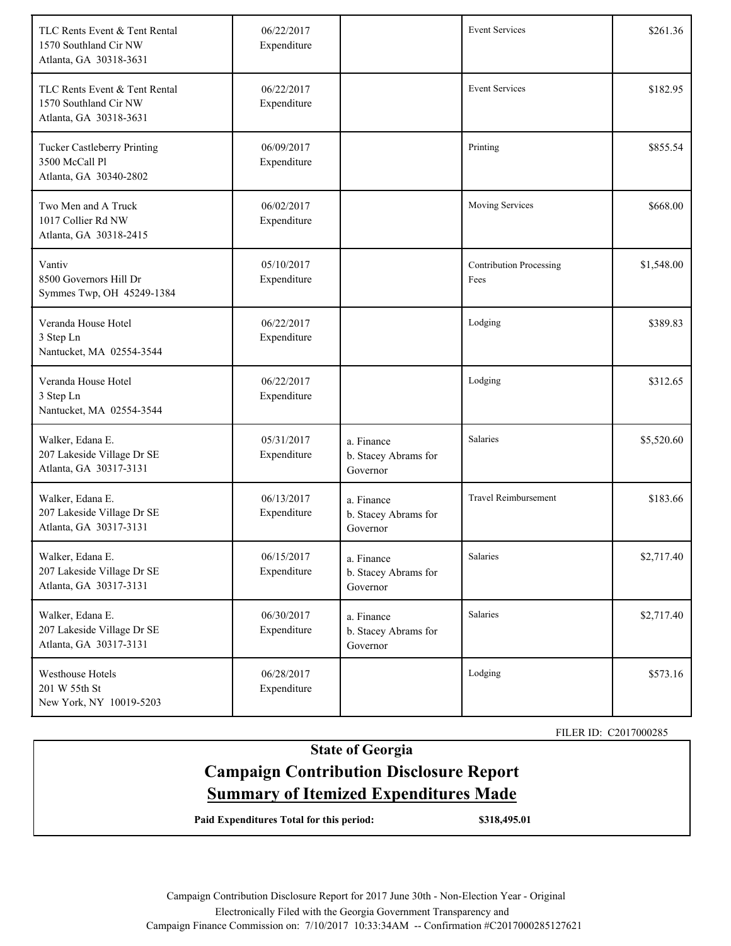| TLC Rents Event & Tent Rental<br>1570 Southland Cir NW<br>Atlanta, GA 30318-3631 | 06/22/2017<br>Expenditure |                                                | <b>Event Services</b>                  | \$261.36   |
|----------------------------------------------------------------------------------|---------------------------|------------------------------------------------|----------------------------------------|------------|
| TLC Rents Event & Tent Rental<br>1570 Southland Cir NW<br>Atlanta, GA 30318-3631 | 06/22/2017<br>Expenditure |                                                | <b>Event Services</b>                  | \$182.95   |
| Tucker Castleberry Printing<br>3500 McCall Pl<br>Atlanta, GA 30340-2802          | 06/09/2017<br>Expenditure |                                                | Printing                               | \$855.54   |
| Two Men and A Truck<br>1017 Collier Rd NW<br>Atlanta, GA 30318-2415              | 06/02/2017<br>Expenditure |                                                | Moving Services                        | \$668.00   |
| Vantiv<br>8500 Governors Hill Dr<br>Symmes Twp, OH 45249-1384                    | 05/10/2017<br>Expenditure |                                                | <b>Contribution Processing</b><br>Fees | \$1,548.00 |
| Veranda House Hotel<br>3 Step Ln<br>Nantucket, MA 02554-3544                     | 06/22/2017<br>Expenditure |                                                | Lodging                                | \$389.83   |
| Veranda House Hotel<br>3 Step Ln<br>Nantucket, MA 02554-3544                     | 06/22/2017<br>Expenditure |                                                | Lodging                                | \$312.65   |
| Walker, Edana E.<br>207 Lakeside Village Dr SE<br>Atlanta, GA 30317-3131         | 05/31/2017<br>Expenditure | a. Finance<br>b. Stacey Abrams for<br>Governor | Salaries                               | \$5,520.60 |
| Walker, Edana E.<br>207 Lakeside Village Dr SE<br>Atlanta, GA 30317-3131         | 06/13/2017<br>Expenditure | a. Finance<br>b. Stacey Abrams for<br>Governor | <b>Travel Reimbursement</b>            | \$183.66   |
| Walker, Edana E.<br>207 Lakeside Village Dr SE<br>Atlanta, GA 30317-3131         | 06/15/2017<br>Expenditure | a. Finance<br>b. Stacey Abrams for<br>Governor | Salaries                               | \$2,717.40 |
| Walker, Edana E.<br>207 Lakeside Village Dr SE<br>Atlanta, GA 30317-3131         | 06/30/2017<br>Expenditure | a. Finance<br>b. Stacey Abrams for<br>Governor | Salaries                               | \$2,717.40 |
| Westhouse Hotels<br>201 W 55th St<br>New York, NY 10019-5203                     | 06/28/2017<br>Expenditure |                                                | Lodging                                | \$573.16   |

FILER ID: C2017000285

# **State of Georgia Campaign Contribution Disclosure Report Summary of Itemized Expenditures Made**

**Paid Expenditures Total for this period: \$318,495.01**